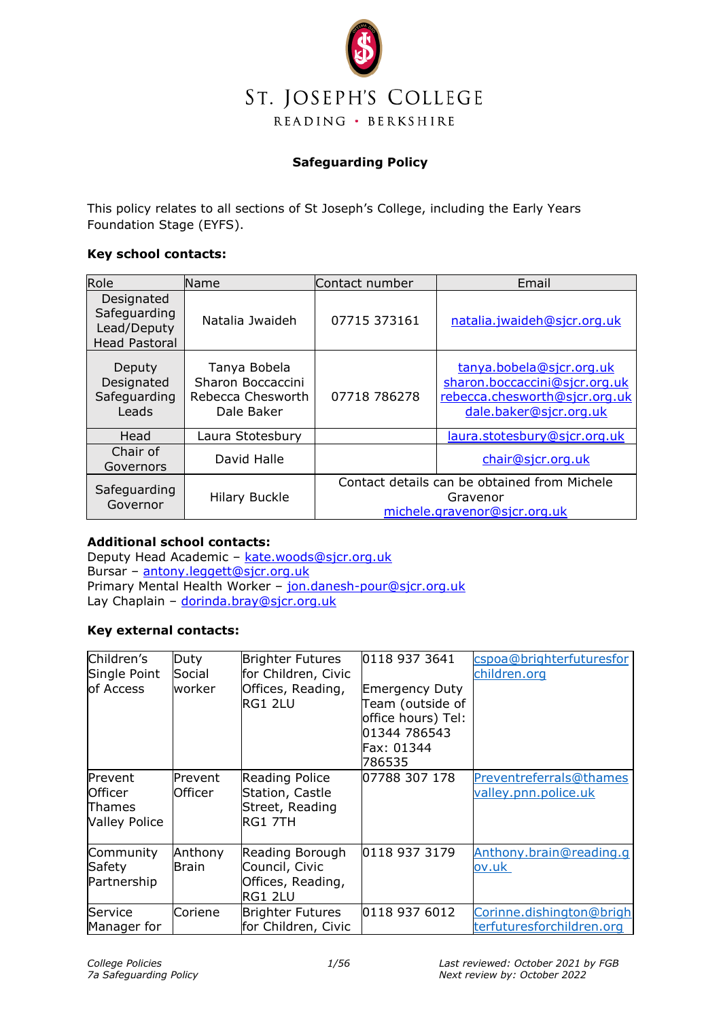

# **Safeguarding Policy**

This policy relates to all sections of St Joseph's College, including the Early Years Foundation Stage (EYFS).

### **Key school contacts:**

| Role                                                              | Name                                                                 | Contact number                                                                           | Email                                                                                                                |
|-------------------------------------------------------------------|----------------------------------------------------------------------|------------------------------------------------------------------------------------------|----------------------------------------------------------------------------------------------------------------------|
| Designated<br>Safeguarding<br>Lead/Deputy<br><b>Head Pastoral</b> | Natalia Jwaideh                                                      | 07715 373161                                                                             | natalia.jwaideh@sjcr.org.uk                                                                                          |
| Deputy<br>Designated<br>Safeguarding<br>Leads                     | Tanya Bobela<br>Sharon Boccaccini<br>Rebecca Chesworth<br>Dale Baker | 07718 786278                                                                             | tanya.bobela@sjcr.org.uk<br>sharon.boccaccini@sjcr.org.uk<br>rebecca.chesworth@sjcr.org.uk<br>dale.baker@sjcr.org.uk |
| Head                                                              | Laura Stotesbury                                                     |                                                                                          | laura.stotesbury@sjcr.org.uk                                                                                         |
| Chair of<br>Governors                                             | David Halle                                                          |                                                                                          | chair@sjcr.org.uk                                                                                                    |
| Safeguarding<br>Governor                                          | <b>Hilary Buckle</b>                                                 | Contact details can be obtained from Michele<br>Gravenor<br>michele.gravenor@sjcr.org.uk |                                                                                                                      |

# **Additional school contacts:**

Deputy Head Academic - [kate.woods@sjcr.org.uk](mailto:kate.woods@sjcr.org.uk) Bursar – a[ntony.leggett@sjcr.org.uk](mailto:sharon.boccaccini@sjcr.org.uk) Primary Mental Health Worker – [jon.danesh-pour@sjcr.org.uk](mailto:jon.danesh-pour@sjcr.org.uk) Lay Chaplain - [dorinda.bray@sjcr.org.uk](mailto:dorinda.bray@sjcr.org.uk)

#### **Key external contacts:**

| Children's<br>Single Point<br>of Access                     | Duty<br>Social<br>worker | <b>Brighter Futures</b><br>for Children, Civic<br>Offices, Reading,<br>RG1 2LU | 0118 937 3641<br>Emergency Duty<br>Team (outside of<br>office hours) Tel:<br>01344 786543<br>Fax: 01344<br>786535 | cspoa@brighterfuturesfor<br>children.org              |
|-------------------------------------------------------------|--------------------------|--------------------------------------------------------------------------------|-------------------------------------------------------------------------------------------------------------------|-------------------------------------------------------|
| Prevent<br><b>Officer</b><br>Thames<br><b>Valley Police</b> | Prevent<br>Officer       | <b>Reading Police</b><br>Station, Castle<br>Street, Reading<br>RG1 7TH         | 107788 307 178                                                                                                    | Preventreferrals@thames<br>valley.pnn.police.uk       |
| Community<br>Safety<br>Partnership                          | Anthony<br>Brain         | Reading Borough<br>Council, Civic<br>Offices, Reading,<br><b>RG1 2LU</b>       | 0118 937 3179                                                                                                     | Anthony.brain@reading.g<br>ov.uk                      |
| Service<br>Manager for                                      | Coriene                  | <b>Brighter Futures</b><br>for Children, Civic                                 | 0118 937 6012                                                                                                     | Corinne.dishington@brigh<br>terfuturesforchildren.org |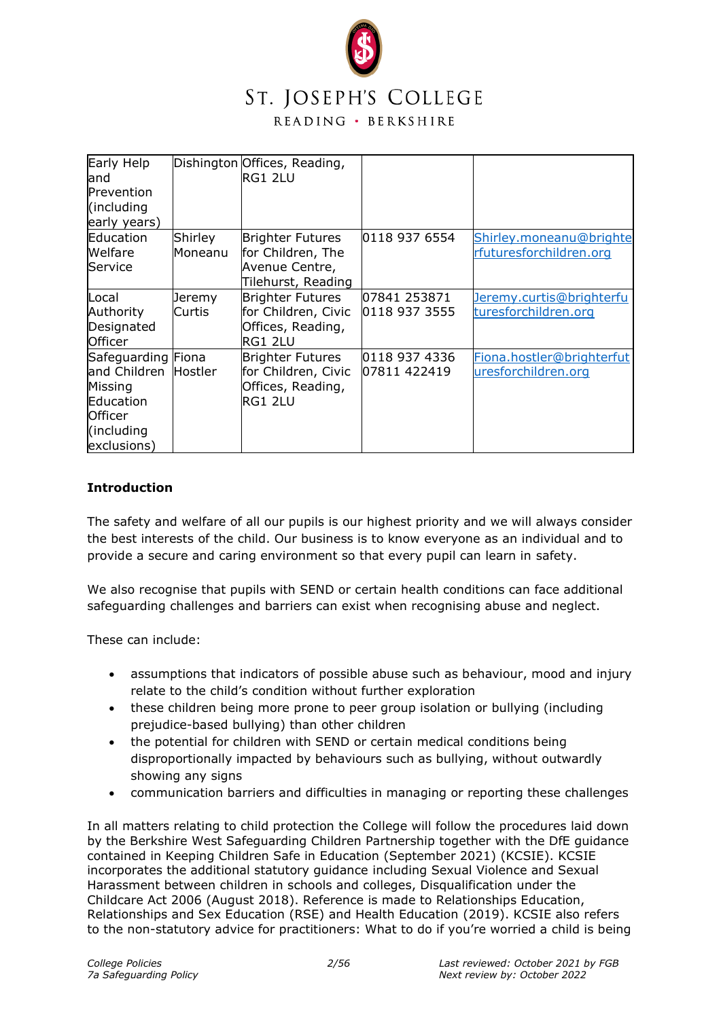

# ST. JOSEPH'S COLLEGE

READING · BERKSHIRE

| Early Help<br>land<br>Prevention<br>(including<br>early years)                                            |                    | Dishington Offices, Reading,<br>RG1 2LU                                              |                               |                                                    |
|-----------------------------------------------------------------------------------------------------------|--------------------|--------------------------------------------------------------------------------------|-------------------------------|----------------------------------------------------|
| Education<br>Welfare<br>Service                                                                           | Shirley<br>Moneanu | <b>Brighter Futures</b><br>for Children, The<br>Avenue Centre,<br>Tilehurst, Reading | 0118 937 6554                 | Shirley.moneanu@brighte<br>rfuturesforchildren.org |
| Local<br>Authority<br>Designated<br><b>Officer</b>                                                        | Jeremy<br>Curtis   | <b>Brighter Futures</b><br>for Children, Civic<br>Offices, Reading,<br>IRG1 2LU      | 07841 253871<br>0118 937 3555 | Jeremy.curtis@brighterfu<br>turesforchildren.org   |
| Safeguarding Fiona<br>and Children<br>Missing<br>Education<br><b>Officer</b><br>(including<br>exclusions) | <b>Hostler</b>     | <b>Brighter Futures</b><br>for Children, Civic<br>Offices, Reading,<br>RG1 2LU       | 0118 937 4336<br>07811 422419 | Fiona.hostler@brighterfut<br>uresforchildren.org   |

#### **Introduction**

The safety and welfare of all our pupils is our highest priority and we will always consider the best interests of the child. Our business is to know everyone as an individual and to provide a secure and caring environment so that every pupil can learn in safety.

We also recognise that pupils with SEND or certain health conditions can face additional safeguarding challenges and barriers can exist when recognising abuse and neglect.

These can include:

- assumptions that indicators of possible abuse such as behaviour, mood and injury relate to the child's condition without further exploration
- these children being more prone to peer group isolation or bullying (including prejudice-based bullying) than other children
- the potential for children with SEND or certain medical conditions being disproportionally impacted by behaviours such as bullying, without outwardly showing any signs
- communication barriers and difficulties in managing or reporting these challenges

In all matters relating to child protection the College will follow the procedures laid down by the Berkshire West Safeguarding Children Partnership together with the DfE guidance contained in Keeping Children Safe in Education (September 2021) (KCSIE). KCSIE incorporates the additional statutory guidance including Sexual Violence and Sexual Harassment between children in schools and colleges, Disqualification under the Childcare Act 2006 (August 2018). Reference is made to Relationships Education, Relationships and Sex Education (RSE) and Health Education (2019). KCSIE also refers to the non-statutory advice for practitioners: What to do if you're worried a child is being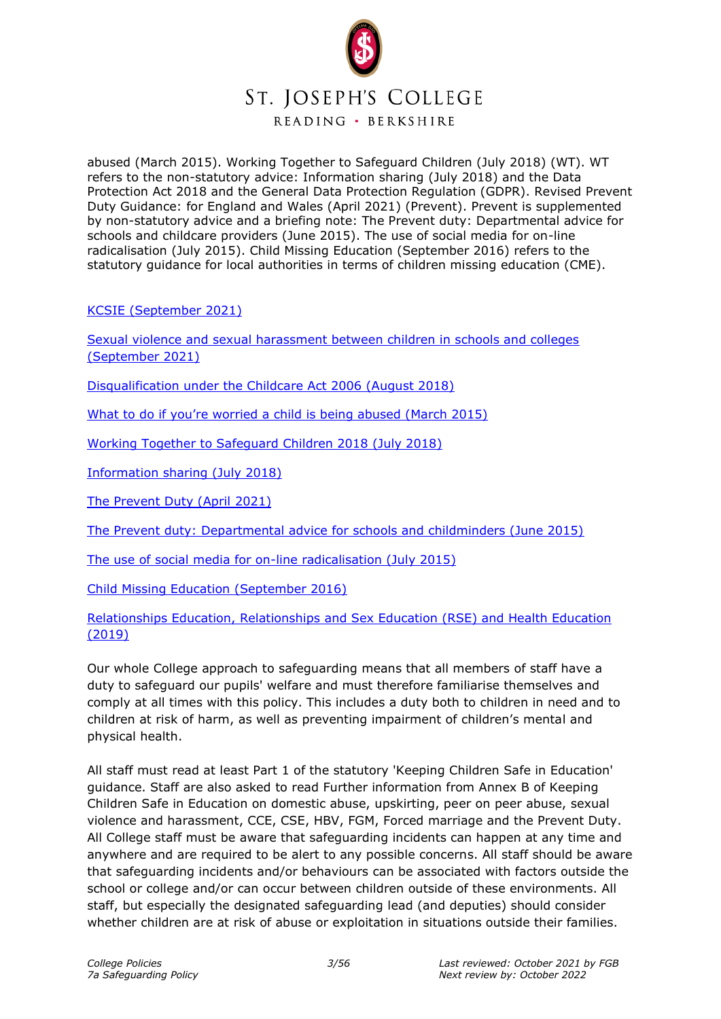

READING · BERKSHIRE

abused (March 2015). Working Together to Safeguard Children (July 2018) (WT). WT refers to the non-statutory advice: Information sharing (July 2018) and the Data Protection Act 2018 and the General Data Protection Regulation (GDPR). Revised Prevent Duty Guidance: for England and Wales (April 2021) (Prevent). Prevent is supplemented by non-statutory advice and a briefing note: The Prevent duty: Departmental advice for schools and childcare providers (June 2015). The use of social media for on-line radicalisation (July 2015). Child Missing Education (September 2016) refers to the statutory guidance for local authorities in terms of children missing education (CME).

[KCSIE \(September](https://assets.publishing.service.gov.uk/government/uploads/system/uploads/attachment_data/file/912592/Keeping_children_safe_in_education_Sep_2020.pdf) 2021)

[Sexual violence and sexual harassment between children in schools and colleges](https://www.gov.uk/government/publications/sexual-violence-and-sexual-harassment-between-children-in-schools-and-colleges) (September 2021)

[Disqualification under the Childcare Act 2006 \(August 2018\)](http://www.gov.uk/government/publications/disqualification-under-the-childcare-act-2006)

[What to do if you're worried a child is being abused \(March 2015\)](http://www.gov.uk/government/publications/what-to-do-if-youre-worried-a-child-is-being-abused--2)

[Working Together to Safeguard Children 2018 \(July 2018\)](https://www.gov.uk/government/publications/working-together-to-safeguard-children--2)

[Information sharing \(July 2018\)](https://www.gov.uk/government/publications/safeguarding-practitioners-information-sharing-advice)

[The Prevent Duty \(April](https://www.gov.uk/government/publications/prevent-duty-guidance) 2021)

[The Prevent duty: Departmental advice for schools and childminders \(June 2015\)](http://www.gov.uk/government/publications/protecting-children-from-radicalisation-the-prevent-duty)

[The use of social media for on-line radicalisation \(July 2015\)](http://www.gov.uk/government/publications/the-use-of-social-media-for-online-radicalisation)

[Child Missing Education \(September 2016\)](https://www.gov.uk/government/publications/children-missing-education)

[Relationships Education, Relationships and Sex Education \(RSE\) and Health Education](https://assets.publishing.service.gov.uk/government/uploads/system/uploads/attachment_data/file/908013/Relationships_Education__Relationships_and_Sex_Education__RSE__and_Health_Education.pdf)  [\(2019\)](https://assets.publishing.service.gov.uk/government/uploads/system/uploads/attachment_data/file/908013/Relationships_Education__Relationships_and_Sex_Education__RSE__and_Health_Education.pdf)

Our whole College approach to safeguarding means that all members of staff have a duty to safeguard our pupils' welfare and must therefore familiarise themselves and comply at all times with this policy. This includes a duty both to children in need and to children at risk of harm, as well as preventing impairment of children's mental and physical health.

All staff must read at least Part 1 of the statutory 'Keeping Children Safe in Education' guidance. Staff are also asked to read Further information from Annex B of Keeping Children Safe in Education on domestic abuse, upskirting, peer on peer abuse, sexual violence and harassment, CCE, CSE, HBV, FGM, Forced marriage and the Prevent Duty. All College staff must be aware that safeguarding incidents can happen at any time and anywhere and are required to be alert to any possible concerns. All staff should be aware that safeguarding incidents and/or behaviours can be associated with factors outside the school or college and/or can occur between children outside of these environments. All staff, but especially the designated safeguarding lead (and deputies) should consider whether children are at risk of abuse or exploitation in situations outside their families.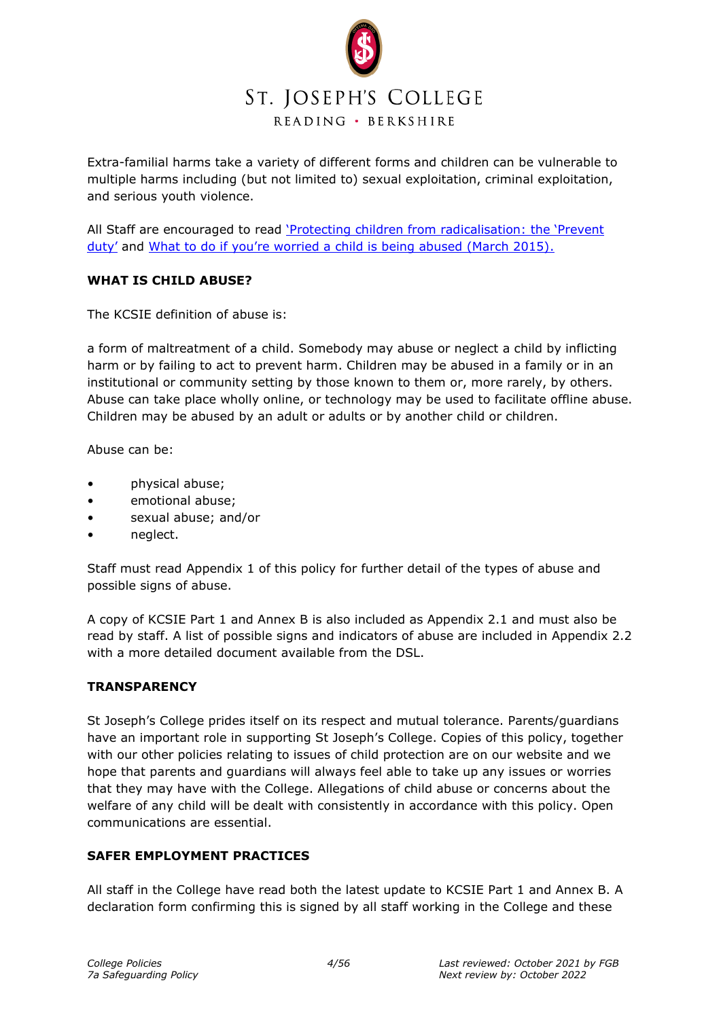

Extra-familial harms take a variety of different forms and children can be vulnerable to multiple harms including (but not limited to) sexual exploitation, criminal exploitation, and serious youth violence.

All Staff are encouraged to read 'Protecting children from radicalisation: the 'Prevent [duty'](https://www.gov.uk/government/publications/protecting-children-from-radicalisation-the-prevent-duty) and [What to do if you're worried a child is being abused \(March 2015\)](http://www.gov.uk/government/publications/what-to-do-if-youre-worried-a-child-is-being-abused--2).

# **WHAT IS CHILD ABUSE?**

The KCSIE definition of abuse is:

a form of maltreatment of a child. Somebody may abuse or neglect a child by inflicting harm or by failing to act to prevent harm. Children may be abused in a family or in an institutional or community setting by those known to them or, more rarely, by others. Abuse can take place wholly online, or technology may be used to facilitate offline abuse. Children may be abused by an adult or adults or by another child or children.

Abuse can be:

- physical abuse;
- emotional abuse;
- sexual abuse; and/or
- neglect.

Staff must read Appendix 1 of this policy for further detail of the types of abuse and possible signs of abuse.

A copy of KCSIE Part 1 and Annex B is also included as Appendix 2.1 and must also be read by staff. A list of possible signs and indicators of abuse are included in Appendix 2.2 with a more detailed document available from the DSL.

# **TRANSPARENCY**

St Joseph's College prides itself on its respect and mutual tolerance. Parents/guardians have an important role in supporting St Joseph's College. Copies of this policy, together with our other policies relating to issues of child protection are on our website and we hope that parents and guardians will always feel able to take up any issues or worries that they may have with the College. Allegations of child abuse or concerns about the welfare of any child will be dealt with consistently in accordance with this policy. Open communications are essential.

# **SAFER EMPLOYMENT PRACTICES**

All staff in the College have read both the latest update to KCSIE Part 1 and Annex B. A declaration form confirming this is signed by all staff working in the College and these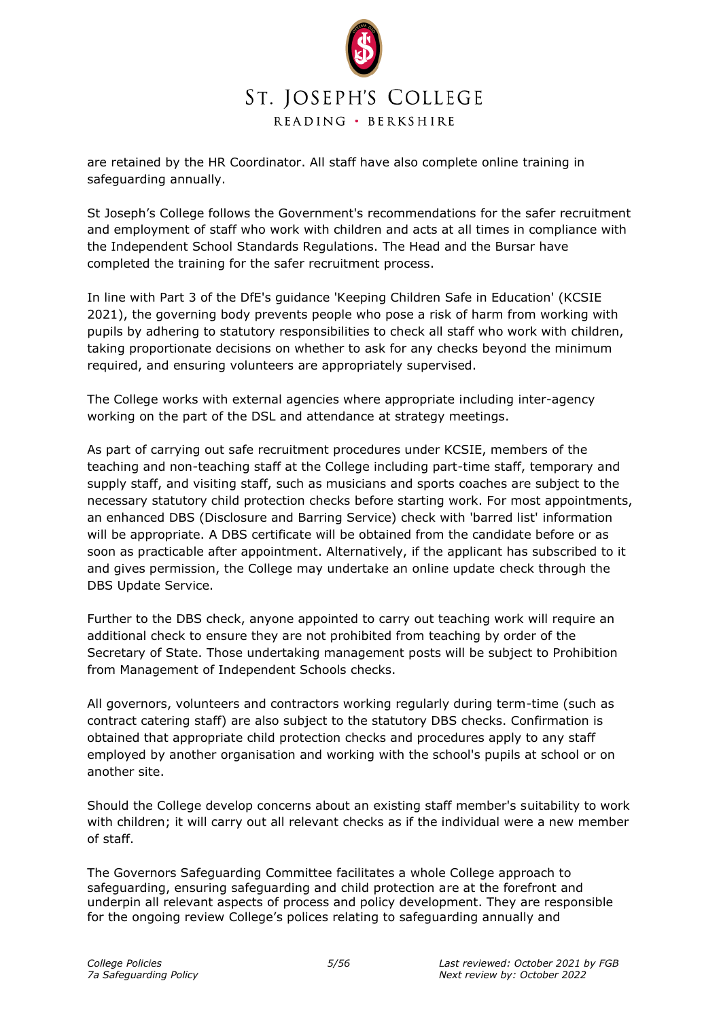

are retained by the HR Coordinator. All staff have also complete online training in safeguarding annually.

St Joseph's College follows the Government's recommendations for the safer recruitment and employment of staff who work with children and acts at all times in compliance with the Independent School Standards Regulations. The Head and the Bursar have completed the training for the safer recruitment process.

In line with Part 3 of the DfE's guidance 'Keeping Children Safe in Education' (KCSIE 2021), the governing body prevents people who pose a risk of harm from working with pupils by adhering to statutory responsibilities to check all staff who work with children, taking proportionate decisions on whether to ask for any checks beyond the minimum required, and ensuring volunteers are appropriately supervised.

The College works with external agencies where appropriate including inter-agency working on the part of the DSL and attendance at strategy meetings.

As part of carrying out safe recruitment procedures under KCSIE, members of the teaching and non-teaching staff at the College including part-time staff, temporary and supply staff, and visiting staff, such as musicians and sports coaches are subject to the necessary statutory child protection checks before starting work. For most appointments, an enhanced DBS (Disclosure and Barring Service) check with 'barred list' information will be appropriate. A DBS certificate will be obtained from the candidate before or as soon as practicable after appointment. Alternatively, if the applicant has subscribed to it and gives permission, the College may undertake an online update check through the DBS Update Service.

Further to the DBS check, anyone appointed to carry out teaching work will require an additional check to ensure they are not prohibited from teaching by order of the Secretary of State. Those undertaking management posts will be subject to Prohibition from Management of Independent Schools checks.

All governors, volunteers and contractors working regularly during term-time (such as contract catering staff) are also subject to the statutory DBS checks. Confirmation is obtained that appropriate child protection checks and procedures apply to any staff employed by another organisation and working with the school's pupils at school or on another site.

Should the College develop concerns about an existing staff member's suitability to work with children; it will carry out all relevant checks as if the individual were a new member of staff.

The Governors Safeguarding Committee facilitates a whole College approach to safeguarding, ensuring safeguarding and child protection are at the forefront and underpin all relevant aspects of process and policy development. They are responsible for the ongoing review College's polices relating to safeguarding annually and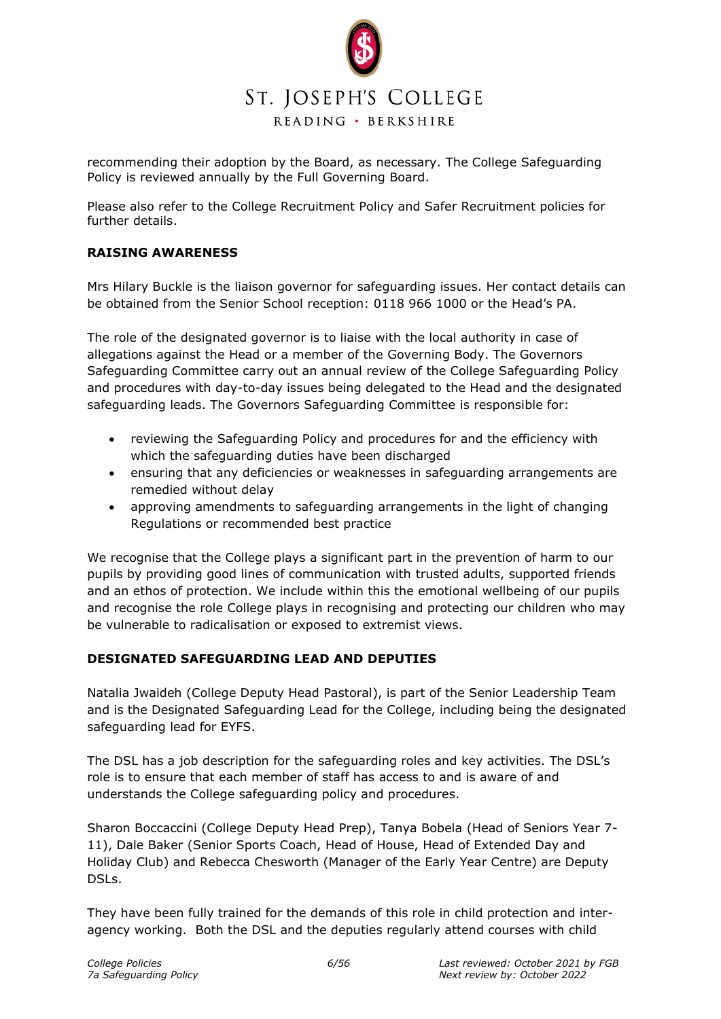

recommending their adoption by the Board, as necessary. The College Safeguarding Policy is reviewed annually by the Full Governing Board.

Please also refer to the College Recruitment Policy and Safer Recruitment policies for further details.

# **RAISING AWARENESS**

Mrs Hilary Buckle is the liaison governor for safeguarding issues. Her contact details can be obtained from the Senior School reception: 0118 966 1000 or the Head's PA.

The role of the designated governor is to liaise with the local authority in case of allegations against the Head or a member of the Governing Body. The Governors Safeguarding Committee carry out an annual review of the College Safeguarding Policy and procedures with day-to-day issues being delegated to the Head and the designated safeguarding leads. The Governors Safeguarding Committee is responsible for:

- reviewing the Safeguarding Policy and procedures for and the efficiency with which the safeguarding duties have been discharged
- ensuring that any deficiencies or weaknesses in safeguarding arrangements are remedied without delay
- approving amendments to safeguarding arrangements in the light of changing Regulations or recommended best practice

We recognise that the College plays a significant part in the prevention of harm to our pupils by providing good lines of communication with trusted adults, supported friends and an ethos of protection. We include within this the emotional wellbeing of our pupils and recognise the role College plays in recognising and protecting our children who may be vulnerable to radicalisation or exposed to extremist views.

# **DESIGNATED SAFEGUARDING LEAD AND DEPUTIES**

Natalia Jwaideh (College Deputy Head Pastoral), is part of the Senior Leadership Team and is the Designated Safeguarding Lead for the College, including being the designated safeguarding lead for EYFS.

The DSL has a job description for the safeguarding roles and key activities. The DSL's role is to ensure that each member of staff has access to and is aware of and understands the College safeguarding policy and procedures.

Sharon Boccaccini (College Deputy Head Prep), Tanya Bobela (Head of Seniors Year 7- 11), Dale Baker (Senior Sports Coach, Head of House, Head of Extended Day and Holiday Club) and Rebecca Chesworth (Manager of the Early Year Centre) are Deputy DSLs.

They have been fully trained for the demands of this role in child protection and interagency working. Both the DSL and the deputies regularly attend courses with child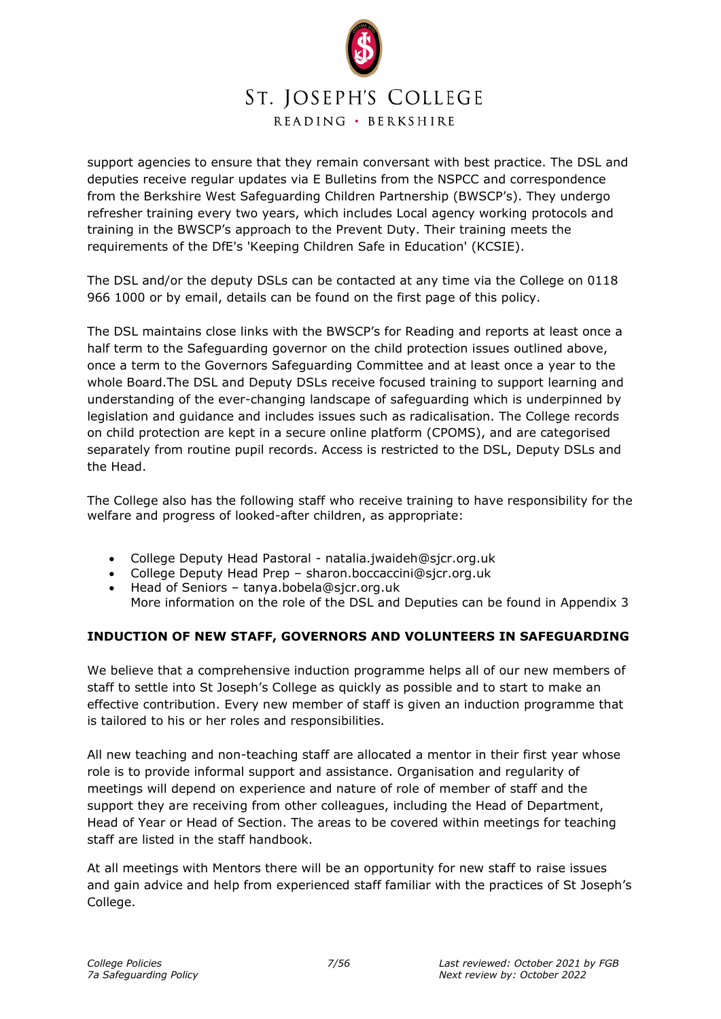# ST. JOSEPH'S COLLEGE

READING · BERKSHIRE

support agencies to ensure that they remain conversant with best practice. The DSL and deputies receive regular updates via E Bulletins from the NSPCC and correspondence from the Berkshire West Safeguarding Children Partnership (BWSCP's). They undergo refresher training every two years, which includes Local agency working protocols and training in the BWSCP's approach to the Prevent Duty. Their training meets the requirements of the DfE's 'Keeping Children Safe in Education' (KCSIE).

The DSL and/or the deputy DSLs can be contacted at any time via the College on 0118 966 1000 or by email, details can be found on the first page of this policy.

The DSL maintains close links with the BWSCP's for Reading and reports at least once a half term to the Safeguarding governor on the child protection issues outlined above, once a term to the Governors Safeguarding Committee and at least once a year to the whole Board.The DSL and Deputy DSLs receive focused training to support learning and understanding of the ever-changing landscape of safeguarding which is underpinned by legislation and guidance and includes issues such as radicalisation. The College records on child protection are kept in a secure online platform (CPOMS), and are categorised separately from routine pupil records. Access is restricted to the DSL, Deputy DSLs and the Head.

The College also has the following staff who receive training to have responsibility for the welfare and progress of looked-after children, as appropriate:

- College Deputy Head Pastoral natalia.jwaideh@sjcr.org.uk
- College Deputy Head Prep sharon.boccaccini@sjcr.org.uk
- Head of Seniors tanya.bobela@sjcr.org.uk More information on the role of the DSL and Deputies can be found in Appendix 3

# **INDUCTION OF NEW STAFF, GOVERNORS AND VOLUNTEERS IN SAFEGUARDING**

We believe that a comprehensive induction programme helps all of our new members of staff to settle into St Joseph's College as quickly as possible and to start to make an effective contribution. Every new member of staff is given an induction programme that is tailored to his or her roles and responsibilities.

All new teaching and non-teaching staff are allocated a mentor in their first year whose role is to provide informal support and assistance. Organisation and regularity of meetings will depend on experience and nature of role of member of staff and the support they are receiving from other colleagues, including the Head of Department, Head of Year or Head of Section. The areas to be covered within meetings for teaching staff are listed in the staff handbook.

At all meetings with Mentors there will be an opportunity for new staff to raise issues and gain advice and help from experienced staff familiar with the practices of St Joseph's College.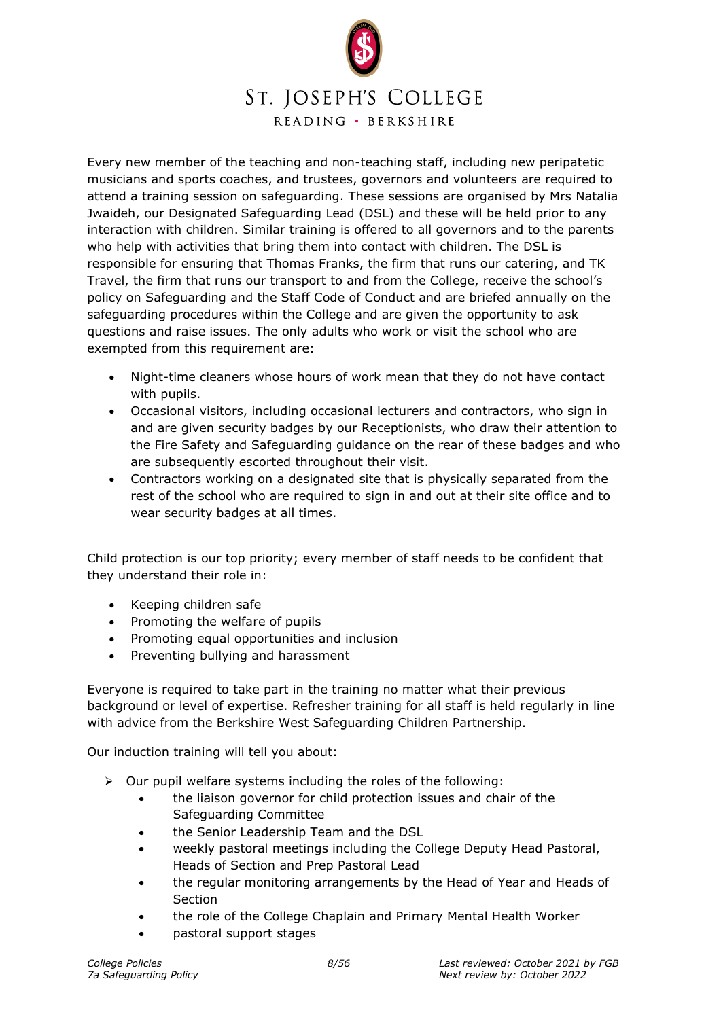

Every new member of the teaching and non-teaching staff, including new peripatetic musicians and sports coaches, and trustees, governors and volunteers are required to attend a training session on safeguarding. These sessions are organised by Mrs Natalia Jwaideh, our Designated Safeguarding Lead (DSL) and these will be held prior to any interaction with children. Similar training is offered to all governors and to the parents who help with activities that bring them into contact with children. The DSL is responsible for ensuring that Thomas Franks, the firm that runs our catering, and TK Travel, the firm that runs our transport to and from the College, receive the school's policy on Safeguarding and the Staff Code of Conduct and are briefed annually on the safeguarding procedures within the College and are given the opportunity to ask questions and raise issues. The only adults who work or visit the school who are exempted from this requirement are:

- Night-time cleaners whose hours of work mean that they do not have contact with pupils.
- Occasional visitors, including occasional lecturers and contractors, who sign in and are given security badges by our Receptionists, who draw their attention to the Fire Safety and Safeguarding guidance on the rear of these badges and who are subsequently escorted throughout their visit.
- Contractors working on a designated site that is physically separated from the rest of the school who are required to sign in and out at their site office and to wear security badges at all times.

Child protection is our top priority; every member of staff needs to be confident that they understand their role in:

- Keeping children safe
- Promoting the welfare of pupils
- Promoting equal opportunities and inclusion
- Preventing bullying and harassment

Everyone is required to take part in the training no matter what their previous background or level of expertise. Refresher training for all staff is held regularly in line with advice from the Berkshire West Safeguarding Children Partnership.

Our induction training will tell you about:

- $\triangleright$  Our pupil welfare systems including the roles of the following:
	- the liaison governor for child protection issues and chair of the Safeguarding Committee
	- the Senior Leadership Team and the DSL
	- weekly pastoral meetings including the College Deputy Head Pastoral, Heads of Section and Prep Pastoral Lead
	- the regular monitoring arrangements by the Head of Year and Heads of **Section**
	- the role of the College Chaplain and Primary Mental Health Worker
		- pastoral support stages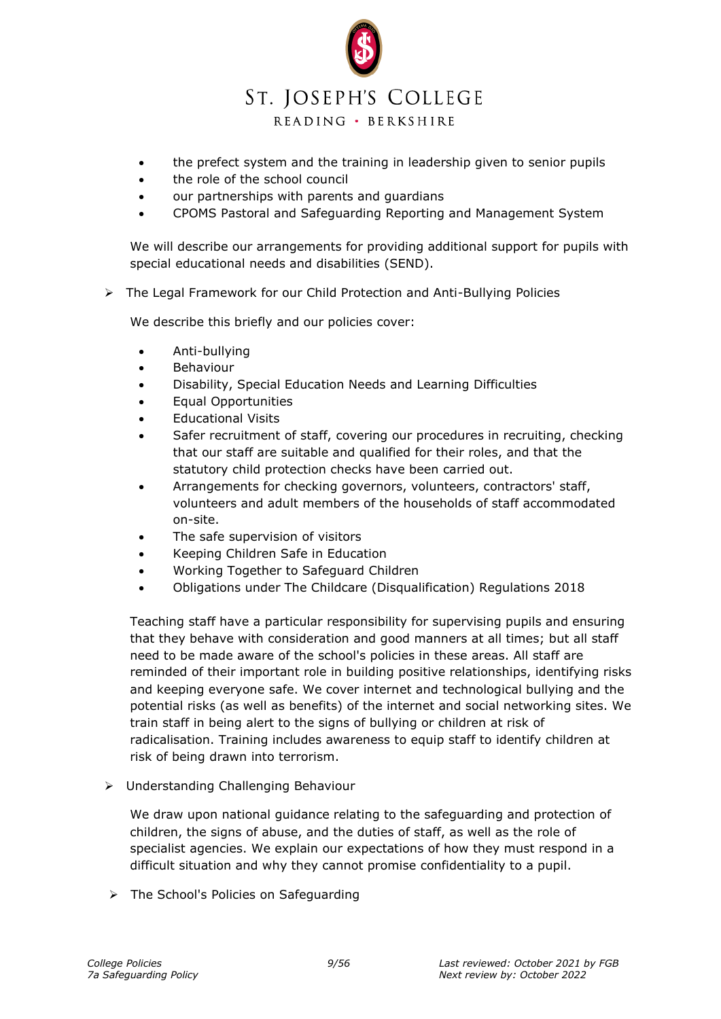# ST. JOSEPH'S COLLEGE

READING · BERKSHIRE

- the prefect system and the training in leadership given to senior pupils
- the role of the school council
- our partnerships with parents and guardians
- CPOMS Pastoral and Safeguarding Reporting and Management System

We will describe our arrangements for providing additional support for pupils with special educational needs and disabilities (SEND).

➢ The Legal Framework for our Child Protection and Anti-Bullying Policies

We describe this briefly and our policies cover:

- Anti-bullying
- Behaviour
- Disability, Special Education Needs and Learning Difficulties
- Equal Opportunities
- Educational Visits
- Safer recruitment of staff, covering our procedures in recruiting, checking that our staff are suitable and qualified for their roles, and that the statutory child protection checks have been carried out.
- Arrangements for checking governors, volunteers, contractors' staff, volunteers and adult members of the households of staff accommodated on-site.
- The safe supervision of visitors
- Keeping Children Safe in Education
- Working Together to Safeguard Children
- Obligations under The Childcare (Disqualification) Regulations 2018

Teaching staff have a particular responsibility for supervising pupils and ensuring that they behave with consideration and good manners at all times; but all staff need to be made aware of the school's policies in these areas. All staff are reminded of their important role in building positive relationships, identifying risks and keeping everyone safe. We cover internet and technological bullying and the potential risks (as well as benefits) of the internet and social networking sites. We train staff in being alert to the signs of bullying or children at risk of radicalisation. Training includes awareness to equip staff to identify children at risk of being drawn into terrorism.

➢ Understanding Challenging Behaviour

We draw upon national guidance relating to the safeguarding and protection of children, the signs of abuse, and the duties of staff, as well as the role of specialist agencies. We explain our expectations of how they must respond in a difficult situation and why they cannot promise confidentiality to a pupil.

➢ The School's Policies on Safeguarding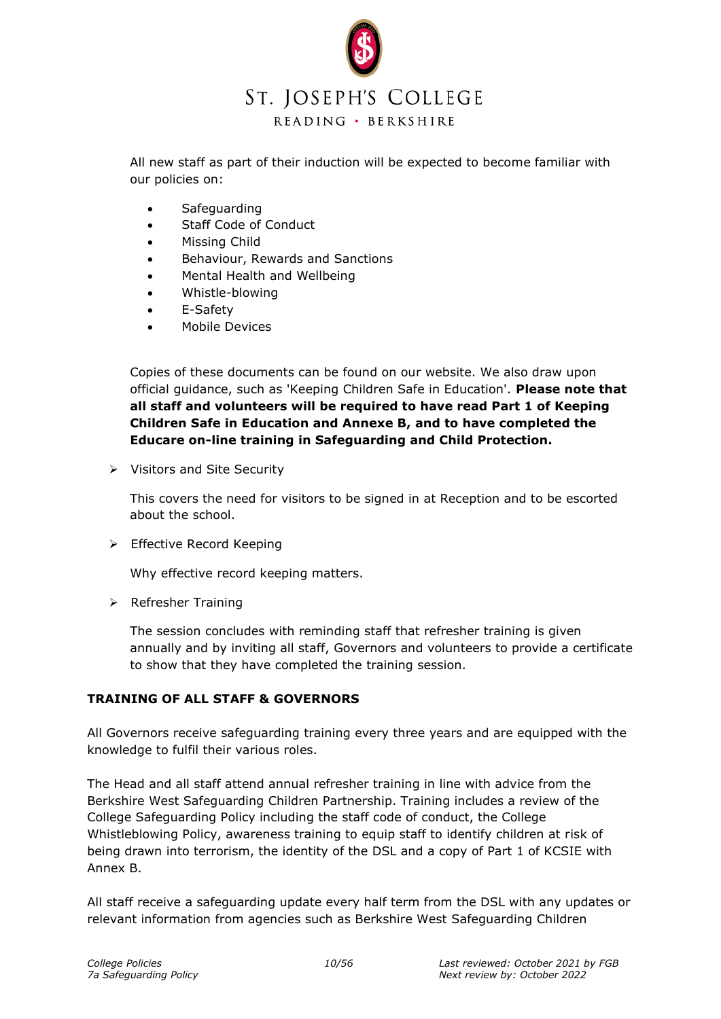

All new staff as part of their induction will be expected to become familiar with our policies on:

- **Safeguarding**
- Staff Code of Conduct
- Missing Child
- Behaviour, Rewards and Sanctions
- Mental Health and Wellbeing
- Whistle-blowing
- E-Safety
- Mobile Devices

Copies of these documents can be found on our website. We also draw upon official guidance, such as 'Keeping Children Safe in Education'. **Please note that all staff and volunteers will be required to have read Part 1 of Keeping Children Safe in Education and Annexe B, and to have completed the Educare on-line training in Safeguarding and Child Protection.**

➢ Visitors and Site Security

This covers the need for visitors to be signed in at Reception and to be escorted about the school.

➢ Effective Record Keeping

Why effective record keeping matters.

➢ Refresher Training

The session concludes with reminding staff that refresher training is given annually and by inviting all staff, Governors and volunteers to provide a certificate to show that they have completed the training session.

# **TRAINING OF ALL STAFF & GOVERNORS**

All Governors receive safeguarding training every three years and are equipped with the knowledge to fulfil their various roles.

The Head and all staff attend annual refresher training in line with advice from the Berkshire West Safeguarding Children Partnership. Training includes a review of the College Safeguarding Policy including the staff code of conduct, the College Whistleblowing Policy, awareness training to equip staff to identify children at risk of being drawn into terrorism, the identity of the DSL and a copy of Part 1 of KCSIE with Annex B.

All staff receive a safeguarding update every half term from the DSL with any updates or relevant information from agencies such as Berkshire West Safeguarding Children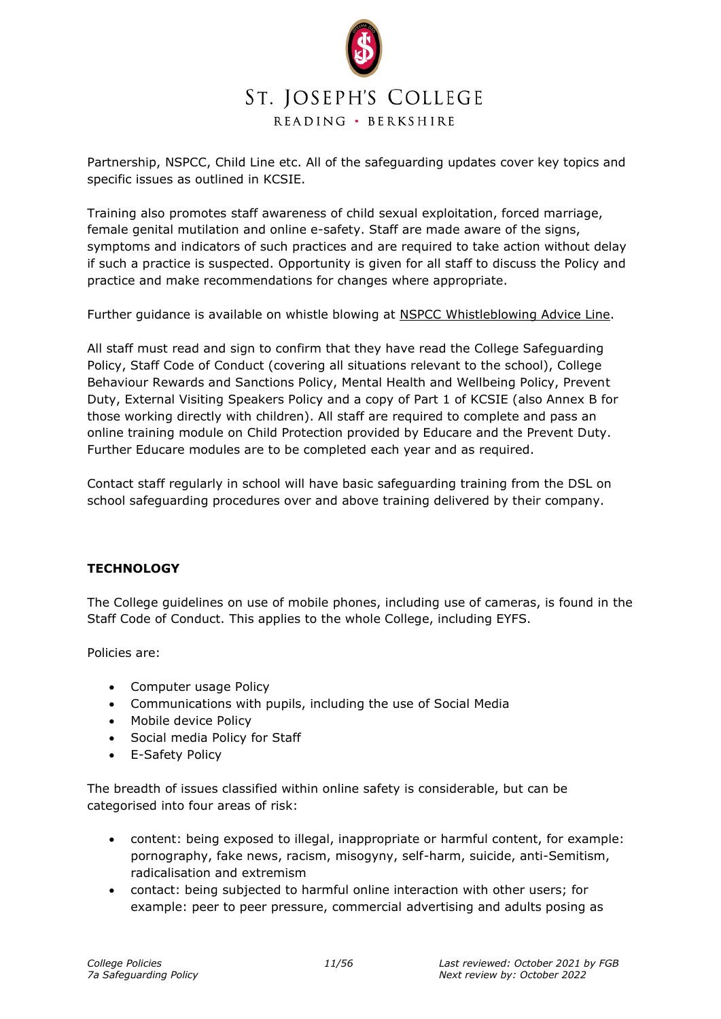

Partnership, NSPCC, Child Line etc. All of the safeguarding updates cover key topics and specific issues as outlined in KCSIE.

Training also promotes staff awareness of child sexual exploitation, forced marriage, female genital mutilation and online e-safety. Staff are made aware of the signs, symptoms and indicators of such practices and are required to take action without delay if such a practice is suspected. Opportunity is given for all staff to discuss the Policy and practice and make recommendations for changes where appropriate.

Further guidance is available on whistle blowing at [NSPCC Whistleblowing Advice Line.](https://www.nspcc.org.uk/what-you-can-do/report-abuse/dedicated-helplines/whistleblowing-advice-line/)

All staff must read and sign to confirm that they have read the College Safeguarding Policy, Staff Code of Conduct (covering all situations relevant to the school), College Behaviour Rewards and Sanctions Policy, Mental Health and Wellbeing Policy, Prevent Duty, External Visiting Speakers Policy and a copy of Part 1 of KCSIE (also Annex B for those working directly with children). All staff are required to complete and pass an online training module on Child Protection provided by Educare and the Prevent Duty. Further Educare modules are to be completed each year and as required.

Contact staff regularly in school will have basic safeguarding training from the DSL on school safeguarding procedures over and above training delivered by their company.

# **TECHNOLOGY**

The College guidelines on use of mobile phones, including use of cameras, is found in the Staff Code of Conduct. This applies to the whole College, including EYFS.

Policies are:

- Computer usage Policy
- Communications with pupils, including the use of Social Media
- Mobile device Policy
- Social media Policy for Staff
- E-Safety Policy

The breadth of issues classified within online safety is considerable, but can be categorised into four areas of risk:

- content: being exposed to illegal, inappropriate or harmful content, for example: pornography, fake news, racism, misogyny, self-harm, suicide, anti-Semitism, radicalisation and extremism
- contact: being subjected to harmful online interaction with other users; for example: peer to peer pressure, commercial advertising and adults posing as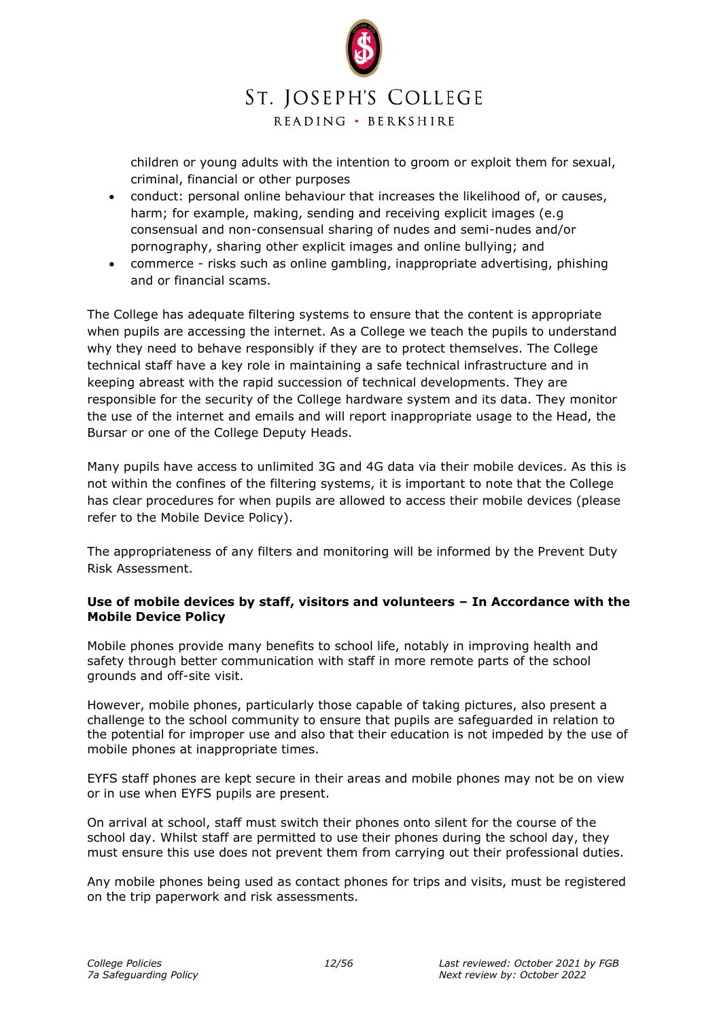

children or young adults with the intention to groom or exploit them for sexual, criminal, financial or other purposes

- conduct: personal online behaviour that increases the likelihood of, or causes, harm; for example, making, sending and receiving explicit images (e.g consensual and non-consensual sharing of nudes and semi-nudes and/or pornography, sharing other explicit images and online bullying; and
- commerce risks such as online gambling, inappropriate advertising, phishing and or financial scams.

The College has adequate filtering systems to ensure that the content is appropriate when pupils are accessing the internet. As a College we teach the pupils to understand why they need to behave responsibly if they are to protect themselves. The College technical staff have a key role in maintaining a safe technical infrastructure and in keeping abreast with the rapid succession of technical developments. They are responsible for the security of the College hardware system and its data. They monitor the use of the internet and emails and will report inappropriate usage to the Head, the Bursar or one of the College Deputy Heads.

Many pupils have access to unlimited 3G and 4G data via their mobile devices. As this is not within the confines of the filtering systems, it is important to note that the College has clear procedures for when pupils are allowed to access their mobile devices (please refer to the Mobile Device Policy).

The appropriateness of any filters and monitoring will be informed by the Prevent Duty Risk Assessment.

#### **Use of mobile devices by staff, visitors and volunteers – In Accordance with the Mobile Device Policy**

Mobile phones provide many benefits to school life, notably in improving health and safety through better communication with staff in more remote parts of the school grounds and off-site visit.

However, mobile phones, particularly those capable of taking pictures, also present a challenge to the school community to ensure that pupils are safeguarded in relation to the potential for improper use and also that their education is not impeded by the use of mobile phones at inappropriate times.

EYFS staff phones are kept secure in their areas and mobile phones may not be on view or in use when EYFS pupils are present.

On arrival at school, staff must switch their phones onto silent for the course of the school day. Whilst staff are permitted to use their phones during the school day, they must ensure this use does not prevent them from carrying out their professional duties.

Any mobile phones being used as contact phones for trips and visits, must be registered on the trip paperwork and risk assessments.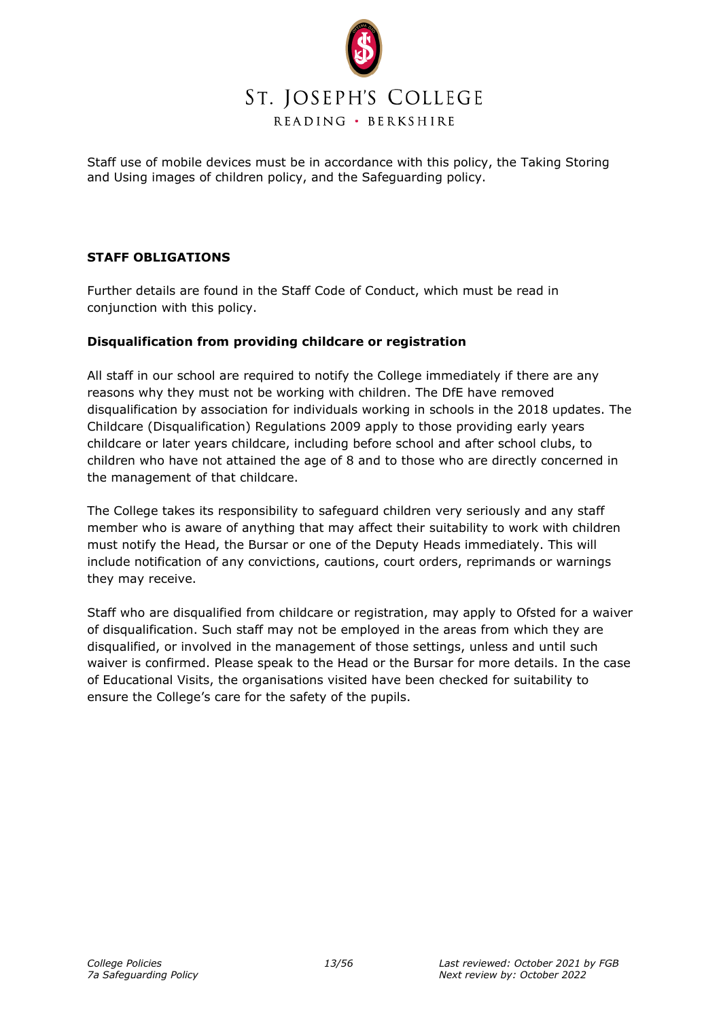

Staff use of mobile devices must be in accordance with this policy, the Taking Storing and Using images of children policy, and the Safeguarding policy.

# **STAFF OBLIGATIONS**

Further details are found in the Staff Code of Conduct, which must be read in conjunction with this policy.

#### **Disqualification from providing childcare or registration**

All staff in our school are required to notify the College immediately if there are any reasons why they must not be working with children. The DfE have removed disqualification by association for individuals working in schools in the 2018 updates. The Childcare (Disqualification) Regulations 2009 apply to those providing early years childcare or later years childcare, including before school and after school clubs, to children who have not attained the age of 8 and to those who are directly concerned in the management of that childcare.

The College takes its responsibility to safeguard children very seriously and any staff member who is aware of anything that may affect their suitability to work with children must notify the Head, the Bursar or one of the Deputy Heads immediately. This will include notification of any convictions, cautions, court orders, reprimands or warnings they may receive.

Staff who are disqualified from childcare or registration, may apply to Ofsted for a waiver of disqualification. Such staff may not be employed in the areas from which they are disqualified, or involved in the management of those settings, unless and until such waiver is confirmed. Please speak to the Head or the Bursar for more details. In the case of Educational Visits, the organisations visited have been checked for suitability to ensure the College's care for the safety of the pupils.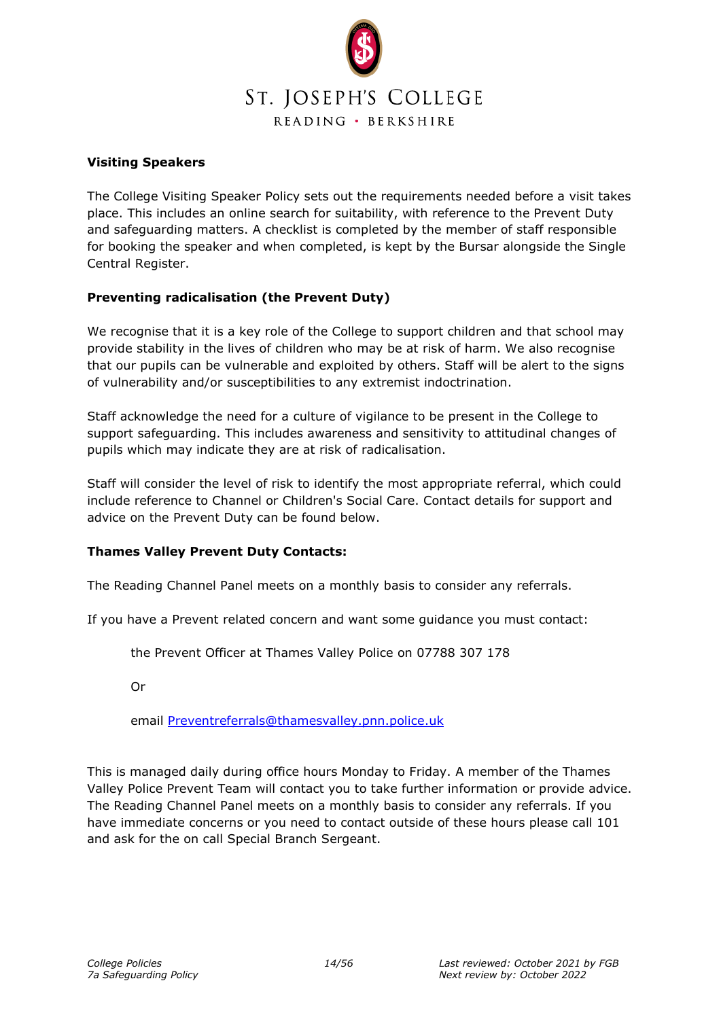

# **Visiting Speakers**

The College Visiting Speaker Policy sets out the requirements needed before a visit takes place. This includes an online search for suitability, with reference to the Prevent Duty and safeguarding matters. A checklist is completed by the member of staff responsible for booking the speaker and when completed, is kept by the Bursar alongside the Single Central Register.

# **Preventing radicalisation (the Prevent Duty)**

We recognise that it is a key role of the College to support children and that school may provide stability in the lives of children who may be at risk of harm. We also recognise that our pupils can be vulnerable and exploited by others. Staff will be alert to the signs of vulnerability and/or susceptibilities to any extremist indoctrination.

Staff acknowledge the need for a culture of vigilance to be present in the College to support safeguarding. This includes awareness and sensitivity to attitudinal changes of pupils which may indicate they are at risk of radicalisation.

Staff will consider the level of risk to identify the most appropriate referral, which could include reference to Channel or Children's Social Care. Contact details for support and advice on the Prevent Duty can be found below.

# **Thames Valley Prevent Duty Contacts:**

The Reading Channel Panel meets on a monthly basis to consider any referrals.

If you have a Prevent related concern and want some guidance you must contact:

the Prevent Officer at Thames Valley Police on 07788 307 178

Or

email [Preventreferrals@thamesvalley.pnn.police.uk](mailto:Preventreferrals@thamesvalley.pnn.police.uk)

This is managed daily during office hours Monday to Friday. A member of the Thames Valley Police Prevent Team will contact you to take further information or provide advice. The Reading Channel Panel meets on a monthly basis to consider any referrals. If you have immediate concerns or you need to contact outside of these hours please call 101 and ask for the on call Special Branch Sergeant.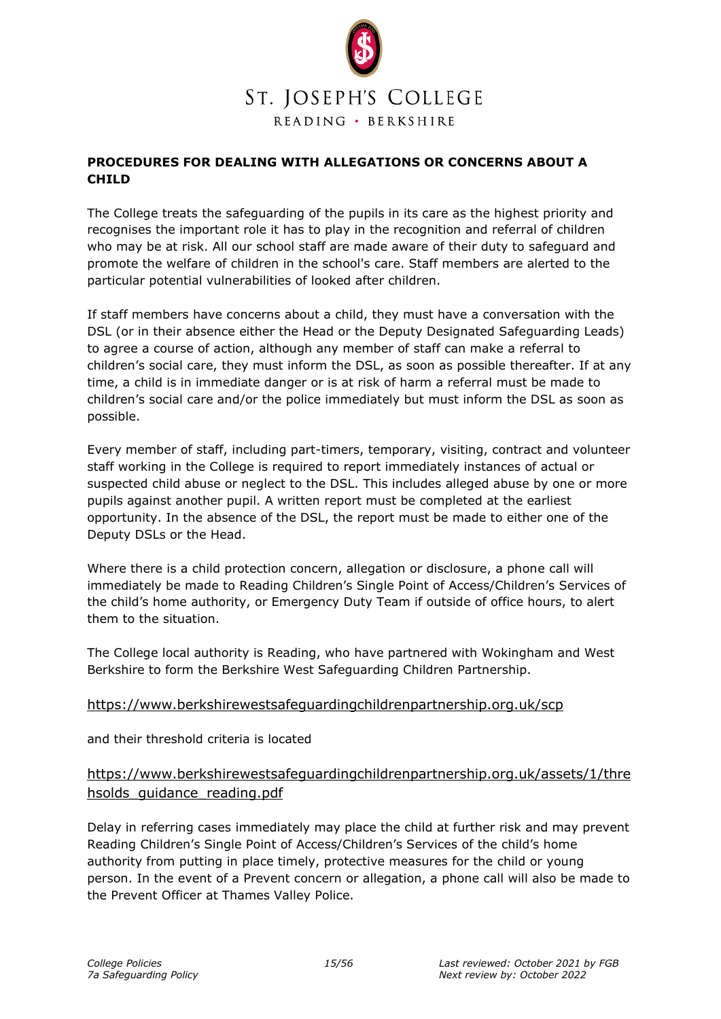

# **PROCEDURES FOR DEALING WITH ALLEGATIONS OR CONCERNS ABOUT A CHILD**

The College treats the safeguarding of the pupils in its care as the highest priority and recognises the important role it has to play in the recognition and referral of children who may be at risk. All our school staff are made aware of their duty to safeguard and promote the welfare of children in the school's care. Staff members are alerted to the particular potential vulnerabilities of looked after children.

If staff members have concerns about a child, they must have a conversation with the DSL (or in their absence either the Head or the Deputy Designated Safeguarding Leads) to agree a course of action, although any member of staff can make a referral to children's social care, they must inform the DSL, as soon as possible thereafter. If at any time, a child is in immediate danger or is at risk of harm a referral must be made to children's social care and/or the police immediately but must inform the DSL as soon as possible.

Every member of staff, including part-timers, temporary, visiting, contract and volunteer staff working in the College is required to report immediately instances of actual or suspected child abuse or neglect to the DSL. This includes alleged abuse by one or more pupils against another pupil. A written report must be completed at the earliest opportunity. In the absence of the DSL, the report must be made to either one of the Deputy DSLs or the Head.

Where there is a child protection concern, allegation or disclosure, a phone call will immediately be made to Reading Children's Single Point of Access/Children's Services of the child's home authority, or Emergency Duty Team if outside of office hours, to alert them to the situation.

The College local authority is Reading, who have partnered with Wokingham and West Berkshire to form the Berkshire West Safeguarding Children Partnership.

# <https://www.berkshirewestsafeguardingchildrenpartnership.org.uk/scp>

and their threshold criteria is located

# [https://www.berkshirewestsafeguardingchildrenpartnership.org.uk/assets/1/thre](https://www.berkshirewestsafeguardingchildrenpartnership.org.uk/assets/1/threhsolds_guidance_reading.pdf) hsolds quidance reading.pdf

Delay in referring cases immediately may place the child at further risk and may prevent Reading Children's Single Point of Access/Children's Services of the child's home authority from putting in place timely, protective measures for the child or young person. In the event of a Prevent concern or allegation, a phone call will also be made to the Prevent Officer at Thames Valley Police.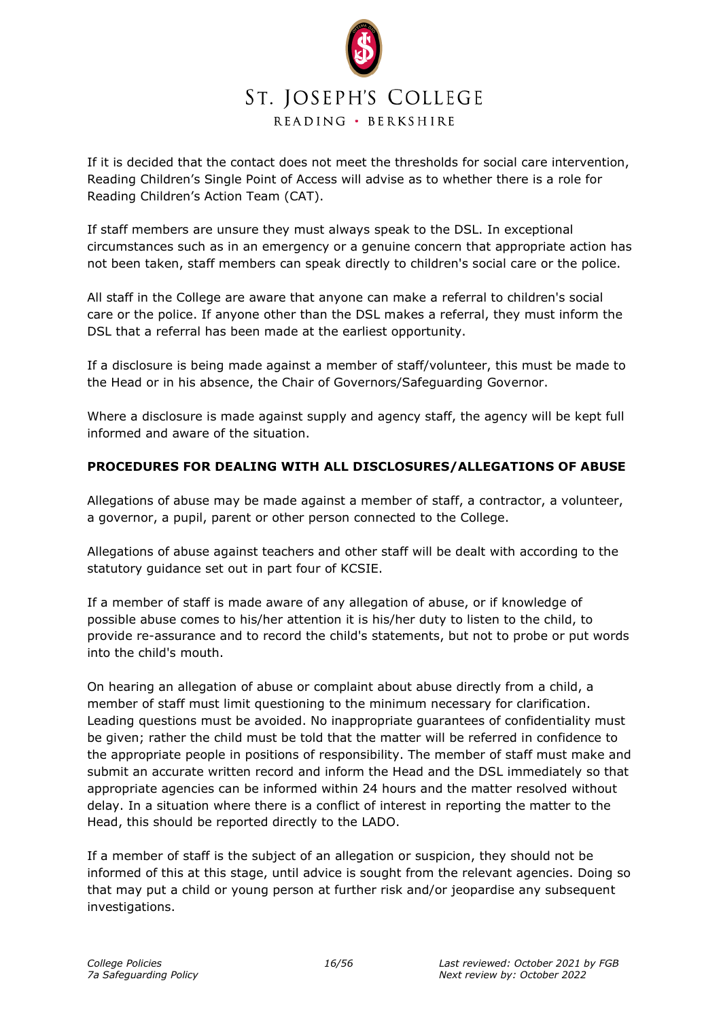

If it is decided that the contact does not meet the thresholds for social care intervention, Reading Children's Single Point of Access will advise as to whether there is a role for Reading Children's Action Team (CAT).

If staff members are unsure they must always speak to the DSL. In exceptional circumstances such as in an emergency or a genuine concern that appropriate action has not been taken, staff members can speak directly to children's social care or the police.

All staff in the College are aware that anyone can make a referral to children's social care or the police. If anyone other than the DSL makes a referral, they must inform the DSL that a referral has been made at the earliest opportunity.

If a disclosure is being made against a member of staff/volunteer, this must be made to the Head or in his absence, the Chair of Governors/Safeguarding Governor.

Where a disclosure is made against supply and agency staff, the agency will be kept full informed and aware of the situation.

# **PROCEDURES FOR DEALING WITH ALL DISCLOSURES/ALLEGATIONS OF ABUSE**

Allegations of abuse may be made against a member of staff, a contractor, a volunteer, a governor, a pupil, parent or other person connected to the College.

Allegations of abuse against teachers and other staff will be dealt with according to the statutory guidance set out in part four of KCSIE.

If a member of staff is made aware of any allegation of abuse, or if knowledge of possible abuse comes to his/her attention it is his/her duty to listen to the child, to provide re-assurance and to record the child's statements, but not to probe or put words into the child's mouth.

On hearing an allegation of abuse or complaint about abuse directly from a child, a member of staff must limit questioning to the minimum necessary for clarification. Leading questions must be avoided. No inappropriate guarantees of confidentiality must be given; rather the child must be told that the matter will be referred in confidence to the appropriate people in positions of responsibility. The member of staff must make and submit an accurate written record and inform the Head and the DSL immediately so that appropriate agencies can be informed within 24 hours and the matter resolved without delay. In a situation where there is a conflict of interest in reporting the matter to the Head, this should be reported directly to the LADO.

If a member of staff is the subject of an allegation or suspicion, they should not be informed of this at this stage, until advice is sought from the relevant agencies. Doing so that may put a child or young person at further risk and/or jeopardise any subsequent investigations.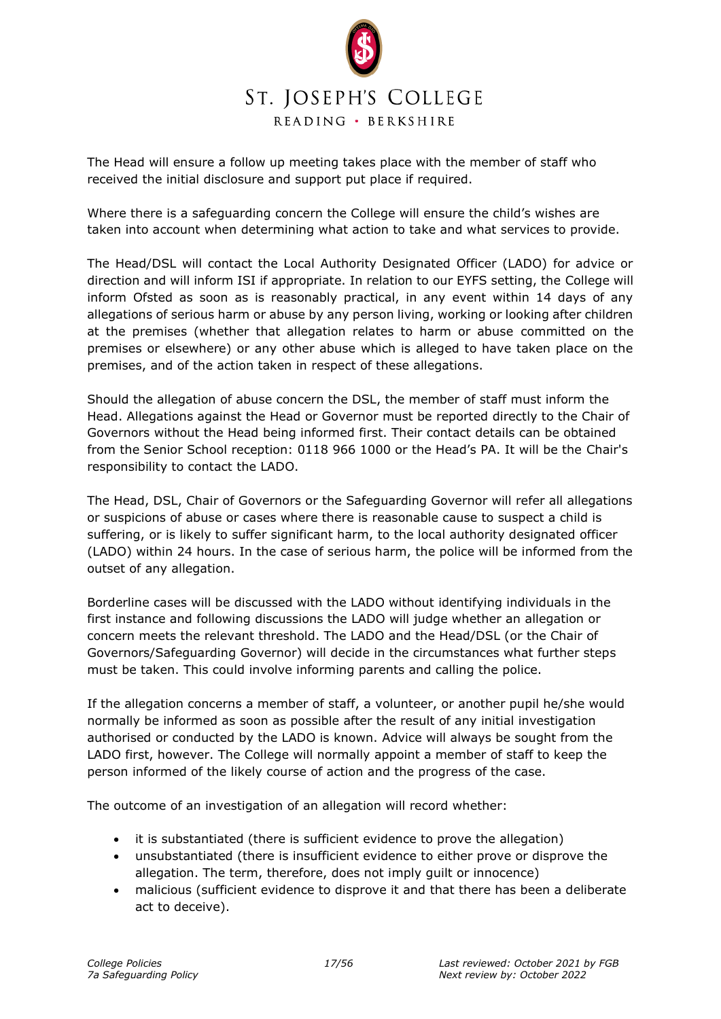

The Head will ensure a follow up meeting takes place with the member of staff who received the initial disclosure and support put place if required.

Where there is a safeguarding concern the College will ensure the child's wishes are taken into account when determining what action to take and what services to provide.

The Head/DSL will contact the Local Authority Designated Officer (LADO) for advice or direction and will inform ISI if appropriate. In relation to our EYFS setting, the College will inform Ofsted as soon as is reasonably practical, in any event within 14 days of any allegations of serious harm or abuse by any person living, working or looking after children at the premises (whether that allegation relates to harm or abuse committed on the premises or elsewhere) or any other abuse which is alleged to have taken place on the premises, and of the action taken in respect of these allegations.

Should the allegation of abuse concern the DSL, the member of staff must inform the Head. Allegations against the Head or Governor must be reported directly to the Chair of Governors without the Head being informed first. Their contact details can be obtained from the Senior School reception: 0118 966 1000 or the Head's PA. It will be the Chair's responsibility to contact the LADO.

The Head, DSL, Chair of Governors or the Safeguarding Governor will refer all allegations or suspicions of abuse or cases where there is reasonable cause to suspect a child is suffering, or is likely to suffer significant harm, to the local authority designated officer (LADO) within 24 hours. In the case of serious harm, the police will be informed from the outset of any allegation.

Borderline cases will be discussed with the LADO without identifying individuals in the first instance and following discussions the LADO will judge whether an allegation or concern meets the relevant threshold. The LADO and the Head/DSL (or the Chair of Governors/Safeguarding Governor) will decide in the circumstances what further steps must be taken. This could involve informing parents and calling the police.

If the allegation concerns a member of staff, a volunteer, or another pupil he/she would normally be informed as soon as possible after the result of any initial investigation authorised or conducted by the LADO is known. Advice will always be sought from the LADO first, however. The College will normally appoint a member of staff to keep the person informed of the likely course of action and the progress of the case.

The outcome of an investigation of an allegation will record whether:

- it is substantiated (there is sufficient evidence to prove the allegation)
- unsubstantiated (there is insufficient evidence to either prove or disprove the allegation. The term, therefore, does not imply guilt or innocence)
- malicious (sufficient evidence to disprove it and that there has been a deliberate act to deceive).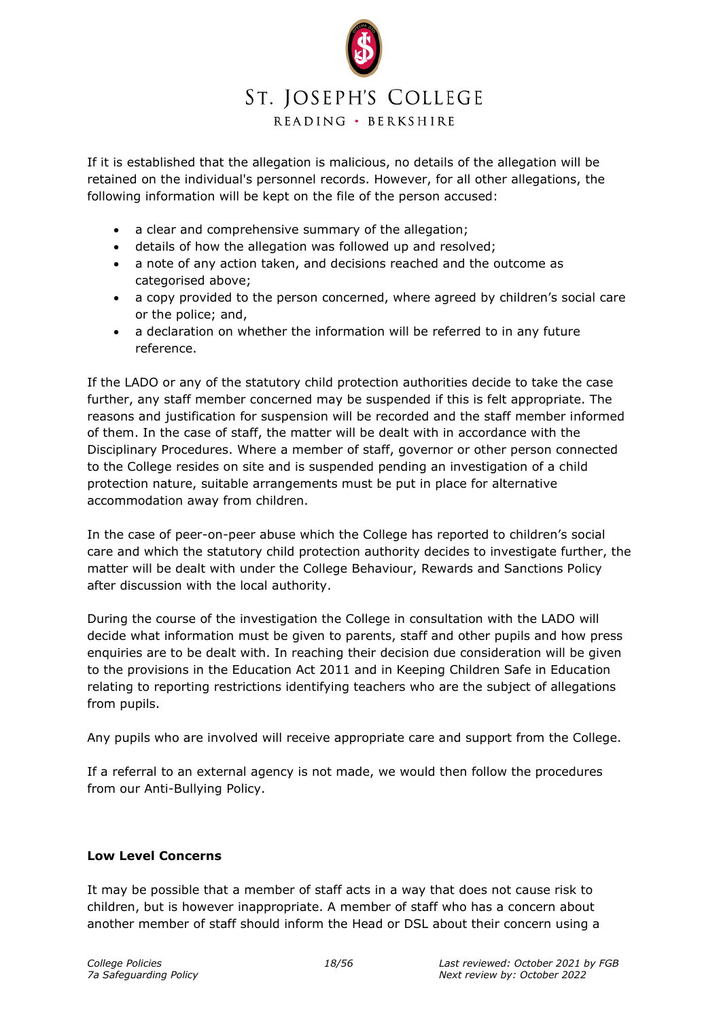# ST. JOSEPH'S COLLEGE

READING · BERKSHIRE

If it is established that the allegation is malicious, no details of the allegation will be retained on the individual's personnel records. However, for all other allegations, the following information will be kept on the file of the person accused:

- a clear and comprehensive summary of the allegation;
- details of how the allegation was followed up and resolved;
- a note of any action taken, and decisions reached and the outcome as categorised above;
- a copy provided to the person concerned, where agreed by children's social care or the police; and,
- a declaration on whether the information will be referred to in any future reference.

If the LADO or any of the statutory child protection authorities decide to take the case further, any staff member concerned may be suspended if this is felt appropriate. The reasons and justification for suspension will be recorded and the staff member informed of them. In the case of staff, the matter will be dealt with in accordance with the Disciplinary Procedures. Where a member of staff, governor or other person connected to the College resides on site and is suspended pending an investigation of a child protection nature, suitable arrangements must be put in place for alternative accommodation away from children.

In the case of peer-on-peer abuse which the College has reported to children's social care and which the statutory child protection authority decides to investigate further, the matter will be dealt with under the College Behaviour, Rewards and Sanctions Policy after discussion with the local authority.

During the course of the investigation the College in consultation with the LADO will decide what information must be given to parents, staff and other pupils and how press enquiries are to be dealt with. In reaching their decision due consideration will be given to the provisions in the Education Act 2011 and in Keeping Children Safe in Education relating to reporting restrictions identifying teachers who are the subject of allegations from pupils.

Any pupils who are involved will receive appropriate care and support from the College.

If a referral to an external agency is not made, we would then follow the procedures from our Anti-Bullying Policy.

# **Low Level Concerns**

It may be possible that a member of staff acts in a way that does not cause risk to children, but is however inappropriate. A member of staff who has a concern about another member of staff should inform the Head or DSL about their concern using a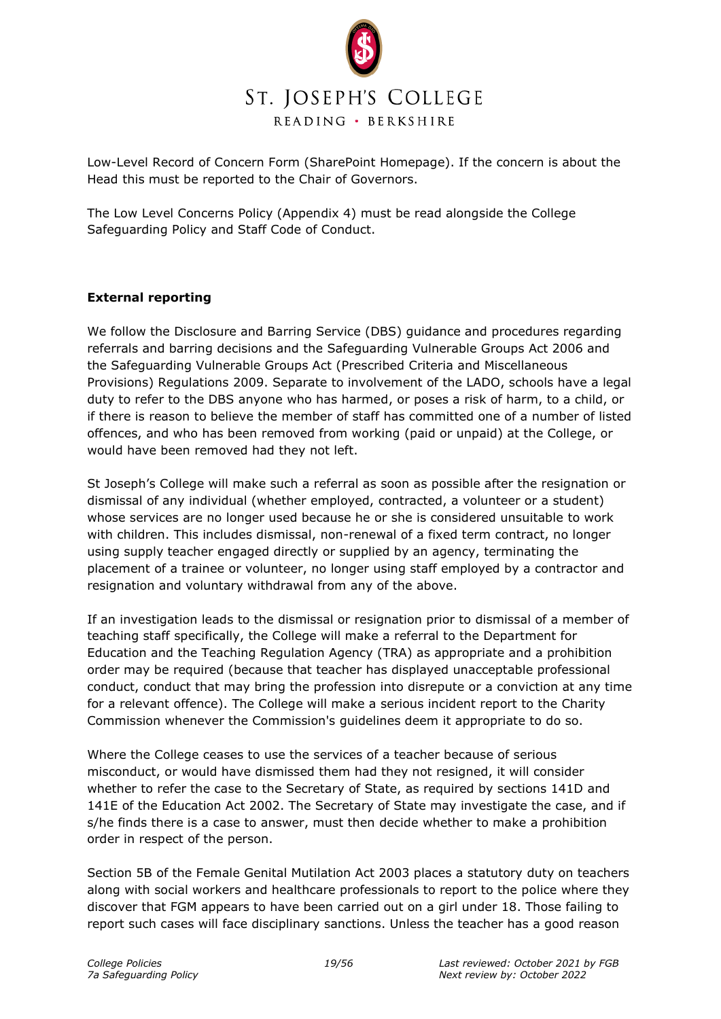

Low-Level Record of Concern Form (SharePoint Homepage). If the concern is about the Head this must be reported to the Chair of Governors.

The Low Level Concerns Policy (Appendix 4) must be read alongside the College Safeguarding Policy and Staff Code of Conduct.

# **External reporting**

We follow the Disclosure and Barring Service (DBS) guidance and procedures regarding referrals and barring decisions and the Safeguarding Vulnerable Groups Act 2006 and the Safeguarding Vulnerable Groups Act (Prescribed Criteria and Miscellaneous Provisions) Regulations 2009. Separate to involvement of the LADO, schools have a legal duty to refer to the DBS anyone who has harmed, or poses a risk of harm, to a child, or if there is reason to believe the member of staff has committed one of a number of listed offences, and who has been removed from working (paid or unpaid) at the College, or would have been removed had they not left.

St Joseph's College will make such a referral as soon as possible after the resignation or dismissal of any individual (whether employed, contracted, a volunteer or a student) whose services are no longer used because he or she is considered unsuitable to work with children. This includes dismissal, non-renewal of a fixed term contract, no longer using supply teacher engaged directly or supplied by an agency, terminating the placement of a trainee or volunteer, no longer using staff employed by a contractor and resignation and voluntary withdrawal from any of the above.

If an investigation leads to the dismissal or resignation prior to dismissal of a member of teaching staff specifically, the College will make a referral to the Department for Education and the Teaching Regulation Agency (TRA) as appropriate and a prohibition order may be required (because that teacher has displayed unacceptable professional conduct, conduct that may bring the profession into disrepute or a conviction at any time for a relevant offence). The College will make a serious incident report to the Charity Commission whenever the Commission's guidelines deem it appropriate to do so.

Where the College ceases to use the services of a teacher because of serious misconduct, or would have dismissed them had they not resigned, it will consider whether to refer the case to the Secretary of State, as required by sections 141D and 141E of the Education Act 2002. The Secretary of State may investigate the case, and if s/he finds there is a case to answer, must then decide whether to make a prohibition order in respect of the person.

Section 5B of the Female Genital Mutilation Act 2003 places a statutory duty on teachers along with social workers and healthcare professionals to report to the police where they discover that FGM appears to have been carried out on a girl under 18. Those failing to report such cases will face disciplinary sanctions. Unless the teacher has a good reason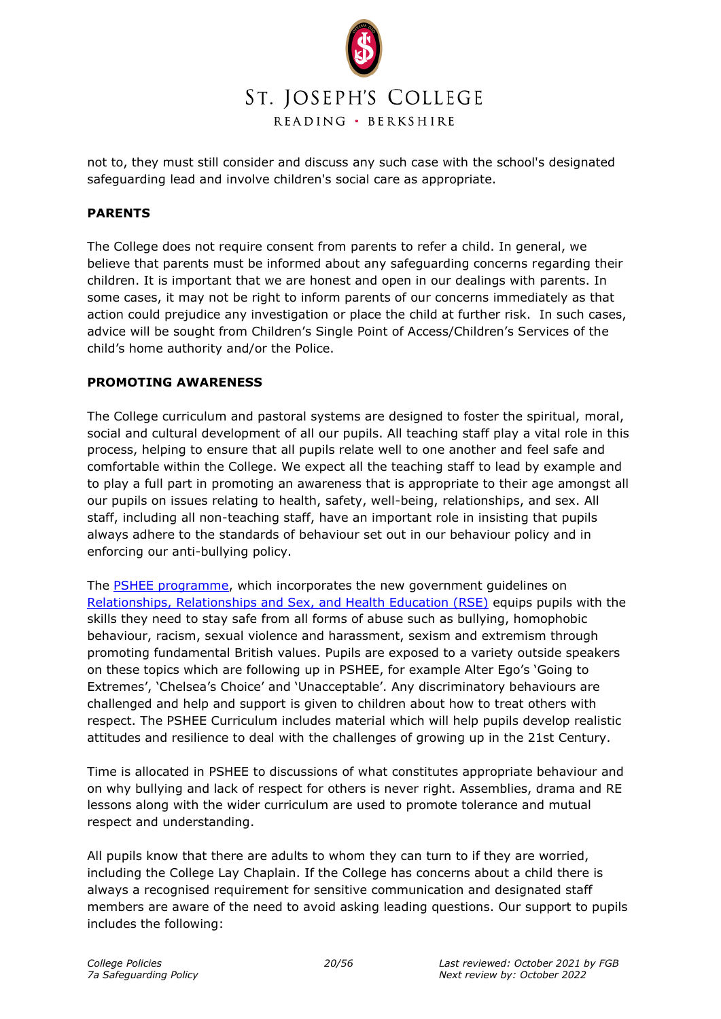

not to, they must still consider and discuss any such case with the school's designated safeguarding lead and involve children's social care as appropriate.

# **PARENTS**

The College does not require consent from parents to refer a child. In general, we believe that parents must be informed about any safeguarding concerns regarding their children. It is important that we are honest and open in our dealings with parents. In some cases, it may not be right to inform parents of our concerns immediately as that action could prejudice any investigation or place the child at further risk. In such cases, advice will be sought from Children's Single Point of Access/Children's Services of the child's home authority and/or the Police.

#### **PROMOTING AWARENESS**

The College curriculum and pastoral systems are designed to foster the spiritual, moral, social and cultural development of all our pupils. All teaching staff play a vital role in this process, helping to ensure that all pupils relate well to one another and feel safe and comfortable within the College. We expect all the teaching staff to lead by example and to play a full part in promoting an awareness that is appropriate to their age amongst all our pupils on issues relating to health, safety, well-being, relationships, and sex. All staff, including all non-teaching staff, have an important role in insisting that pupils always adhere to the standards of behaviour set out in our behaviour policy and in enforcing our anti-bullying policy.

The [PSHEE programme,](https://sjcrorguk.sharepoint.com/:w:/s/Handbook_SP_Data/ETTnAeMu8hVZj6EE1XDvkRQBiRcrS5xYgAOWYC3xvXcxCA) which incorporates the new government guidelines on [Relationships, Relationships and Sex, and Health Education \(RSE\)](https://www.gov.uk/government/publications/relationships-education-relationships-and-sex-education-rse-and-health-education) equips pupils with the skills they need to stay safe from all forms of abuse such as bullying, homophobic behaviour, racism, sexual violence and harassment, sexism and extremism through promoting fundamental British values. Pupils are exposed to a variety outside speakers on these topics which are following up in PSHEE, for example Alter Ego's 'Going to Extremes', 'Chelsea's Choice' and 'Unacceptable'. Any discriminatory behaviours are challenged and help and support is given to children about how to treat others with respect. The PSHEE Curriculum includes material which will help pupils develop realistic attitudes and resilience to deal with the challenges of growing up in the 21st Century.

Time is allocated in PSHEE to discussions of what constitutes appropriate behaviour and on why bullying and lack of respect for others is never right. Assemblies, drama and RE lessons along with the wider curriculum are used to promote tolerance and mutual respect and understanding.

All pupils know that there are adults to whom they can turn to if they are worried, including the College Lay Chaplain. If the College has concerns about a child there is always a recognised requirement for sensitive communication and designated staff members are aware of the need to avoid asking leading questions. Our support to pupils includes the following: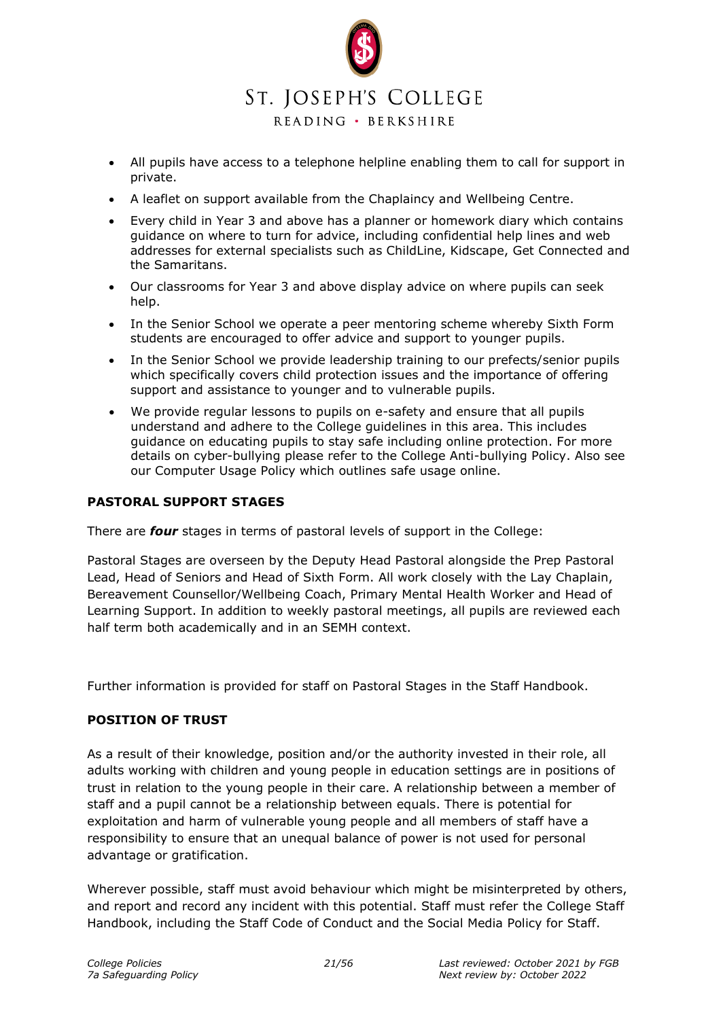

- All pupils have access to a telephone helpline enabling them to call for support in private.
- A leaflet on support available from the Chaplaincy and Wellbeing Centre.
- Every child in Year 3 and above has a planner or homework diary which contains guidance on where to turn for advice, including confidential help lines and web addresses for external specialists such as ChildLine, Kidscape, Get Connected and the Samaritans.
- Our classrooms for Year 3 and above display advice on where pupils can seek help.
- In the Senior School we operate a peer mentoring scheme whereby Sixth Form students are encouraged to offer advice and support to younger pupils.
- In the Senior School we provide leadership training to our prefects/senior pupils which specifically covers child protection issues and the importance of offering support and assistance to younger and to vulnerable pupils.
- We provide regular lessons to pupils on e-safety and ensure that all pupils understand and adhere to the College guidelines in this area. This includes guidance on educating pupils to stay safe including online protection. For more details on cyber-bullying please refer to the College Anti-bullying Policy. Also see our Computer Usage Policy which outlines safe usage online.

# **PASTORAL SUPPORT STAGES**

There are *four* stages in terms of pastoral levels of support in the College:

Pastoral Stages are overseen by the Deputy Head Pastoral alongside the Prep Pastoral Lead, Head of Seniors and Head of Sixth Form. All work closely with the Lay Chaplain, Bereavement Counsellor/Wellbeing Coach, Primary Mental Health Worker and Head of Learning Support. In addition to weekly pastoral meetings, all pupils are reviewed each half term both academically and in an SEMH context.

Further information is provided for staff on Pastoral Stages in the Staff Handbook.

#### **POSITION OF TRUST**

As a result of their knowledge, position and/or the authority invested in their role, all adults working with children and young people in education settings are in positions of trust in relation to the young people in their care. A relationship between a member of staff and a pupil cannot be a relationship between equals. There is potential for exploitation and harm of vulnerable young people and all members of staff have a responsibility to ensure that an unequal balance of power is not used for personal advantage or gratification.

Wherever possible, staff must avoid behaviour which might be misinterpreted by others, and report and record any incident with this potential. Staff must refer the College Staff Handbook, including the Staff Code of Conduct and the Social Media Policy for Staff.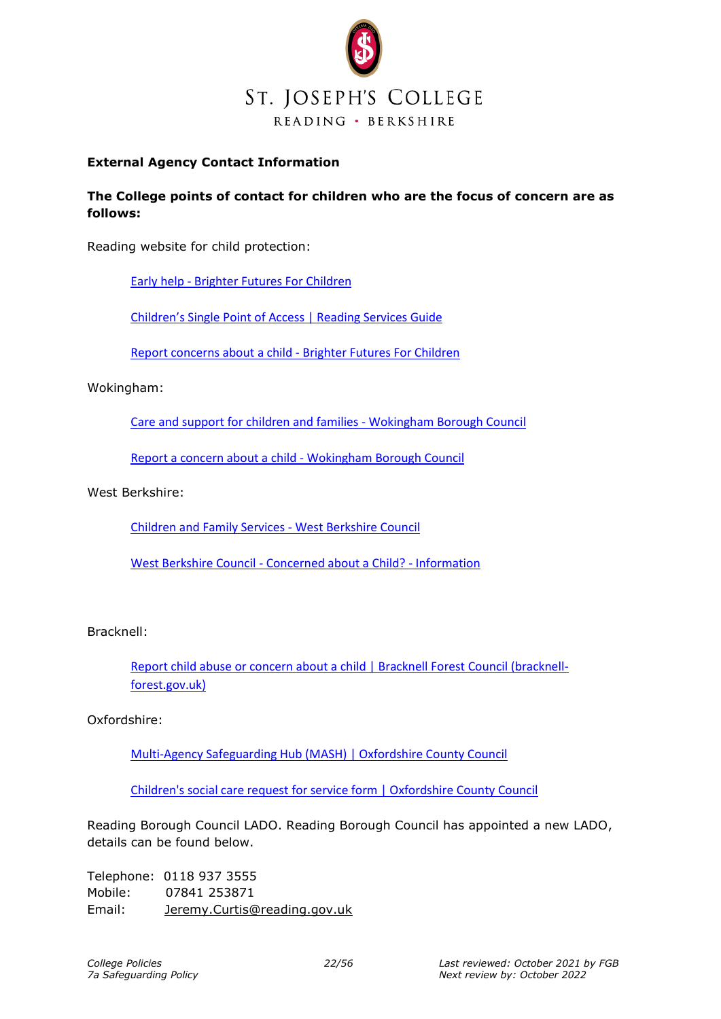

# **External Agency Contact Information**

# **The College points of contact for children who are the focus of concern are as follows:**

Reading website for child protection:

Early help - [Brighter Futures For Children](https://brighterfuturesforchildren.org/for-parents-carers/early-help/)

Children's Single Point of Access | [Reading Services Guide](https://servicesguide.reading.gov.uk/kb5/reading/directory/service.page?id=wW27ndtyj50)

[Report concerns about a child -](https://brighterfuturesforchildren.org/report-concerns-about-a-child/) Brighter Futures For Children

#### Wokingham:

[Care and support for children and families -](https://www.wokingham.gov.uk/children-and-families/) Wokingham Borough Council

[Report a concern about a child -](https://www.wokingham.gov.uk/children-and-families/child-protection-and-family-support/report-a-concern-about-a-child/) Wokingham Borough Council

#### West Berkshire:

[Children and Family Services -](https://www.westberks.gov.uk/article/35564/Children-and-Family-Services) West Berkshire Council

West Berkshire Council - [Concerned about a Child? -](https://info.westberks.gov.uk/article/34606/Concerned-about-a-Child) Information

#### Bracknell:

[Report child abuse or concern about a child | Bracknell Forest Council \(bracknell](https://beta.bracknell-forest.gov.uk/health-and-social-care/keeping-adults-and-children-safe/protecting-children/report-child-abuse-or)[forest.gov.uk\)](https://beta.bracknell-forest.gov.uk/health-and-social-care/keeping-adults-and-children-safe/protecting-children/report-child-abuse-or)

Oxfordshire:

[Multi-Agency Safeguarding Hub \(MASH\) | Oxfordshire County Council](https://www.oxfordshire.gov.uk/business/information-providers/multi-agency-safeguarding-hub)

[Children's social care request for service form | Oxfordshire County Council](https://www2.oxfordshire.gov.uk/cms/content/childrens-social-care-request-service-form)

Reading Borough Council LADO. Reading Borough Council has appointed a new LADO, details can be found below.

Telephone: 0118 937 3555 Mobile: 07841 253871 Email: [Jeremy.Curtis@reading.gov.uk](mailto:Jeremy.Curtis@reading.gov.uk)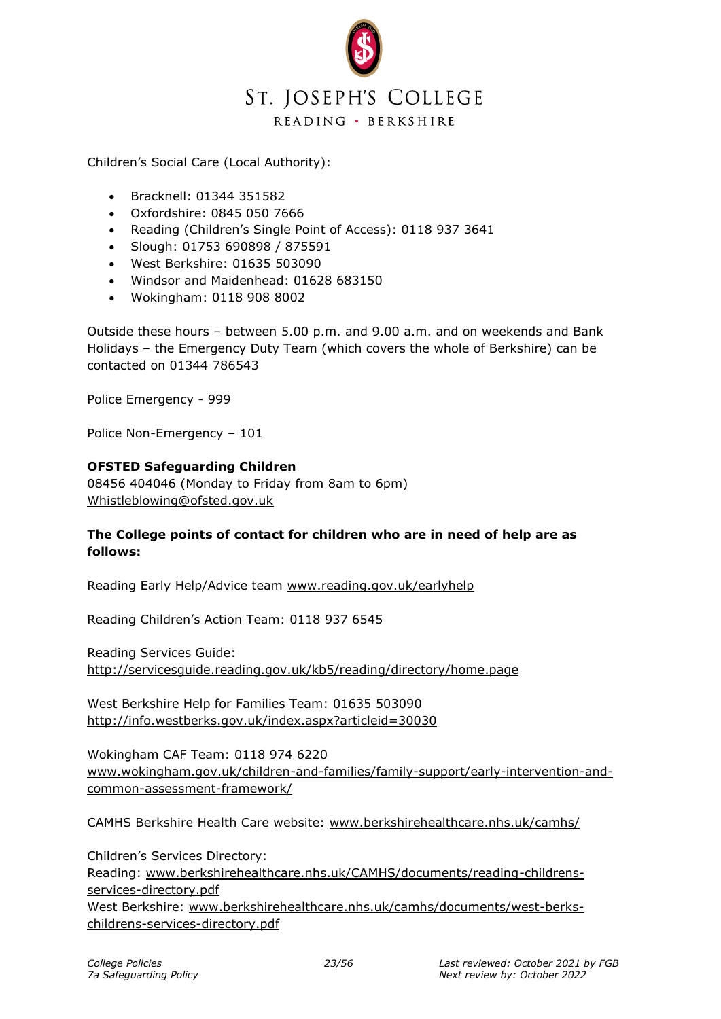

Children's Social Care (Local Authority):

- Bracknell: 01344 351582
- Oxfordshire: 0845 050 7666
- Reading (Children's Single Point of Access): 0118 937 3641
- Slough: 01753 690898 / 875591
- West Berkshire: 01635 503090
- Windsor and Maidenhead: 01628 683150
- Wokingham: 0118 908 8002

Outside these hours – between 5.00 p.m. and 9.00 a.m. and on weekends and Bank Holidays – the Emergency Duty Team (which covers the whole of Berkshire) can be contacted on 01344 786543

Police Emergency - 999

Police Non-Emergency – 101

# **OFSTED Safeguarding Children**

08456 404046 (Monday to Friday from 8am to 6pm[\)](mailto:Whistleblowing@ofsted.gov.uk) [Whistleblowing@ofsted.gov.uk](mailto:Whistleblowing@ofsted.gov.uk)

# **The College points of contact for children who are in need of help are as follows:**

Reading Early Help/Advice team [www.reading.gov.uk/earlyhelp](http://www.reading.gov.uk/earlyhelp)

Reading Children's Action Team: 0118 937 6545

Reading Services Guide: <http://servicesguide.reading.gov.uk/kb5/reading/directory/home.page>

West Berkshire Help for Families Team: 01635 503090 <http://info.westberks.gov.uk/index.aspx?articleid=30030>

Wokingham CAF Team: 0118 974 6220 [www.wokingham.gov.uk/children-and-families/family-support/early-intervention-and](http://www.wokingham.gov.uk/children-and-families/family-support/early-intervention-and-common-assessment-framework/)[common-assessment-framework/](http://www.wokingham.gov.uk/children-and-families/family-support/early-intervention-and-common-assessment-framework/)

CAMHS Berkshire Health Care website: [www.berkshirehealthcare.nhs.uk/camhs/](http://www.berkshirehealthcare.nhs.uk/camhs/)

Children's Services Directory: Reading: [www.berkshirehealthcare.nhs.uk/CAMHS/documents/reading-childrens](http://www.berkshirehealthcare.nhs.uk/CAMHS/documents/reading-childrens-services-directory.pdf)[services-directory.pdf](http://www.berkshirehealthcare.nhs.uk/CAMHS/documents/reading-childrens-services-directory.pdf) West Berkshire: [www.berkshirehealthcare.nhs.uk/camhs/documents/west-berks](http://www.berkshirehealthcare.nhs.uk/camhs/documents/west-berks-childrens-services-directory.pdf)[childrens-services-directory.pdf](http://www.berkshirehealthcare.nhs.uk/camhs/documents/west-berks-childrens-services-directory.pdf)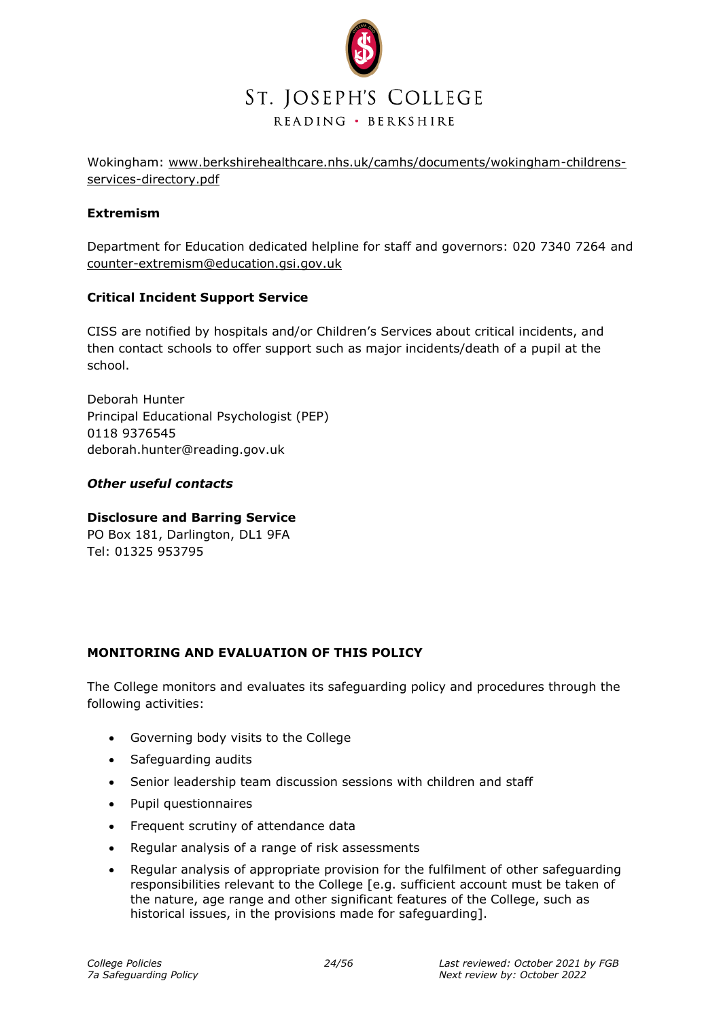

Wokingham: [www.berkshirehealthcare.nhs.uk/camhs/documents/wokingham-childrens](http://www.berkshirehealthcare.nhs.uk/camhs/documents/wokingham-childrens-services-directory.pdf)[services-directory.pdf](http://www.berkshirehealthcare.nhs.uk/camhs/documents/wokingham-childrens-services-directory.pdf)

# **Extremism**

Department for Education dedicated helpline for staff and governors: 020 7340 7264 and [counter-extremism@education.gsi.gov.uk](mailto:counter-extremism@education.gsi.gov.uk) 

# **Critical Incident Support Service**

CISS are notified by hospitals and/or Children's Services about critical incidents, and then contact schools to offer support such as major incidents/death of a pupil at the school.

Deborah Hunter Principal Educational Psychologist (PEP) 0118 9376545 deborah.hunter@reading.gov.uk

#### *Other useful contacts*

# **Disclosure and Barring Service**

PO Box 181, Darlington, DL1 9FA Tel: 01325 953795

# **MONITORING AND EVALUATION OF THIS POLICY**

The College monitors and evaluates its safeguarding policy and procedures through the following activities:

- Governing body visits to the College
- Safeguarding audits
- Senior leadership team discussion sessions with children and staff
- Pupil questionnaires
- Frequent scrutiny of attendance data
- Regular analysis of a range of risk assessments
- Regular analysis of appropriate provision for the fulfilment of other safeguarding responsibilities relevant to the College [e.g. sufficient account must be taken of the nature, age range and other significant features of the College, such as historical issues, in the provisions made for safeguarding].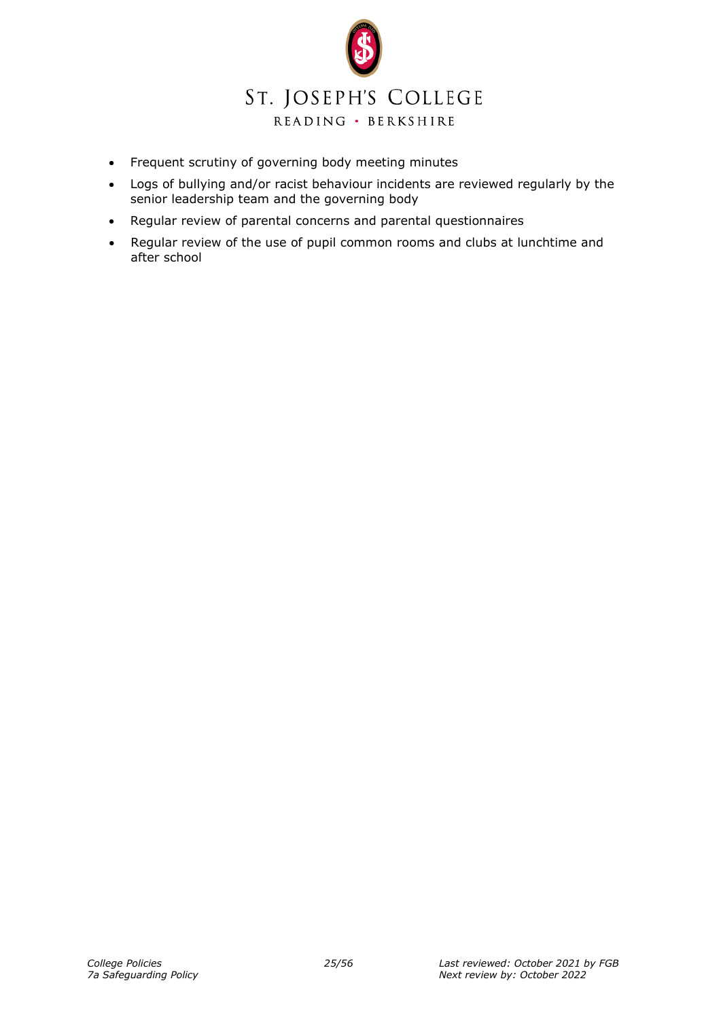

- Frequent scrutiny of governing body meeting minutes
- Logs of bullying and/or racist behaviour incidents are reviewed regularly by the senior leadership team and the governing body
- Regular review of parental concerns and parental questionnaires
- Regular review of the use of pupil common rooms and clubs at lunchtime and after school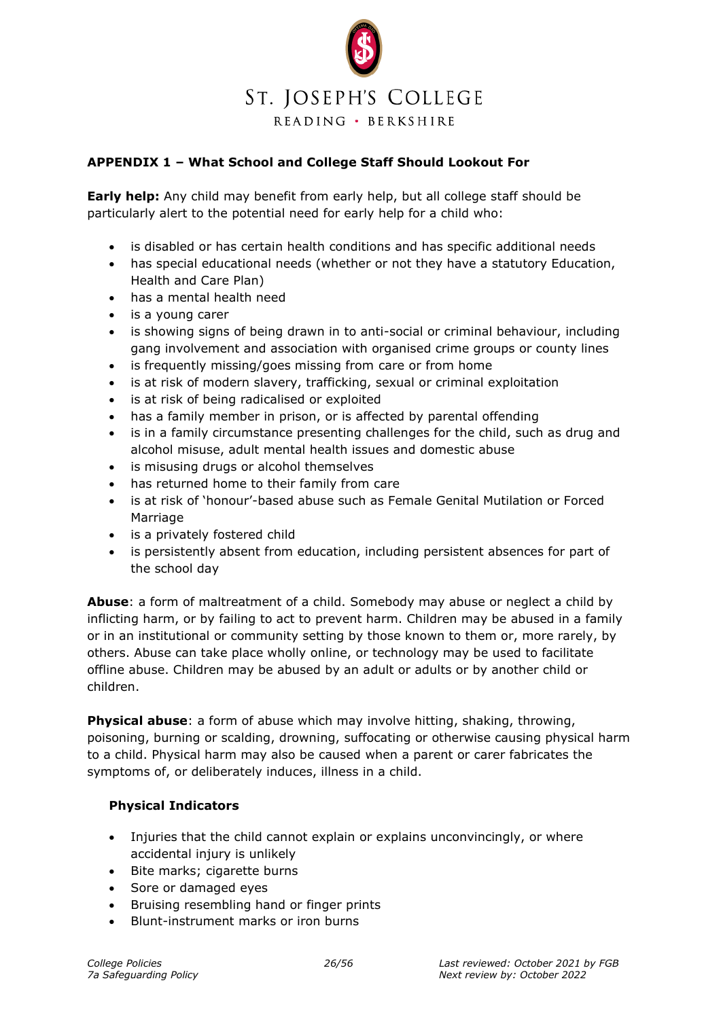

# **APPENDIX 1 – What School and College Staff Should Lookout For**

**Early help:** Any child may benefit from early help, but all college staff should be particularly alert to the potential need for early help for a child who:

- is disabled or has certain health conditions and has specific additional needs
- has special educational needs (whether or not they have a statutory Education, Health and Care Plan)
- has a mental health need
- is a voung carer
- is showing signs of being drawn in to anti-social or criminal behaviour, including gang involvement and association with organised crime groups or county lines
- is frequently missing/goes missing from care or from home
- is at risk of modern slavery, trafficking, sexual or criminal exploitation
- is at risk of being radicalised or exploited
- has a family member in prison, or is affected by parental offending
- is in a family circumstance presenting challenges for the child, such as drug and alcohol misuse, adult mental health issues and domestic abuse
- is misusing drugs or alcohol themselves
- has returned home to their family from care
- is at risk of 'honour'-based abuse such as Female Genital Mutilation or Forced Marriage
- is a privately fostered child
- is persistently absent from education, including persistent absences for part of the school day

**Abuse**: a form of maltreatment of a child. Somebody may abuse or neglect a child by inflicting harm, or by failing to act to prevent harm. Children may be abused in a family or in an institutional or community setting by those known to them or, more rarely, by others. Abuse can take place wholly online, or technology may be used to facilitate offline abuse. Children may be abused by an adult or adults or by another child or children.

**Physical abuse**: a form of abuse which may involve hitting, shaking, throwing, poisoning, burning or scalding, drowning, suffocating or otherwise causing physical harm to a child. Physical harm may also be caused when a parent or carer fabricates the symptoms of, or deliberately induces, illness in a child.

#### **Physical Indicators**

- Injuries that the child cannot explain or explains unconvincingly, or where accidental injury is unlikely
- Bite marks; cigarette burns
- Sore or damaged eyes
- Bruising resembling hand or finger prints
- Blunt-instrument marks or iron burns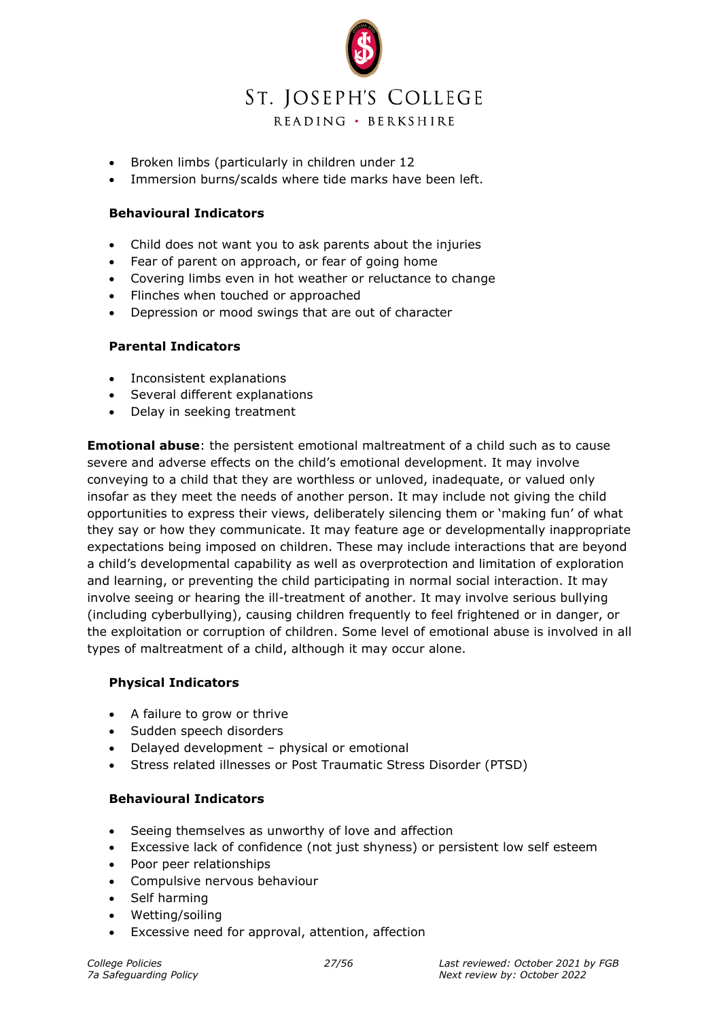

- Broken limbs (particularly in children under 12
- Immersion burns/scalds where tide marks have been left.

#### **Behavioural Indicators**

- Child does not want you to ask parents about the injuries
- Fear of parent on approach, or fear of going home
- Covering limbs even in hot weather or reluctance to change
- Flinches when touched or approached
- Depression or mood swings that are out of character

#### **Parental Indicators**

- Inconsistent explanations
- Several different explanations
- Delay in seeking treatment

**Emotional abuse**: the persistent emotional maltreatment of a child such as to cause severe and adverse effects on the child's emotional development. It may involve conveying to a child that they are worthless or unloved, inadequate, or valued only insofar as they meet the needs of another person. It may include not giving the child opportunities to express their views, deliberately silencing them or 'making fun' of what they say or how they communicate. It may feature age or developmentally inappropriate expectations being imposed on children. These may include interactions that are beyond a child's developmental capability as well as overprotection and limitation of exploration and learning, or preventing the child participating in normal social interaction. It may involve seeing or hearing the ill-treatment of another. It may involve serious bullying (including cyberbullying), causing children frequently to feel frightened or in danger, or the exploitation or corruption of children. Some level of emotional abuse is involved in all types of maltreatment of a child, although it may occur alone.

#### **Physical Indicators**

- A failure to grow or thrive
- Sudden speech disorders
- Delayed development physical or emotional
- Stress related illnesses or Post Traumatic Stress Disorder (PTSD)

#### **Behavioural Indicators**

- Seeing themselves as unworthy of love and affection
- Excessive lack of confidence (not just shyness) or persistent low self esteem
- Poor peer relationships
- Compulsive nervous behaviour
- Self harming
- Wetting/soiling
- Excessive need for approval, attention, affection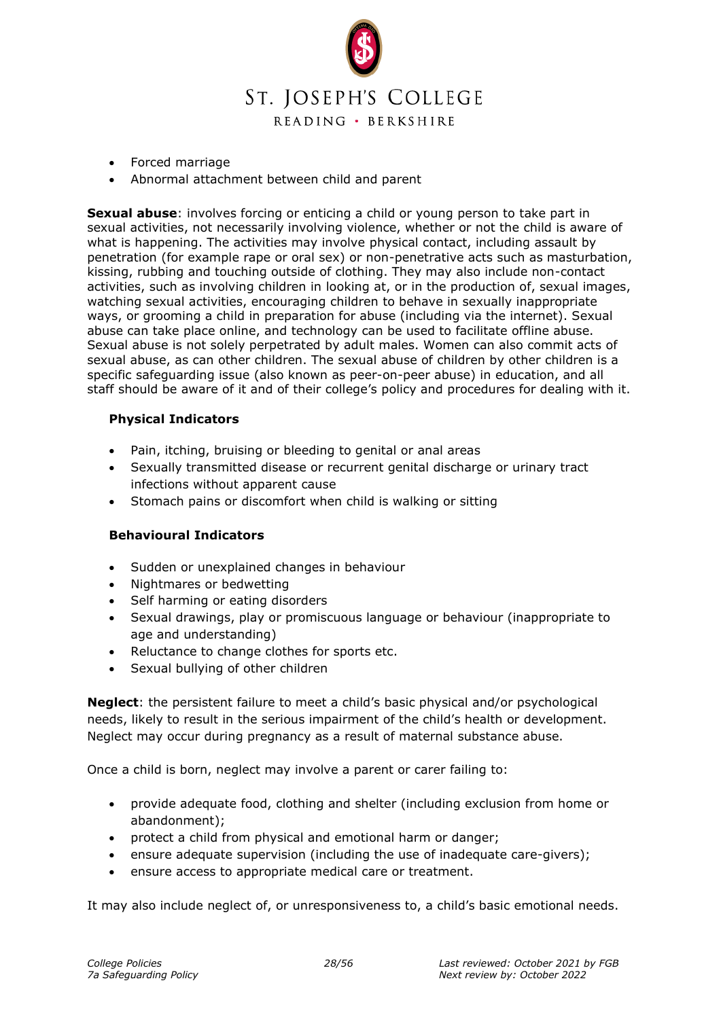

- Forced marriage
- Abnormal attachment between child and parent

**Sexual abuse**: involves forcing or enticing a child or young person to take part in sexual activities, not necessarily involving violence, whether or not the child is aware of what is happening. The activities may involve physical contact, including assault by penetration (for example rape or oral sex) or non-penetrative acts such as masturbation, kissing, rubbing and touching outside of clothing. They may also include non-contact activities, such as involving children in looking at, or in the production of, sexual images, watching sexual activities, encouraging children to behave in sexually inappropriate ways, or grooming a child in preparation for abuse (including via the internet). Sexual abuse can take place online, and technology can be used to facilitate offline abuse. Sexual abuse is not solely perpetrated by adult males. Women can also commit acts of sexual abuse, as can other children. The sexual abuse of children by other children is a specific safeguarding issue (also known as peer-on-peer abuse) in education, and all staff should be aware of it and of their college's policy and procedures for dealing with it.

#### **Physical Indicators**

- Pain, itching, bruising or bleeding to genital or anal areas
- Sexually transmitted disease or recurrent genital discharge or urinary tract infections without apparent cause
- Stomach pains or discomfort when child is walking or sitting

#### **Behavioural Indicators**

- Sudden or unexplained changes in behaviour
- Nightmares or bedwetting
- Self harming or eating disorders
- Sexual drawings, play or promiscuous language or behaviour (inappropriate to age and understanding)
- Reluctance to change clothes for sports etc.
- Sexual bullying of other children

**Neglect**: the persistent failure to meet a child's basic physical and/or psychological needs, likely to result in the serious impairment of the child's health or development. Neglect may occur during pregnancy as a result of maternal substance abuse.

Once a child is born, neglect may involve a parent or carer failing to:

- provide adequate food, clothing and shelter (including exclusion from home or abandonment);
- protect a child from physical and emotional harm or danger;
- ensure adequate supervision (including the use of inadequate care-givers);
- ensure access to appropriate medical care or treatment.

It may also include neglect of, or unresponsiveness to, a child's basic emotional needs.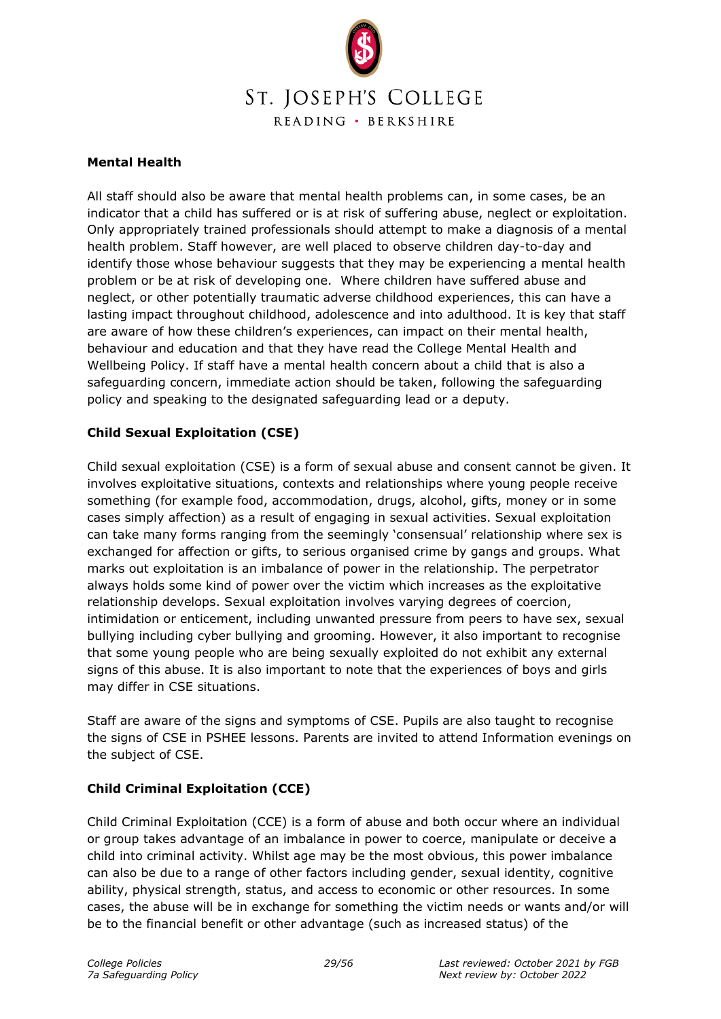

# **Mental Health**

All staff should also be aware that mental health problems can, in some cases, be an indicator that a child has suffered or is at risk of suffering abuse, neglect or exploitation. Only appropriately trained professionals should attempt to make a diagnosis of a mental health problem. Staff however, are well placed to observe children day-to-day and identify those whose behaviour suggests that they may be experiencing a mental health problem or be at risk of developing one. Where children have suffered abuse and neglect, or other potentially traumatic adverse childhood experiences, this can have a lasting impact throughout childhood, adolescence and into adulthood. It is key that staff are aware of how these children's experiences, can impact on their mental health, behaviour and education and that they have read the College Mental Health and Wellbeing Policy. If staff have a mental health concern about a child that is also a safeguarding concern, immediate action should be taken, following the safeguarding policy and speaking to the designated safeguarding lead or a deputy.

# **Child Sexual Exploitation (CSE)**

Child sexual exploitation (CSE) is a form of sexual abuse and consent cannot be given. It involves exploitative situations, contexts and relationships where young people receive something (for example food, accommodation, drugs, alcohol, gifts, money or in some cases simply affection) as a result of engaging in sexual activities. Sexual exploitation can take many forms ranging from the seemingly 'consensual' relationship where sex is exchanged for affection or gifts, to serious organised crime by gangs and groups. What marks out exploitation is an imbalance of power in the relationship. The perpetrator always holds some kind of power over the victim which increases as the exploitative relationship develops. Sexual exploitation involves varying degrees of coercion, intimidation or enticement, including unwanted pressure from peers to have sex, sexual bullying including cyber bullying and grooming. However, it also important to recognise that some young people who are being sexually exploited do not exhibit any external signs of this abuse. It is also important to note that the experiences of boys and girls may differ in CSE situations.

Staff are aware of the signs and symptoms of CSE. Pupils are also taught to recognise the signs of CSE in PSHEE lessons. Parents are invited to attend Information evenings on the subject of CSE.

# **Child Criminal Exploitation (CCE)**

Child Criminal Exploitation (CCE) is a form of abuse and both occur where an individual or group takes advantage of an imbalance in power to coerce, manipulate or deceive a child into criminal activity. Whilst age may be the most obvious, this power imbalance can also be due to a range of other factors including gender, sexual identity, cognitive ability, physical strength, status, and access to economic or other resources. In some cases, the abuse will be in exchange for something the victim needs or wants and/or will be to the financial benefit or other advantage (such as increased status) of the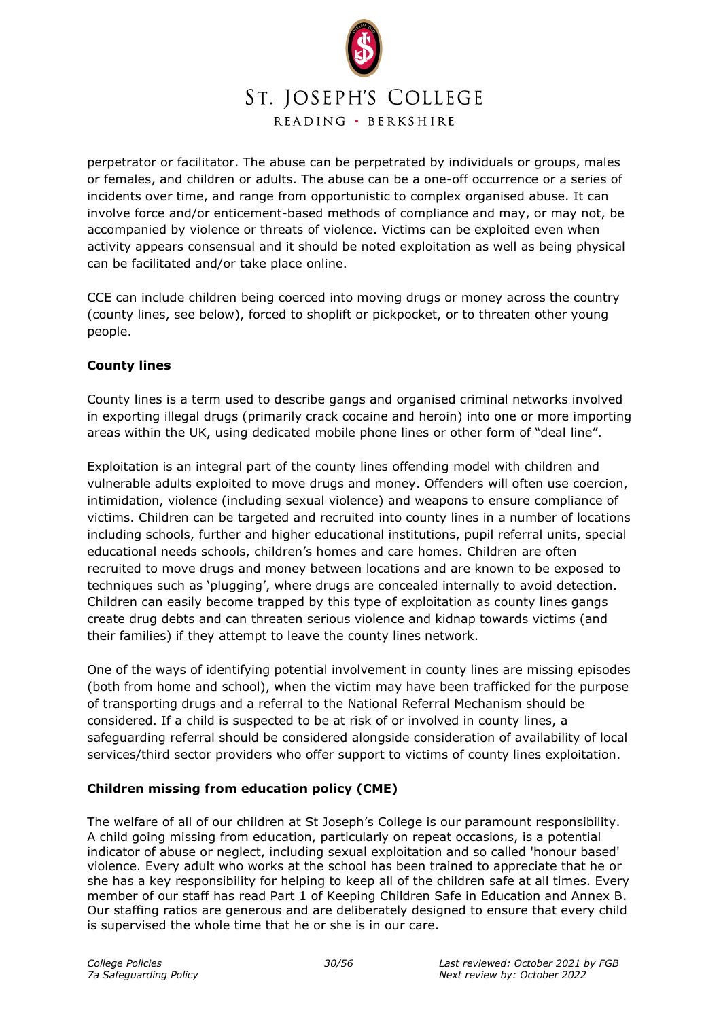

perpetrator or facilitator. The abuse can be perpetrated by individuals or groups, males or females, and children or adults. The abuse can be a one-off occurrence or a series of incidents over time, and range from opportunistic to complex organised abuse. It can involve force and/or enticement-based methods of compliance and may, or may not, be accompanied by violence or threats of violence. Victims can be exploited even when activity appears consensual and it should be noted exploitation as well as being physical can be facilitated and/or take place online.

CCE can include children being coerced into moving drugs or money across the country (county lines, see below), forced to shoplift or pickpocket, or to threaten other young people.

# **County lines**

County lines is a term used to describe gangs and organised criminal networks involved in exporting illegal drugs (primarily crack cocaine and heroin) into one or more importing areas within the UK, using dedicated mobile phone lines or other form of "deal line".

Exploitation is an integral part of the county lines offending model with children and vulnerable adults exploited to move drugs and money. Offenders will often use coercion, intimidation, violence (including sexual violence) and weapons to ensure compliance of victims. Children can be targeted and recruited into county lines in a number of locations including schools, further and higher educational institutions, pupil referral units, special educational needs schools, children's homes and care homes. Children are often recruited to move drugs and money between locations and are known to be exposed to techniques such as 'plugging', where drugs are concealed internally to avoid detection. Children can easily become trapped by this type of exploitation as county lines gangs create drug debts and can threaten serious violence and kidnap towards victims (and their families) if they attempt to leave the county lines network.

One of the ways of identifying potential involvement in county lines are missing episodes (both from home and school), when the victim may have been trafficked for the purpose of transporting drugs and a referral to the National Referral Mechanism should be considered. If a child is suspected to be at risk of or involved in county lines, a safeguarding referral should be considered alongside consideration of availability of local services/third sector providers who offer support to victims of county lines exploitation.

# **Children missing from education policy (CME)**

The welfare of all of our children at St Joseph's College is our paramount responsibility. A child going missing from education, particularly on repeat occasions, is a potential indicator of abuse or neglect, including sexual exploitation and so called 'honour based' violence. Every adult who works at the school has been trained to appreciate that he or she has a key responsibility for helping to keep all of the children safe at all times. Every member of our staff has read Part 1 of Keeping Children Safe in Education and Annex B. Our staffing ratios are generous and are deliberately designed to ensure that every child is supervised the whole time that he or she is in our care.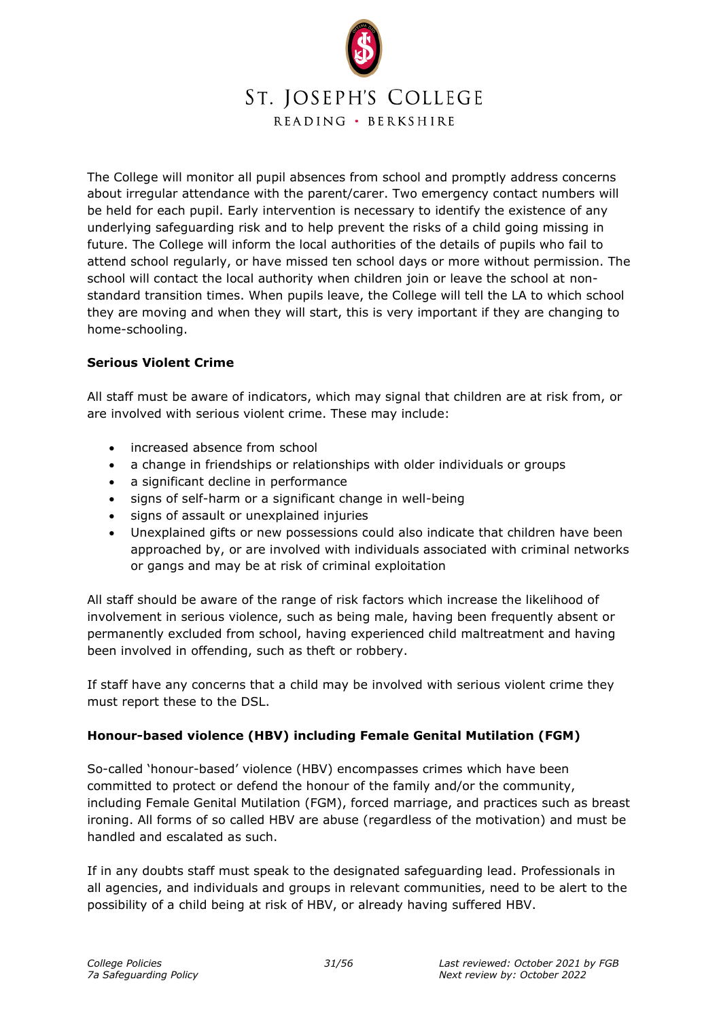

The College will monitor all pupil absences from school and promptly address concerns about irregular attendance with the parent/carer. Two emergency contact numbers will be held for each pupil. Early intervention is necessary to identify the existence of any underlying safeguarding risk and to help prevent the risks of a child going missing in future. The College will inform the local authorities of the details of pupils who fail to attend school regularly, or have missed ten school days or more without permission. The school will contact the local authority when children join or leave the school at nonstandard transition times. When pupils leave, the College will tell the LA to which school they are moving and when they will start, this is very important if they are changing to home-schooling.

# **Serious Violent Crime**

All staff must be aware of indicators, which may signal that children are at risk from, or are involved with serious violent crime. These may include:

- increased absence from school
- a change in friendships or relationships with older individuals or groups
- a significant decline in performance
- signs of self-harm or a significant change in well-being
- signs of assault or unexplained injuries
- Unexplained gifts or new possessions could also indicate that children have been approached by, or are involved with individuals associated with criminal networks or gangs and may be at risk of criminal exploitation

All staff should be aware of the range of risk factors which increase the likelihood of involvement in serious violence, such as being male, having been frequently absent or permanently excluded from school, having experienced child maltreatment and having been involved in offending, such as theft or robbery.

If staff have any concerns that a child may be involved with serious violent crime they must report these to the DSL.

# **Honour-based violence (HBV) including Female Genital Mutilation (FGM)**

So-called 'honour-based' violence (HBV) encompasses crimes which have been committed to protect or defend the honour of the family and/or the community, including Female Genital Mutilation (FGM), forced marriage, and practices such as breast ironing. All forms of so called HBV are abuse (regardless of the motivation) and must be handled and escalated as such.

If in any doubts staff must speak to the designated safeguarding lead. Professionals in all agencies, and individuals and groups in relevant communities, need to be alert to the possibility of a child being at risk of HBV, or already having suffered HBV.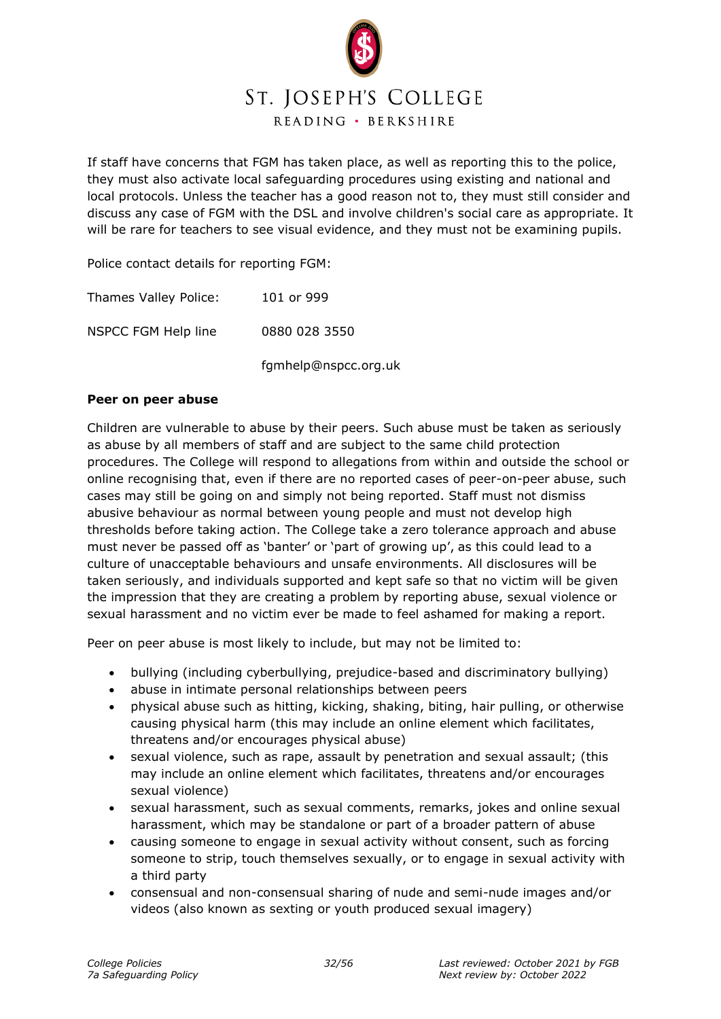

If staff have concerns that FGM has taken place, as well as reporting this to the police, they must also activate local safeguarding procedures using existing and national and local protocols. Unless the teacher has a good reason not to, they must still consider and discuss any case of FGM with the DSL and involve children's social care as appropriate. It will be rare for teachers to see visual evidence, and they must not be examining pupils.

Police contact details for reporting FGM:

Thames Valley Police: 101 or 999

NSPCC FGM Help line 0880 028 3550

fgmhelp@nspcc.org.uk

#### **Peer on peer abuse**

Children are vulnerable to abuse by their peers. Such abuse must be taken as seriously as abuse by all members of staff and are subject to the same child protection procedures. The College will respond to allegations from within and outside the school or online recognising that, even if there are no reported cases of peer-on-peer abuse, such cases may still be going on and simply not being reported. Staff must not dismiss abusive behaviour as normal between young people and must not develop high thresholds before taking action. The College take a zero tolerance approach and abuse must never be passed off as 'banter' or 'part of growing up', as this could lead to a culture of unacceptable behaviours and unsafe environments. All disclosures will be taken seriously, and individuals supported and kept safe so that no victim will be given the impression that they are creating a problem by reporting abuse, sexual violence or sexual harassment and no victim ever be made to feel ashamed for making a report.

Peer on peer abuse is most likely to include, but may not be limited to:

- bullying (including cyberbullying, prejudice-based and discriminatory bullying)
- abuse in intimate personal relationships between peers
- physical abuse such as hitting, kicking, shaking, biting, hair pulling, or otherwise causing physical harm (this may include an online element which facilitates, threatens and/or encourages physical abuse)
- sexual violence, such as rape, assault by penetration and sexual assault; (this may include an online element which facilitates, threatens and/or encourages sexual violence)
- sexual harassment, such as sexual comments, remarks, jokes and online sexual harassment, which may be standalone or part of a broader pattern of abuse
- causing someone to engage in sexual activity without consent, such as forcing someone to strip, touch themselves sexually, or to engage in sexual activity with a third party
- consensual and non-consensual sharing of nude and semi-nude images and/or videos (also known as sexting or youth produced sexual imagery)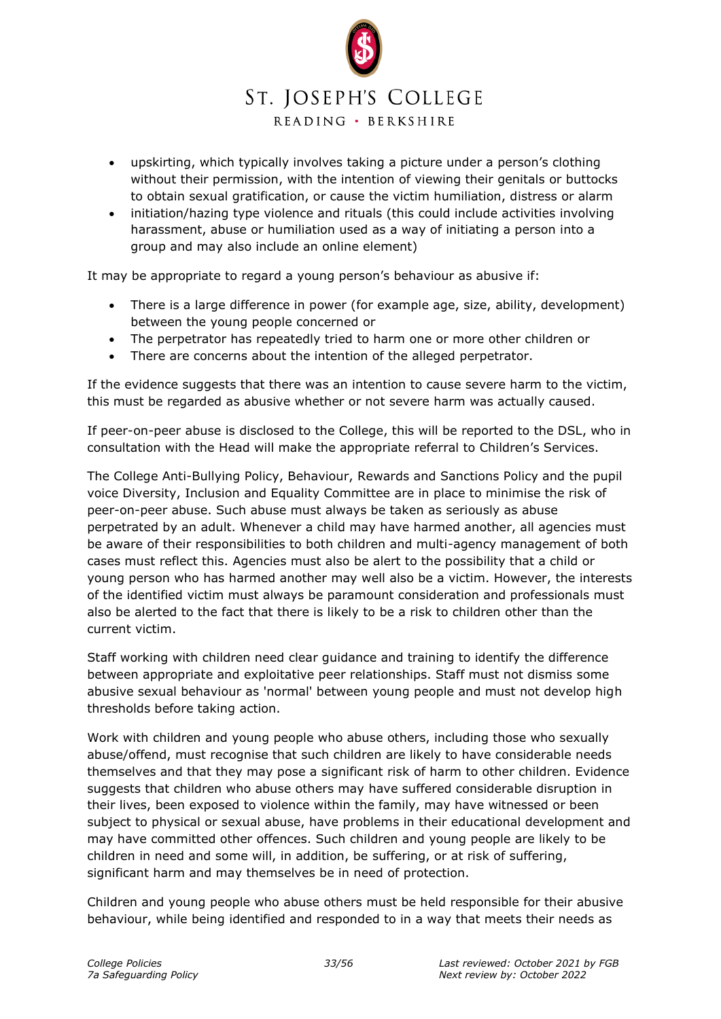# ST. JOSEPH'S COLLEGE

READING · BERKSHIRE

- upskirting, which typically involves taking a picture under a person's clothing without their permission, with the intention of viewing their genitals or buttocks to obtain sexual gratification, or cause the victim humiliation, distress or alarm
- initiation/hazing type violence and rituals (this could include activities involving harassment, abuse or humiliation used as a way of initiating a person into a group and may also include an online element)

It may be appropriate to regard a young person's behaviour as abusive if:

- There is a large difference in power (for example age, size, ability, development) between the young people concerned or
- The perpetrator has repeatedly tried to harm one or more other children or
- There are concerns about the intention of the alleged perpetrator.

If the evidence suggests that there was an intention to cause severe harm to the victim, this must be regarded as abusive whether or not severe harm was actually caused.

If peer-on-peer abuse is disclosed to the College, this will be reported to the DSL, who in consultation with the Head will make the appropriate referral to Children's Services.

The College Anti-Bullying Policy, Behaviour, Rewards and Sanctions Policy and the pupil voice Diversity, Inclusion and Equality Committee are in place to minimise the risk of peer-on-peer abuse. Such abuse must always be taken as seriously as abuse perpetrated by an adult. Whenever a child may have harmed another, all agencies must be aware of their responsibilities to both children and multi-agency management of both cases must reflect this. Agencies must also be alert to the possibility that a child or young person who has harmed another may well also be a victim. However, the interests of the identified victim must always be paramount consideration and professionals must also be alerted to the fact that there is likely to be a risk to children other than the current victim.

Staff working with children need clear guidance and training to identify the difference between appropriate and exploitative peer relationships. Staff must not dismiss some abusive sexual behaviour as 'normal' between young people and must not develop high thresholds before taking action.

Work with children and young people who abuse others, including those who sexually abuse/offend, must recognise that such children are likely to have considerable needs themselves and that they may pose a significant risk of harm to other children. Evidence suggests that children who abuse others may have suffered considerable disruption in their lives, been exposed to violence within the family, may have witnessed or been subject to physical or sexual abuse, have problems in their educational development and may have committed other offences. Such children and young people are likely to be children in need and some will, in addition, be suffering, or at risk of suffering, significant harm and may themselves be in need of protection.

Children and young people who abuse others must be held responsible for their abusive behaviour, while being identified and responded to in a way that meets their needs as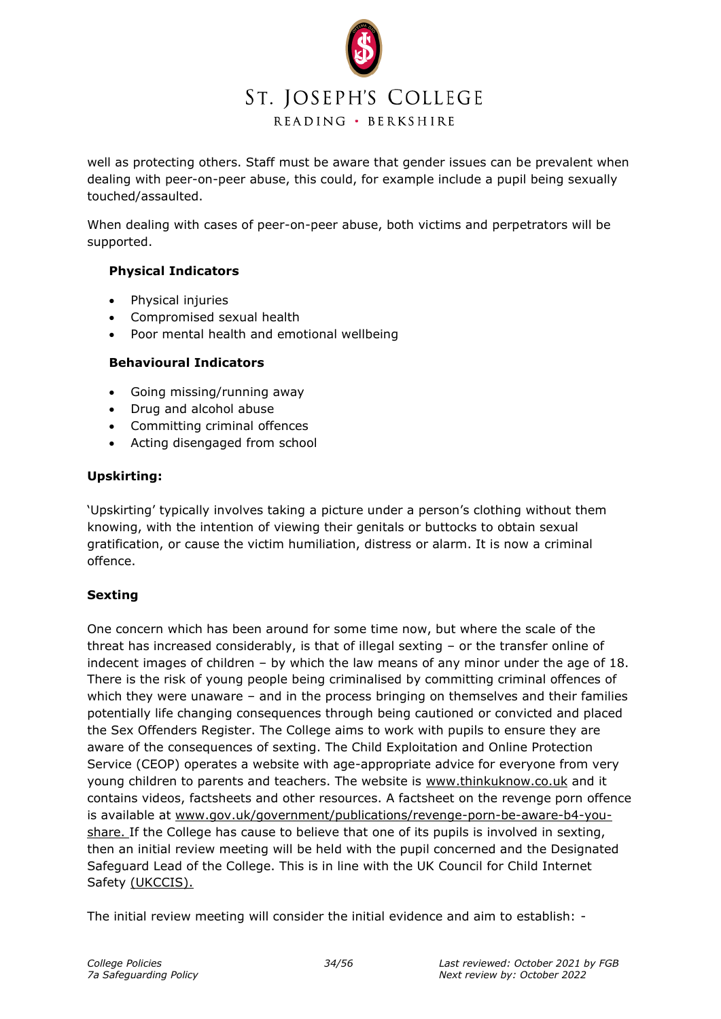

well as protecting others. Staff must be aware that gender issues can be prevalent when dealing with peer-on-peer abuse, this could, for example include a pupil being sexually touched/assaulted.

When dealing with cases of peer-on-peer abuse, both victims and perpetrators will be supported.

# **Physical Indicators**

- Physical injuries
- Compromised sexual health
- Poor mental health and emotional wellbeing

# **Behavioural Indicators**

- Going missing/running away
- Drug and alcohol abuse
- Committing criminal offences
- Acting disengaged from school

#### **Upskirting:**

'Upskirting' typically involves taking a picture under a person's clothing without them knowing, with the intention of viewing their genitals or buttocks to obtain sexual gratification, or cause the victim humiliation, distress or alarm. It is now a criminal offence.

# **Sexting**

One concern which has been around for some time now, but where the scale of the threat has increased considerably, is that of illegal sexting – or the transfer online of indecent images of children – by which the law means of any minor under the age of 18. There is the risk of young people being criminalised by committing criminal offences of which they were unaware – and in the process bringing on themselves and their families potentially life changing consequences through being cautioned or convicted and placed the Sex Offenders Register. The College aims to work with pupils to ensure they are aware of the consequences of sexting. The Child Exploitation and Online Protection Service (CEOP) operates a website with age-appropriate advice for everyone from very young children to parents and teachers. The website is [www.thinkuknow.co.uk](http://www.thinkuknow.co.uk/) and it contains videos, factsheets and other resources. A factsheet on the revenge porn offence is available at [www.gov.uk/government/publications/revenge-porn-be-aware-b4-you](http://www.gov.uk/government/publications/revenge-porn-be-aware-b4-you-share)[share.](http://www.gov.uk/government/publications/revenge-porn-be-aware-b4-you-share) If the College has cause to believe that one of its pupils is involved in sexting, then an initial review meeting will be held with the pupil concerned and the Designated Safeguard Lead of the College. This is in line with the UK Council for Child Internet Safety [\(UKCCIS\).](https://www.gov.uk/government/uploads/system/uploads/attachment_data/file/609874/6_2939_SP_NCA_Sexting_In_Schools_FINAL_Update_Jan17.pdf)

The initial review meeting will consider the initial evidence and aim to establish: -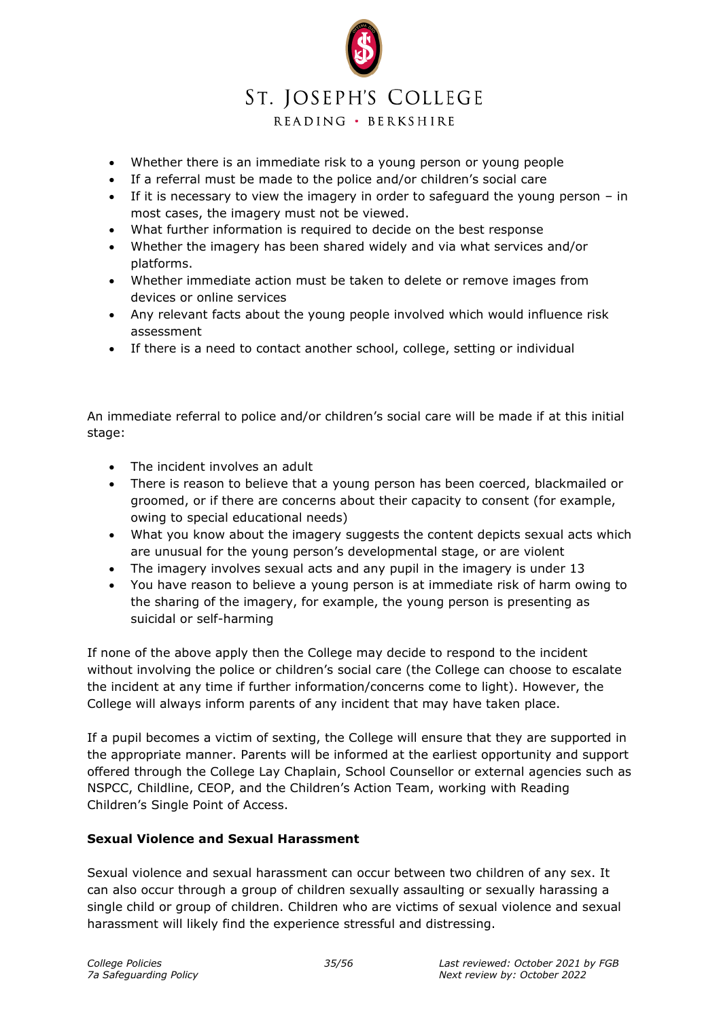# ST. JOSEPH'S COLLEGE

READING · BERKSHIRE

- Whether there is an immediate risk to a young person or young people
- If a referral must be made to the police and/or children's social care
- If it is necessary to view the imagery in order to safeguard the young person in most cases, the imagery must not be viewed.
- What further information is required to decide on the best response
- Whether the imagery has been shared widely and via what services and/or platforms.
- Whether immediate action must be taken to delete or remove images from devices or online services
- Any relevant facts about the young people involved which would influence risk assessment
- If there is a need to contact another school, college, setting or individual

An immediate referral to police and/or children's social care will be made if at this initial stage:

- The incident involves an adult
- There is reason to believe that a young person has been coerced, blackmailed or groomed, or if there are concerns about their capacity to consent (for example, owing to special educational needs)
- What you know about the imagery suggests the content depicts sexual acts which are unusual for the young person's developmental stage, or are violent
- The imagery involves sexual acts and any pupil in the imagery is under 13
- You have reason to believe a young person is at immediate risk of harm owing to the sharing of the imagery, for example, the young person is presenting as suicidal or self-harming

If none of the above apply then the College may decide to respond to the incident without involving the police or children's social care (the College can choose to escalate the incident at any time if further information/concerns come to light). However, the College will always inform parents of any incident that may have taken place.

If a pupil becomes a victim of sexting, the College will ensure that they are supported in the appropriate manner. Parents will be informed at the earliest opportunity and support offered through the College Lay Chaplain, School Counsellor or external agencies such as NSPCC, Childline, CEOP, and the Children's Action Team, working with Reading Children's Single Point of Access.

#### **Sexual Violence and Sexual Harassment**

Sexual violence and sexual harassment can occur between two children of any sex. It can also occur through a group of children sexually assaulting or sexually harassing a single child or group of children. Children who are victims of sexual violence and sexual harassment will likely find the experience stressful and distressing.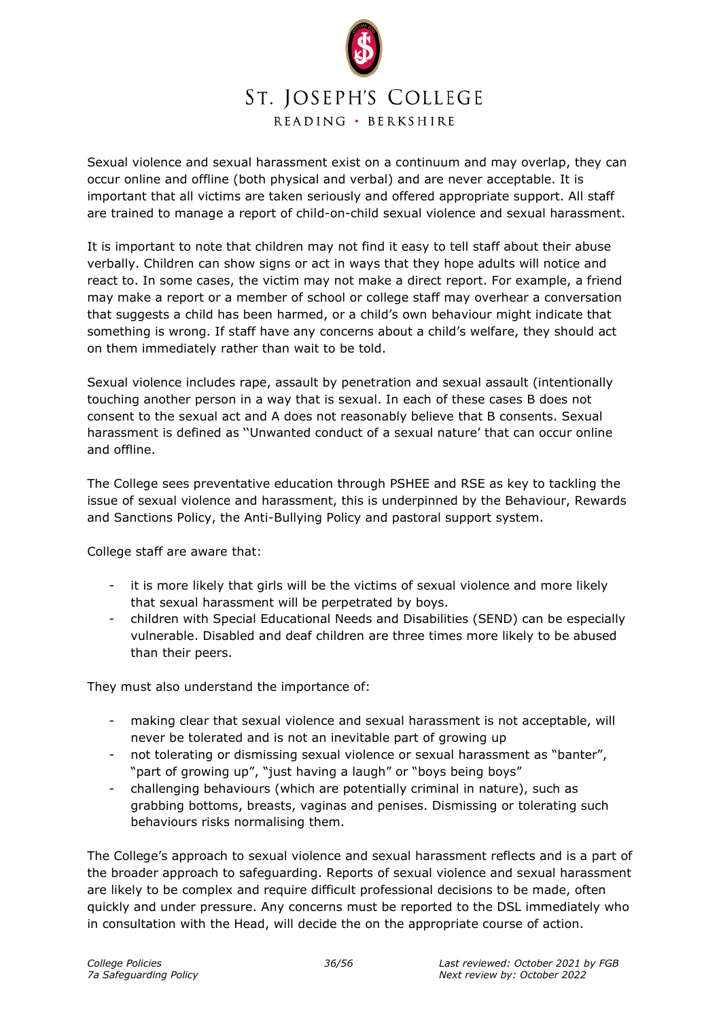

Sexual violence and sexual harassment exist on a continuum and may overlap, they can occur online and offline (both physical and verbal) and are never acceptable. It is important that all victims are taken seriously and offered appropriate support. All staff are trained to manage a report of child-on-child sexual violence and sexual harassment.

It is important to note that children may not find it easy to tell staff about their abuse verbally. Children can show signs or act in ways that they hope adults will notice and react to. In some cases, the victim may not make a direct report. For example, a friend may make a report or a member of school or college staff may overhear a conversation that suggests a child has been harmed, or a child's own behaviour might indicate that something is wrong. If staff have any concerns about a child's welfare, they should act on them immediately rather than wait to be told.

Sexual violence includes rape, assault by penetration and sexual assault (intentionally touching another person in a way that is sexual. In each of these cases B does not consent to the sexual act and A does not reasonably believe that B consents. Sexual harassment is defined as ''Unwanted conduct of a sexual nature' that can occur online and offline.

The College sees preventative education through PSHEE and RSE as key to tackling the issue of sexual violence and harassment, this is underpinned by the Behaviour, Rewards and Sanctions Policy, the Anti-Bullying Policy and pastoral support system.

College staff are aware that:

- it is more likely that girls will be the victims of sexual violence and more likely that sexual harassment will be perpetrated by boys.
- children with Special Educational Needs and Disabilities (SEND) can be especially vulnerable. Disabled and deaf children are three times more likely to be abused than their peers.

They must also understand the importance of:

- making clear that sexual violence and sexual harassment is not acceptable, will never be tolerated and is not an inevitable part of growing up
- not tolerating or dismissing sexual violence or sexual harassment as "banter", "part of growing up", "just having a laugh" or "boys being boys"
- challenging behaviours (which are potentially criminal in nature), such as grabbing bottoms, breasts, vaginas and penises. Dismissing or tolerating such behaviours risks normalising them.

The College's approach to sexual violence and sexual harassment reflects and is a part of the broader approach to safeguarding. Reports of sexual violence and sexual harassment are likely to be complex and require difficult professional decisions to be made, often quickly and under pressure. Any concerns must be reported to the DSL immediately who in consultation with the Head, will decide the on the appropriate course of action.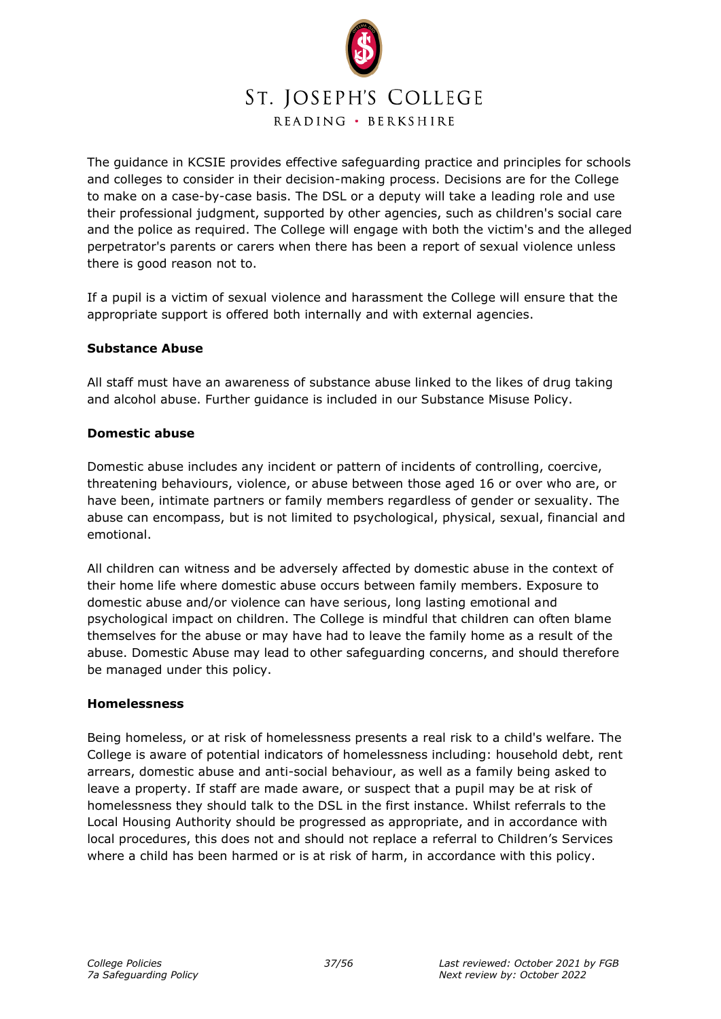

The guidance in KCSIE provides effective safeguarding practice and principles for schools and colleges to consider in their decision-making process. Decisions are for the College to make on a case-by-case basis. The DSL or a deputy will take a leading role and use their professional judgment, supported by other agencies, such as children's social care and the police as required. The College will engage with both the victim's and the alleged perpetrator's parents or carers when there has been a report of sexual violence unless there is good reason not to.

If a pupil is a victim of sexual violence and harassment the College will ensure that the appropriate support is offered both internally and with external agencies.

# **Substance Abuse**

All staff must have an awareness of substance abuse linked to the likes of drug taking and alcohol abuse. Further guidance is included in our Substance Misuse Policy.

#### **Domestic abuse**

Domestic abuse includes any incident or pattern of incidents of controlling, coercive, threatening behaviours, violence, or abuse between those aged 16 or over who are, or have been, intimate partners or family members regardless of gender or sexuality. The abuse can encompass, but is not limited to psychological, physical, sexual, financial and emotional.

All children can witness and be adversely affected by domestic abuse in the context of their home life where domestic abuse occurs between family members. Exposure to domestic abuse and/or violence can have serious, long lasting emotional and psychological impact on children. The College is mindful that children can often blame themselves for the abuse or may have had to leave the family home as a result of the abuse. Domestic Abuse may lead to other safeguarding concerns, and should therefore be managed under this policy.

#### **Homelessness**

Being homeless, or at risk of homelessness presents a real risk to a child's welfare. The College is aware of potential indicators of homelessness including: household debt, rent arrears, domestic abuse and anti-social behaviour, as well as a family being asked to leave a property. If staff are made aware, or suspect that a pupil may be at risk of homelessness they should talk to the DSL in the first instance. Whilst referrals to the Local Housing Authority should be progressed as appropriate, and in accordance with local procedures, this does not and should not replace a referral to Children's Services where a child has been harmed or is at risk of harm, in accordance with this policy.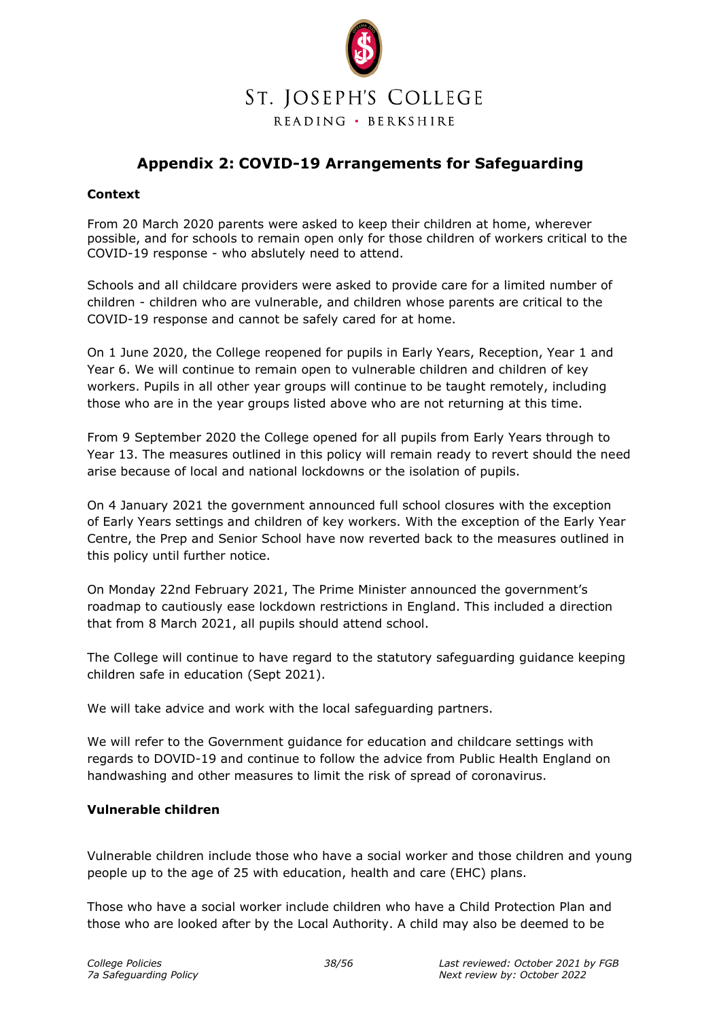

# **Appendix 2: COVID-19 Arrangements for Safeguarding**

### **Context**

From 20 March 2020 parents were asked to keep their children at home, wherever possible, and for schools to remain open only for those children of workers critical to the COVID-19 response - who abslutely need to attend.

Schools and all childcare providers were asked to provide care for a limited number of children - children who are vulnerable, and children whose parents are critical to the COVID-19 response and cannot be safely cared for at home.

On 1 June 2020, the College reopened for pupils in Early Years, Reception, Year 1 and Year 6. We will continue to remain open to vulnerable children and children of key workers. Pupils in all other year groups will continue to be taught remotely, including those who are in the year groups listed above who are not returning at this time.

From 9 September 2020 the College opened for all pupils from Early Years through to Year 13. The measures outlined in this policy will remain ready to revert should the need arise because of local and national lockdowns or the isolation of pupils.

On 4 January 2021 the government announced full school closures with the exception of Early Years settings and children of key workers. With the exception of the Early Year Centre, the Prep and Senior School have now reverted back to the measures outlined in this policy until further notice.

On Monday 22nd February 2021, The Prime Minister announced the government's roadmap to cautiously ease lockdown restrictions in England. This included a direction that from 8 March 2021, all pupils should attend school.

The College will continue to have regard to the statutory safeguarding guidance keeping children safe in education (Sept 2021).

We will take advice and work with the local safeguarding partners.

We will refer to the Government guidance for education and childcare settings with regards to DOVID-19 and continue to follow the advice from Public Health England on handwashing and other measures to limit the risk of spread of coronavirus.

# **Vulnerable children**

Vulnerable children include those who have a social worker and those children and young people up to the age of 25 with education, health and care (EHC) plans.

Those who have a social worker include children who have a Child Protection Plan and those who are looked after by the Local Authority. A child may also be deemed to be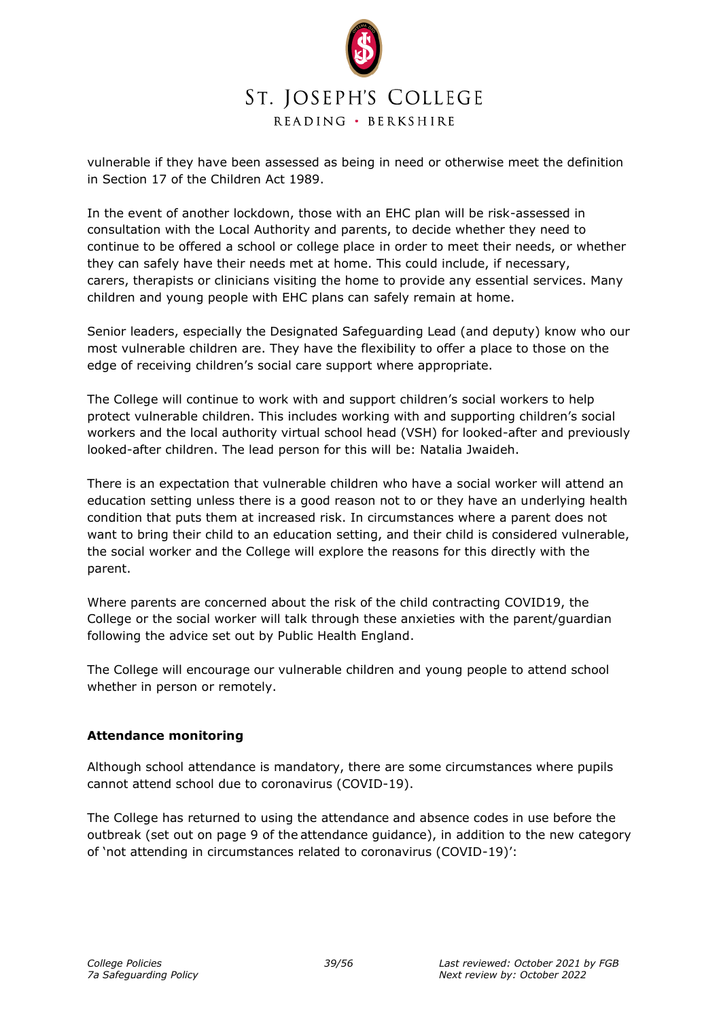

vulnerable if they have been assessed as being in need or otherwise meet the definition in Section 17 of the Children Act 1989.

In the event of another lockdown, those with an EHC plan will be risk-assessed in consultation with the Local Authority and parents, to decide whether they need to continue to be offered a school or college place in order to meet their needs, or whether they can safely have their needs met at home. This could include, if necessary, carers, therapists or clinicians visiting the home to provide any essential services. Many children and young people with EHC plans can safely remain at home.

Senior leaders, especially the Designated Safeguarding Lead (and deputy) know who our most vulnerable children are. They have the flexibility to offer a place to those on the edge of receiving children's social care support where appropriate.

The College will continue to work with and support children's social workers to help protect vulnerable children. This includes working with and supporting children's social workers and the local authority virtual school head (VSH) for looked-after and previously looked-after children. The lead person for this will be: Natalia Jwaideh.

There is an expectation that vulnerable children who have a social worker will attend an education setting unless there is a good reason not to or they have an underlying health condition that puts them at increased risk. In circumstances where a parent does not want to bring their child to an education setting, and their child is considered vulnerable, the social worker and the College will explore the reasons for this directly with the parent.

Where parents are concerned about the risk of the child contracting COVID19, the College or the social worker will talk through these anxieties with the parent/guardian following the advice set out by Public Health England.

The College will encourage our vulnerable children and young people to attend school whether in person or remotely.

# **Attendance monitoring**

Although school attendance is mandatory, there are some circumstances where pupils cannot attend school due to coronavirus (COVID-19).

The College has returned to using the attendance and absence codes in use before the outbreak (set out on page 9 of the [attendance guidance\)](https://www.gov.uk/government/publications/school-attendance), in addition to the new category of 'not attending in circumstances related to coronavirus (COVID-19)':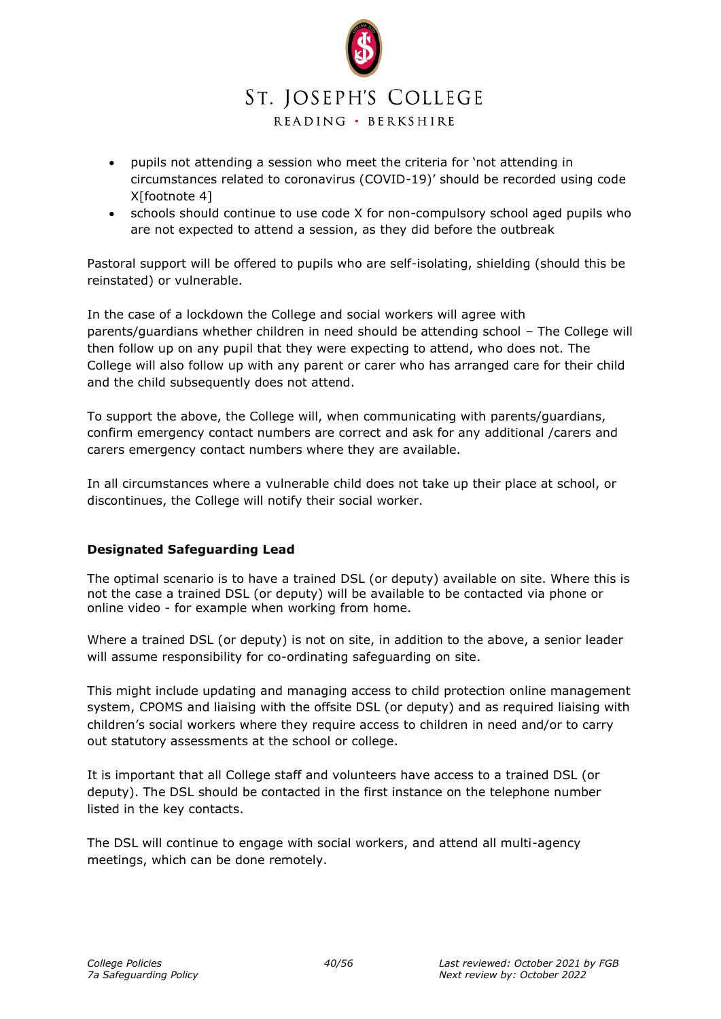

- pupils not attending a session who meet the criteria for 'not attending in circumstances related to coronavirus (COVID-19)' should be recorded using code [X\[footnote 4\]](https://www.gov.uk/government/publications/school-attendance/addendum-recording-attendance-in-relation-to-coronavirus-covid-19-during-the-2020-to-2021-academic-year#fn:4)
- schools should continue to use code X for non-compulsory school aged pupils who are not expected to attend a session, as they did before the outbreak

Pastoral support will be offered to pupils who are self-isolating, shielding (should this be reinstated) or vulnerable.

In the case of a lockdown the College and social workers will agree with parents/guardians whether children in need should be attending school – The College will then follow up on any pupil that they were expecting to attend, who does not. The College will also follow up with any parent or carer who has arranged care for their child and the child subsequently does not attend.

To support the above, the College will, when communicating with parents/guardians, confirm emergency contact numbers are correct and ask for any additional /carers and carers emergency contact numbers where they are available.

In all circumstances where a vulnerable child does not take up their place at school, or discontinues, the College will notify their social worker.

# **Designated Safeguarding Lead**

The optimal scenario is to have a trained DSL (or deputy) available on site. Where this is not the case a trained DSL (or deputy) will be available to be contacted via phone or online video - for example when working from home.

Where a trained DSL (or deputy) is not on site, in addition to the above, a senior leader will assume responsibility for co-ordinating safeguarding on site.

This might include updating and managing access to child protection online management system, CPOMS and liaising with the offsite DSL (or deputy) and as required liaising with children's social workers where they require access to children in need and/or to carry out statutory assessments at the school or college.

It is important that all College staff and volunteers have access to a trained DSL (or deputy). The DSL should be contacted in the first instance on the telephone number listed in the key contacts.

The DSL will continue to engage with social workers, and attend all multi-agency meetings, which can be done remotely.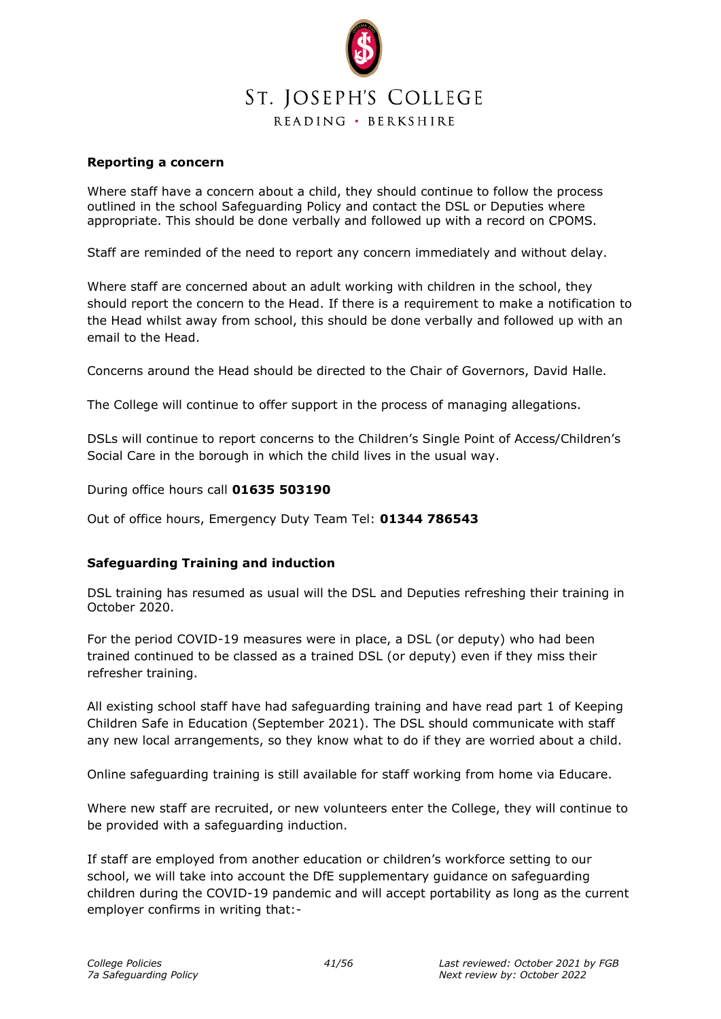

#### **Reporting a concern**

Where staff have a concern about a child, they should continue to follow the process outlined in the school Safeguarding Policy and contact the DSL or Deputies where appropriate. This should be done verbally and followed up with a record on CPOMS.

Staff are reminded of the need to report any concern immediately and without delay.

Where staff are concerned about an adult working with children in the school, they should report the concern to the Head. If there is a requirement to make a notification to the Head whilst away from school, this should be done verbally and followed up with an email to the Head.

Concerns around the Head should be directed to the Chair of Governors, David Halle.

The College will continue to offer support in the process of managing allegations.

DSLs will continue to report concerns to the Children's Single Point of Access/Children's Social Care in the borough in which the child lives in the usual way.

During office hours call **01635 503190**

Out of office hours, Emergency Duty Team Tel: **01344 786543**

#### **Safeguarding Training and induction**

DSL training has resumed as usual will the DSL and Deputies refreshing their training in October 2020.

For the period COVID-19 measures were in place, a DSL (or deputy) who had been trained continued to be classed as a trained DSL (or deputy) even if they miss their refresher training.

All existing school staff have had safeguarding training and have read part 1 of Keeping Children Safe in Education (September 2021). The DSL should communicate with staff any new local arrangements, so they know what to do if they are worried about a child.

Online safeguarding training is still available for staff working from home via Educare.

Where new staff are recruited, or new volunteers enter the College, they will continue to be provided with a safeguarding induction.

If staff are employed from another education or children's workforce setting to our school, we will take into account the DfE supplementary guidance on safeguarding children during the COVID-19 pandemic and will accept portability as long as the current employer confirms in writing that:-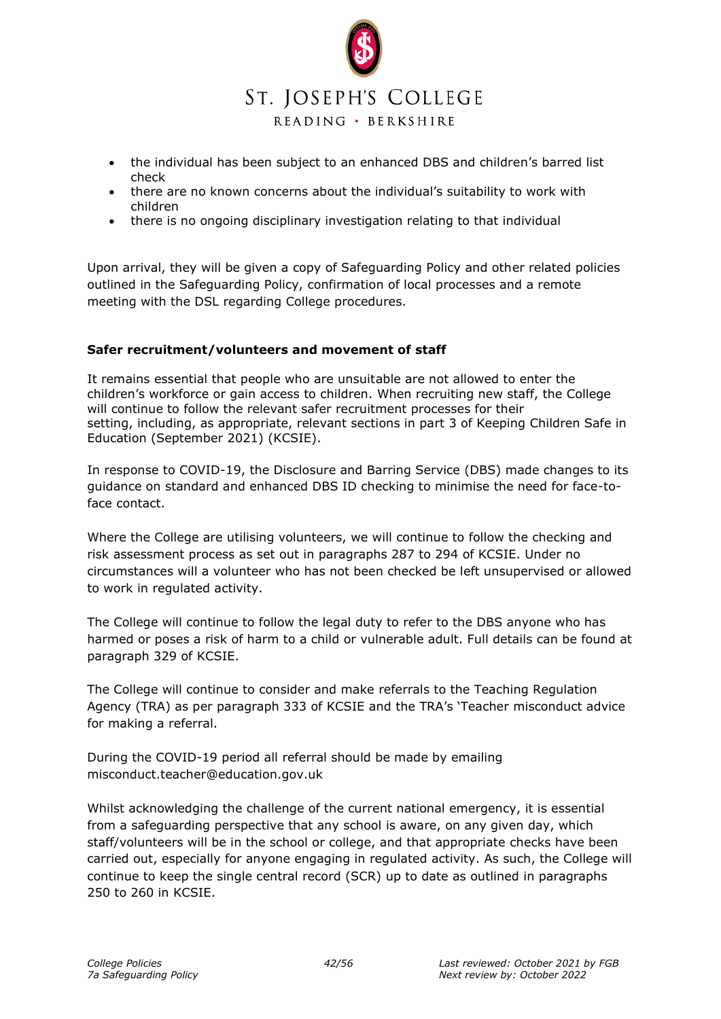

- the individual has been subject to an enhanced DBS and children's barred list check
- there are no known concerns about the individual's suitability to work with children
- there is no ongoing disciplinary investigation relating to that individual

Upon arrival, they will be given a copy of Safeguarding Policy and other related policies outlined in the Safeguarding Policy, confirmation of local processes and a remote meeting with the DSL regarding College procedures.

# **Safer recruitment/volunteers and movement of staff**

It remains essential that people who are unsuitable are not allowed to enter the children's workforce or gain access to children. When recruiting new staff, the College will continue to follow the relevant safer recruitment processes for their setting, including, as appropriate, relevant sections in part 3 of Keeping Children Safe in Education (September 2021) (KCSIE).

In response to COVID-19, the Disclosure and Barring Service (DBS) made changes to its guidance on standard and enhanced DBS ID checking to minimise the need for face-toface contact.

Where the College are utilising volunteers, we will continue to follow the checking and risk assessment process as set out in paragraphs 287 to 294 of KCSIE. Under no circumstances will a volunteer who has not been checked be left unsupervised or allowed to work in regulated activity.

The College will continue to follow the legal duty to refer to the DBS anyone who has harmed or poses a risk of harm to a child or vulnerable adult. Full details can be found at paragraph 329 of KCSIE.

The College will continue to consider and make referrals to the Teaching Regulation Agency (TRA) as per paragraph 333 of KCSIE and the TRA's 'Teacher misconduct advice for making a referral.

During the COVID-19 period all referral should be made by emailing misconduct.teacher@education.gov.uk

Whilst acknowledging the challenge of the current national emergency, it is essential from a safeguarding perspective that any school is aware, on any given day, which staff/volunteers will be in the school or college, and that appropriate checks have been carried out, especially for anyone engaging in regulated activity. As such, the College will continue to keep the single central record (SCR) up to date as outlined in paragraphs 250 to 260 in KCSIE.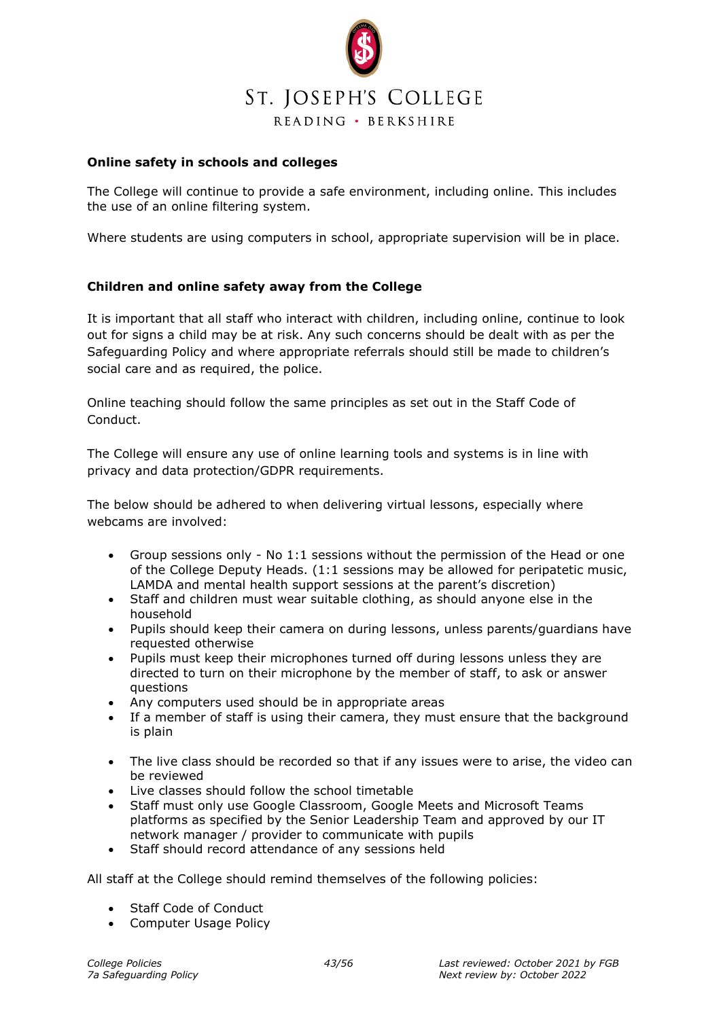

#### **Online safety in schools and colleges**

The College will continue to provide a safe environment, including online. This includes the use of an online filtering system.

Where students are using computers in school, appropriate supervision will be in place.

#### **Children and online safety away from the College**

It is important that all staff who interact with children, including online, continue to look out for signs a child may be at risk. Any such concerns should be dealt with as per the Safeguarding Policy and where appropriate referrals should still be made to children's social care and as required, the police.

Online teaching should follow the same principles as set out in the Staff Code of Conduct.

The College will ensure any use of online learning tools and systems is in line with privacy and data protection/GDPR requirements.

The below should be adhered to when delivering virtual lessons, especially where webcams are involved:

- Group sessions only No 1:1 sessions without the permission of the Head or one of the College Deputy Heads. (1:1 sessions may be allowed for peripatetic music, LAMDA and mental health support sessions at the parent's discretion)
- Staff and children must wear suitable clothing, as should anyone else in the household
- Pupils should keep their camera on during lessons, unless parents/guardians have requested otherwise
- Pupils must keep their microphones turned off during lessons unless they are directed to turn on their microphone by the member of staff, to ask or answer questions
- Any computers used should be in appropriate areas
- If a member of staff is using their camera, they must ensure that the background is plain
- The live class should be recorded so that if any issues were to arise, the video can be reviewed
- Live classes should follow the school timetable
- Staff must only use Google Classroom, Google Meets and Microsoft Teams platforms as specified by the Senior Leadership Team and approved by our IT network manager / provider to communicate with pupils
- Staff should record attendance of any sessions held

All staff at the College should remind themselves of the following policies:

- Staff Code of Conduct
- Computer Usage Policy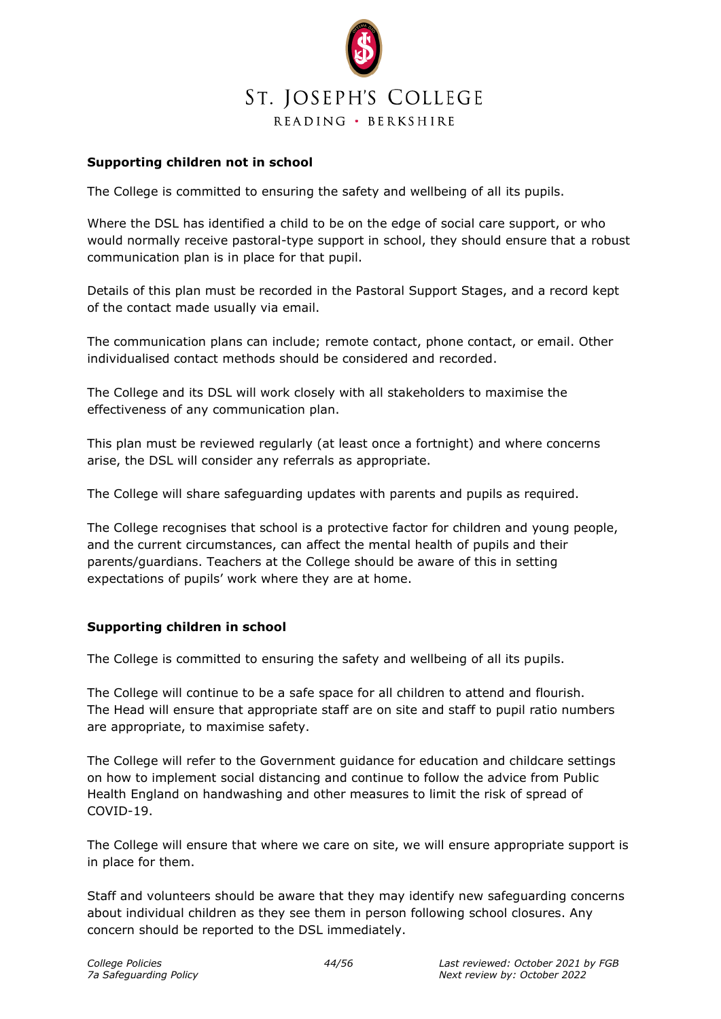

#### **Supporting children not in school**

The College is committed to ensuring the safety and wellbeing of all its pupils.

Where the DSL has identified a child to be on the edge of social care support, or who would normally receive pastoral-type support in school, they should ensure that a robust communication plan is in place for that pupil.

Details of this plan must be recorded in the Pastoral Support Stages, and a record kept of the contact made usually via email.

The communication plans can include; remote contact, phone contact, or email. Other individualised contact methods should be considered and recorded.

The College and its DSL will work closely with all stakeholders to maximise the effectiveness of any communication plan.

This plan must be reviewed regularly (at least once a fortnight) and where concerns arise, the DSL will consider any referrals as appropriate.

The College will share safeguarding updates with parents and pupils as required.

The College recognises that school is a protective factor for children and young people, and the current circumstances, can affect the mental health of pupils and their parents/guardians. Teachers at the College should be aware of this in setting expectations of pupils' work where they are at home.

# **Supporting children in school**

The College is committed to ensuring the safety and wellbeing of all its pupils.

The College will continue to be a safe space for all children to attend and flourish. The Head will ensure that appropriate staff are on site and staff to pupil ratio numbers are appropriate, to maximise safety.

The College will refer to the Government guidance for education and childcare settings on how to implement social distancing and continue to follow the advice from Public Health England on handwashing and other measures to limit the risk of spread of COVID-19.

The College will ensure that where we care on site, we will ensure appropriate support is in place for them.

Staff and volunteers should be aware that they may identify new safeguarding concerns about individual children as they see them in person following school closures. Any concern should be reported to the DSL immediately.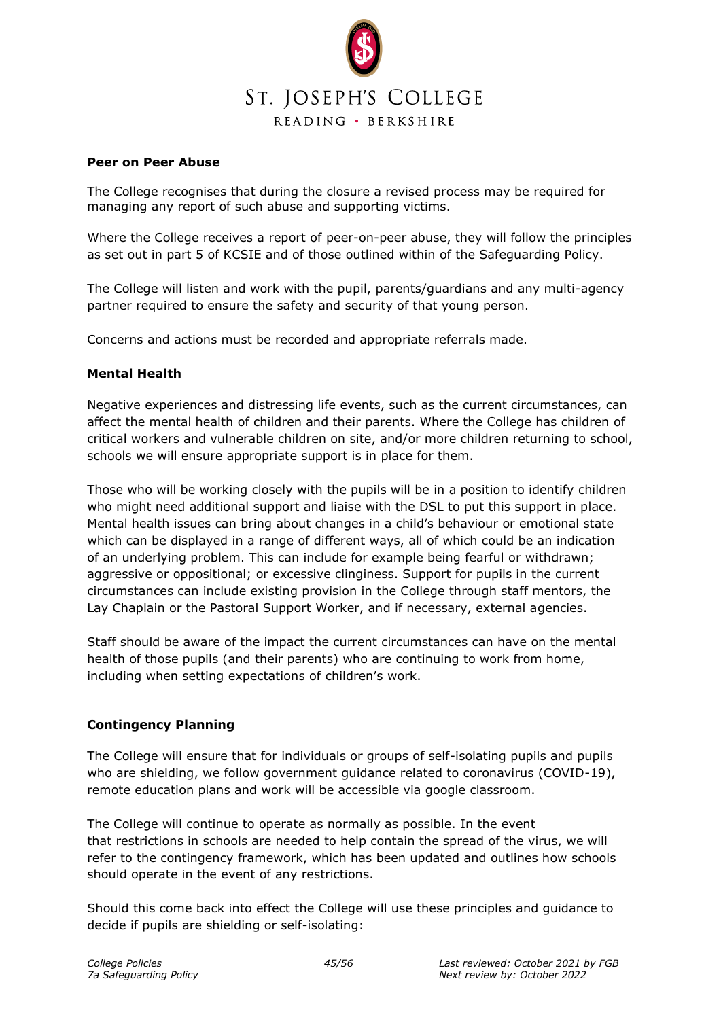

#### **Peer on Peer Abuse**

The College recognises that during the closure a revised process may be required for managing any report of such abuse and supporting victims.

Where the College receives a report of peer-on-peer abuse, they will follow the principles as set out in part 5 of KCSIE and of those outlined within of the Safeguarding Policy.

The College will listen and work with the pupil, parents/guardians and any multi-agency partner required to ensure the safety and security of that young person.

Concerns and actions must be recorded and appropriate referrals made.

#### **Mental Health**

Negative experiences and distressing life events, such as the current circumstances, can affect the mental health of children and their parents. Where the College has children of critical workers and vulnerable children on site, and/or more children returning to school, schools we will ensure appropriate support is in place for them.

Those who will be working closely with the pupils will be in a position to identify children who might need additional support and liaise with the DSL to put this support in place. Mental health issues can bring about changes in a child's behaviour or emotional state which can be displayed in a range of different ways, all of which could be an indication of an underlying problem. This can include for example being fearful or withdrawn; aggressive or oppositional; or excessive clinginess. Support for pupils in the current circumstances can include existing provision in the College through staff mentors, the Lay Chaplain or the Pastoral Support Worker, and if necessary, external agencies.

Staff should be aware of the impact the current circumstances can have on the mental health of those pupils (and their parents) who are continuing to work from home, including when setting expectations of children's work.

# **Contingency Planning**

The College will ensure that for individuals or groups of self-isolating pupils and pupils who are shielding, we follow government guidance related to coronavirus (COVID-19), remote education plans and work will be accessible via google classroom.

The College will continue to operate as normally as possible. In the event that restrictions in schools are needed to help contain the spread of the virus, we will refer to the contingency framework, which has been updated and outlines how schools should operate in the event of any restrictions.

Should this come back into effect the College will use these principles and guidance to decide if pupils are shielding or self-isolating: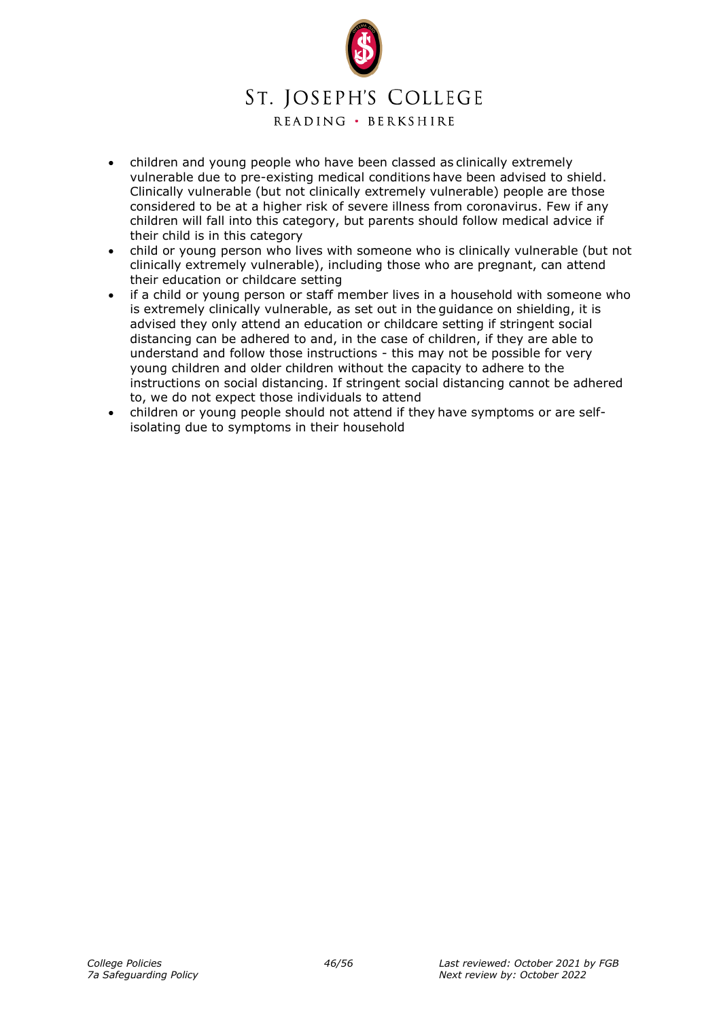

READING · BERKSHIRE

- children and young people who have been classed as [clinically extremely](https://www.gov.uk/government/publications/guidance-on-shielding-and-protecting-extremely-vulnerable-persons-from-covid-19/covid-19-guidance-on-protecting-people-most-likely-to-get-unwell-from-coronavirus-shielding-young-peoples-version)  [vulnerable due to pre-existing medical conditions](https://www.gov.uk/government/publications/guidance-on-shielding-and-protecting-extremely-vulnerable-persons-from-covid-19/covid-19-guidance-on-protecting-people-most-likely-to-get-unwell-from-coronavirus-shielding-young-peoples-version) have been advised to shield. Clinically vulnerable (but not clinically extremely vulnerable) people are those considered to be at a higher risk of severe illness from coronavirus. Few if any children will fall into this category, but parents should follow medical advice if their child is in this category
- child or young person who lives with someone who is clinically vulnerable (but not clinically extremely vulnerable), including those who are pregnant, can attend their education or childcare setting
- if a child or young person or staff member lives in a household with someone who is extremely clinically vulnerable, as set out in the [guidance on shielding,](https://www.gov.uk/government/publications/guidance-on-shielding-and-protecting-extremely-vulnerable-persons-from-covid-19) it is advised they only attend an education or childcare setting if stringent social distancing can be adhered to and, in the case of children, if they are able to understand and follow those instructions - this may not be possible for very young children and older children without the capacity to adhere to the instructions on social distancing. If stringent social distancing cannot be adhered to, we do not expect those individuals to attend
- children or young people should not attend if they [have symptoms or are self](https://www.gov.uk/government/publications/covid-19-stay-at-home-guidance/stay-at-home-guidance-for-households-with-possible-coronavirus-covid-19-infection)[isolating due to symptoms in their household](https://www.gov.uk/government/publications/covid-19-stay-at-home-guidance/stay-at-home-guidance-for-households-with-possible-coronavirus-covid-19-infection)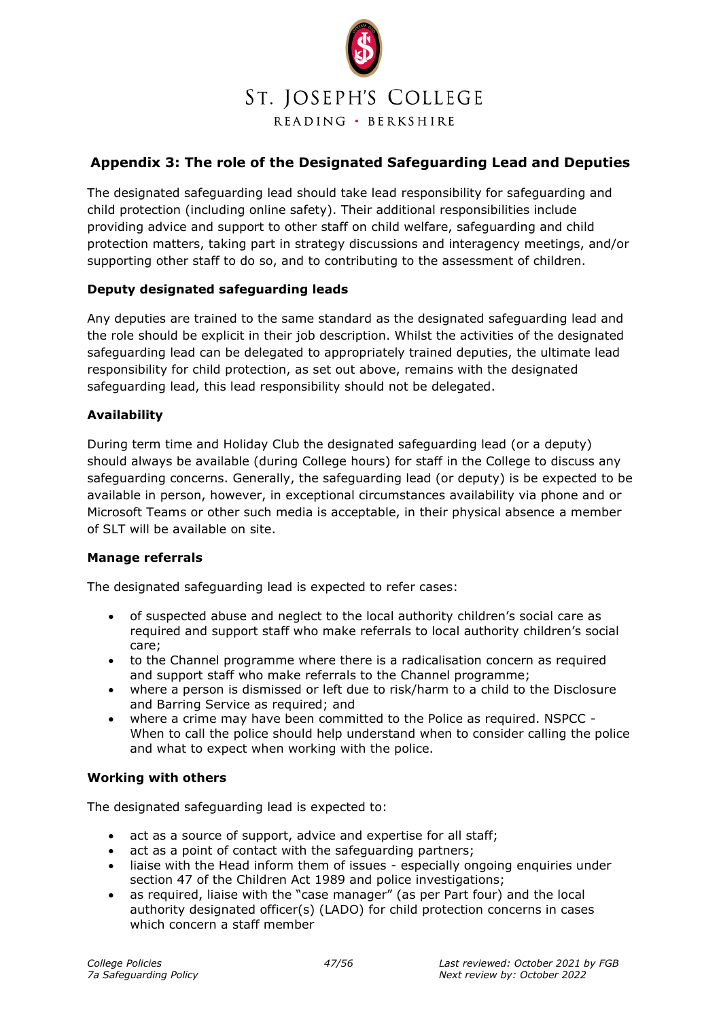

# **Appendix 3: The role of the Designated Safeguarding Lead and Deputies**

The designated safeguarding lead should take lead responsibility for safeguarding and child protection (including online safety). Their additional responsibilities include providing advice and support to other staff on child welfare, safeguarding and child protection matters, taking part in strategy discussions and interagency meetings, and/or supporting other staff to do so, and to contributing to the assessment of children.

#### **Deputy designated safeguarding leads**

Any deputies are trained to the same standard as the designated safeguarding lead and the role should be explicit in their job description. Whilst the activities of the designated safeguarding lead can be delegated to appropriately trained deputies, the ultimate lead responsibility for child protection, as set out above, remains with the designated safeguarding lead, this lead responsibility should not be delegated.

#### **Availability**

During term time and Holiday Club the designated safeguarding lead (or a deputy) should always be available (during College hours) for staff in the College to discuss any safeguarding concerns. Generally, the safeguarding lead (or deputy) is be expected to be available in person, however, in exceptional circumstances availability via phone and or Microsoft Teams or other such media is acceptable, in their physical absence a member of SLT will be available on site.

#### **Manage referrals**

The designated safeguarding lead is expected to refer cases:

- of suspected abuse and neglect to the local authority children's social care as required and support staff who make referrals to local authority children's social care;
- to the Channel programme where there is a radicalisation concern as required and support staff who make referrals to the Channel programme;
- where a person is dismissed or left due to risk/harm to a child to the Disclosure and Barring Service as required; and
- where a crime may have been committed to the Police as required. NSPCC When to call the police should help understand when to consider calling the police and what to expect when working with the police.

#### **Working with others**

The designated safeguarding lead is expected to:

- act as a source of support, advice and expertise for all staff;
- act as a point of contact with the safeguarding partners;
- liaise with the Head inform them of issues especially ongoing enquiries under section 47 of the Children Act 1989 and police investigations;
- as required, liaise with the "case manager" (as per Part four) and the local authority designated officer(s) (LADO) for child protection concerns in cases which concern a staff member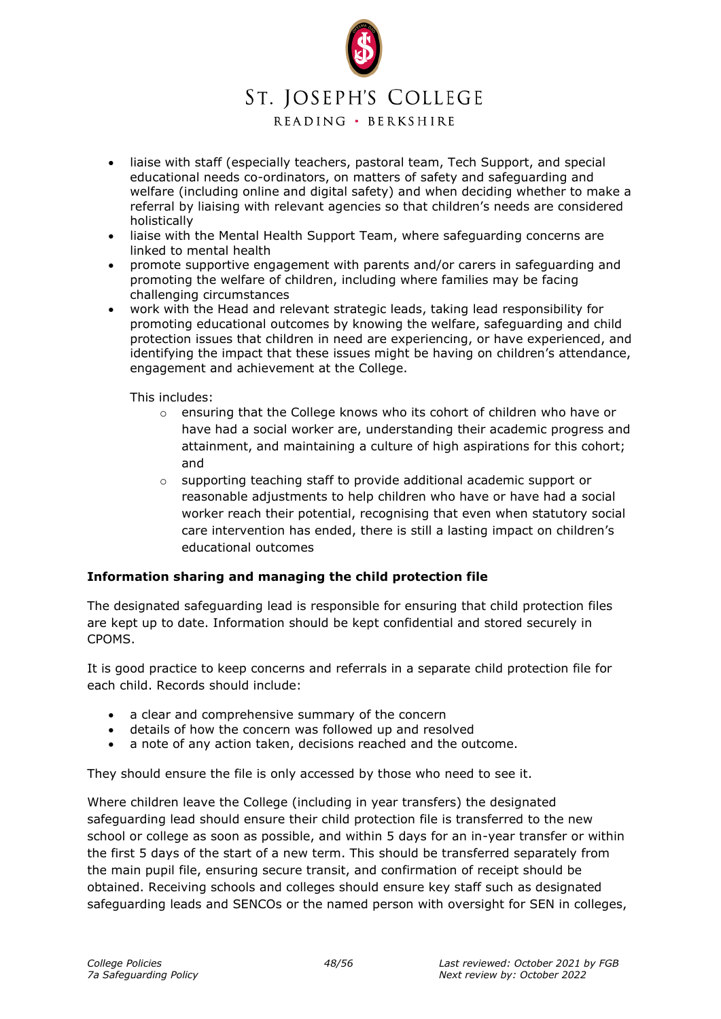# ST. JOSEPH'S COLLEGE

READING · BERKSHIRE

- liaise with staff (especially teachers, pastoral team, Tech Support, and special educational needs co-ordinators, on matters of safety and safeguarding and welfare (including online and digital safety) and when deciding whether to make a referral by liaising with relevant agencies so that children's needs are considered holistically
- liaise with the Mental Health Support Team, where safeguarding concerns are linked to mental health
- promote supportive engagement with parents and/or carers in safeguarding and promoting the welfare of children, including where families may be facing challenging circumstances
- work with the Head and relevant strategic leads, taking lead responsibility for promoting educational outcomes by knowing the welfare, safeguarding and child protection issues that children in need are experiencing, or have experienced, and identifying the impact that these issues might be having on children's attendance, engagement and achievement at the College.

This includes:

- o ensuring that the College knows who its cohort of children who have or have had a social worker are, understanding their academic progress and attainment, and maintaining a culture of high aspirations for this cohort; and
- o supporting teaching staff to provide additional academic support or reasonable adjustments to help children who have or have had a social worker reach their potential, recognising that even when statutory social care intervention has ended, there is still a lasting impact on children's educational outcomes

# **Information sharing and managing the child protection file**

The designated safeguarding lead is responsible for ensuring that child protection files are kept up to date. Information should be kept confidential and stored securely in CPOMS.

It is good practice to keep concerns and referrals in a separate child protection file for each child. Records should include:

- a clear and comprehensive summary of the concern
- details of how the concern was followed up and resolved
- a note of any action taken, decisions reached and the outcome.

They should ensure the file is only accessed by those who need to see it.

Where children leave the College (including in year transfers) the designated safeguarding lead should ensure their child protection file is transferred to the new school or college as soon as possible, and within 5 days for an in-year transfer or within the first 5 days of the start of a new term. This should be transferred separately from the main pupil file, ensuring secure transit, and confirmation of receipt should be obtained. Receiving schools and colleges should ensure key staff such as designated safeguarding leads and SENCOs or the named person with oversight for SEN in colleges,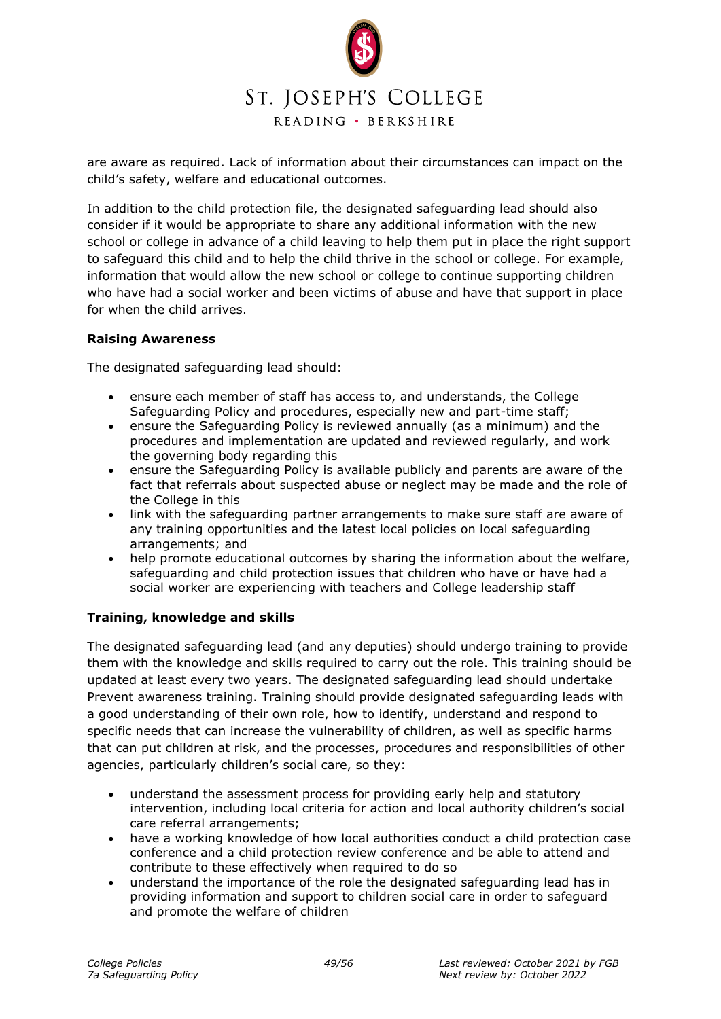

are aware as required. Lack of information about their circumstances can impact on the child's safety, welfare and educational outcomes.

In addition to the child protection file, the designated safeguarding lead should also consider if it would be appropriate to share any additional information with the new school or college in advance of a child leaving to help them put in place the right support to safeguard this child and to help the child thrive in the school or college. For example, information that would allow the new school or college to continue supporting children who have had a social worker and been victims of abuse and have that support in place for when the child arrives.

#### **Raising Awareness**

The designated safeguarding lead should:

- ensure each member of staff has access to, and understands, the College Safeguarding Policy and procedures, especially new and part-time staff;
- ensure the Safeguarding Policy is reviewed annually (as a minimum) and the procedures and implementation are updated and reviewed regularly, and work the governing body regarding this
- ensure the Safeguarding Policy is available publicly and parents are aware of the fact that referrals about suspected abuse or neglect may be made and the role of the College in this
- link with the safeguarding partner arrangements to make sure staff are aware of any training opportunities and the latest local policies on local safeguarding arrangements; and
- help promote educational outcomes by sharing the information about the welfare, safeguarding and child protection issues that children who have or have had a social worker are experiencing with teachers and College leadership staff

# **Training, knowledge and skills**

The designated safeguarding lead (and any deputies) should undergo training to provide them with the knowledge and skills required to carry out the role. This training should be updated at least every two years. The designated safeguarding lead should undertake Prevent awareness training. Training should provide designated safeguarding leads with a good understanding of their own role, how to identify, understand and respond to specific needs that can increase the vulnerability of children, as well as specific harms that can put children at risk, and the processes, procedures and responsibilities of other agencies, particularly children's social care, so they:

- understand the assessment process for providing early help and statutory intervention, including local criteria for action and local authority children's social care referral arrangements;
- have a working knowledge of how local authorities conduct a child protection case conference and a child protection review conference and be able to attend and contribute to these effectively when required to do so
- understand the importance of the role the designated safeguarding lead has in providing information and support to children social care in order to safeguard and promote the welfare of children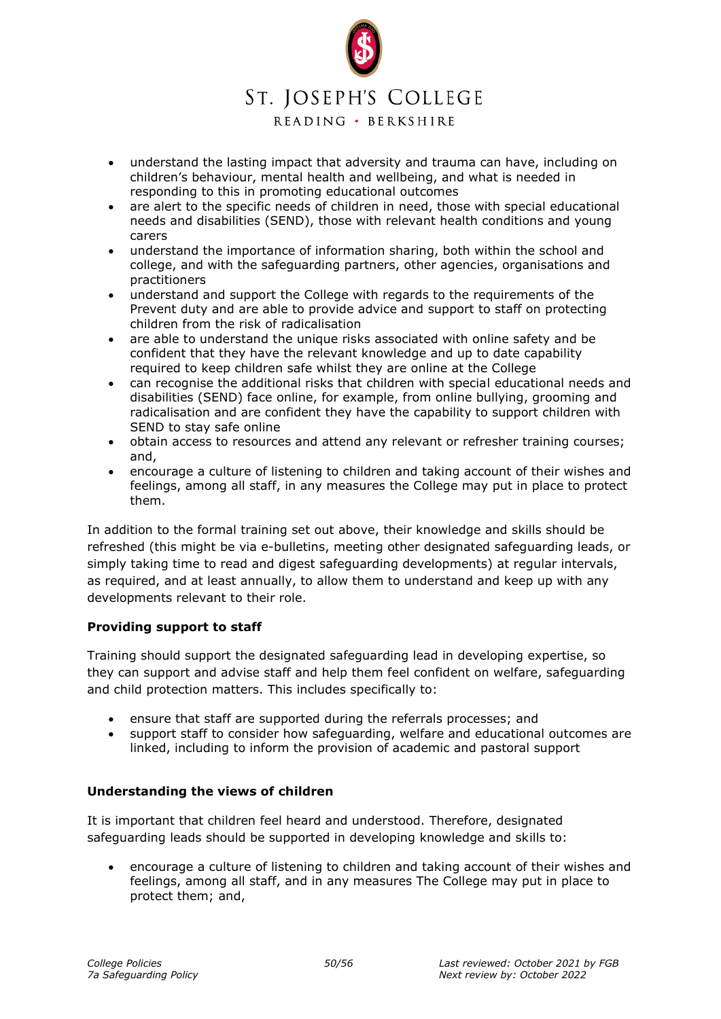# ST. JOSEPH'S COLLEGE

READING · BERKSHIRE

- understand the lasting impact that adversity and trauma can have, including on children's behaviour, mental health and wellbeing, and what is needed in responding to this in promoting educational outcomes
- are alert to the specific needs of children in need, those with special educational needs and disabilities (SEND), those with relevant health conditions and young carers
- understand the importance of information sharing, both within the school and college, and with the safeguarding partners, other agencies, organisations and practitioners
- understand and support the College with regards to the requirements of the Prevent duty and are able to provide advice and support to staff on protecting children from the risk of radicalisation
- are able to understand the unique risks associated with online safety and be confident that they have the relevant knowledge and up to date capability required to keep children safe whilst they are online at the College
- can recognise the additional risks that children with special educational needs and disabilities (SEND) face online, for example, from online bullying, grooming and radicalisation and are confident they have the capability to support children with SEND to stay safe online
- obtain access to resources and attend any relevant or refresher training courses; and,
- encourage a culture of listening to children and taking account of their wishes and feelings, among all staff, in any measures the College may put in place to protect them.

In addition to the formal training set out above, their knowledge and skills should be refreshed (this might be via e-bulletins, meeting other designated safeguarding leads, or simply taking time to read and digest safeguarding developments) at regular intervals, as required, and at least annually, to allow them to understand and keep up with any developments relevant to their role.

# **Providing support to staff**

Training should support the designated safeguarding lead in developing expertise, so they can support and advise staff and help them feel confident on welfare, safeguarding and child protection matters. This includes specifically to:

- ensure that staff are supported during the referrals processes; and
- support staff to consider how safeguarding, welfare and educational outcomes are linked, including to inform the provision of academic and pastoral support

# **Understanding the views of children**

It is important that children feel heard and understood. Therefore, designated safeguarding leads should be supported in developing knowledge and skills to:

• encourage a culture of listening to children and taking account of their wishes and feelings, among all staff, and in any measures The College may put in place to protect them; and,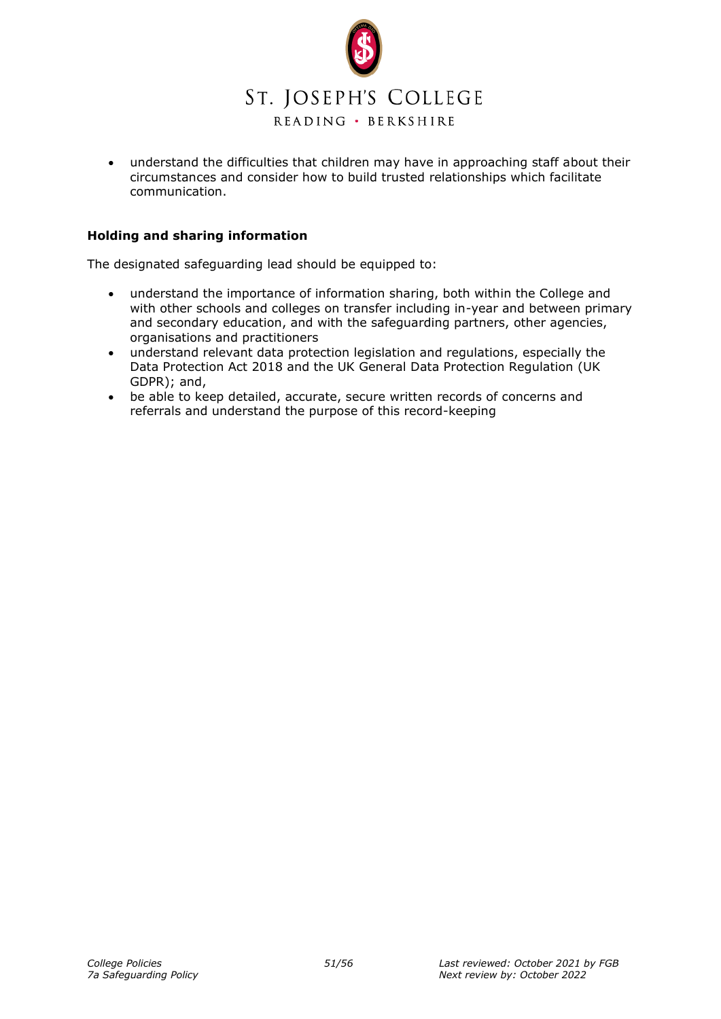

• understand the difficulties that children may have in approaching staff about their circumstances and consider how to build trusted relationships which facilitate communication.

#### **Holding and sharing information**

The designated safeguarding lead should be equipped to:

- understand the importance of information sharing, both within the College and with other schools and colleges on transfer including in-year and between primary and secondary education, and with the safeguarding partners, other agencies, organisations and practitioners
- understand relevant data protection legislation and regulations, especially the Data Protection Act 2018 and the UK General Data Protection Regulation (UK GDPR); and,
- be able to keep detailed, accurate, secure written records of concerns and referrals and understand the purpose of this record-keeping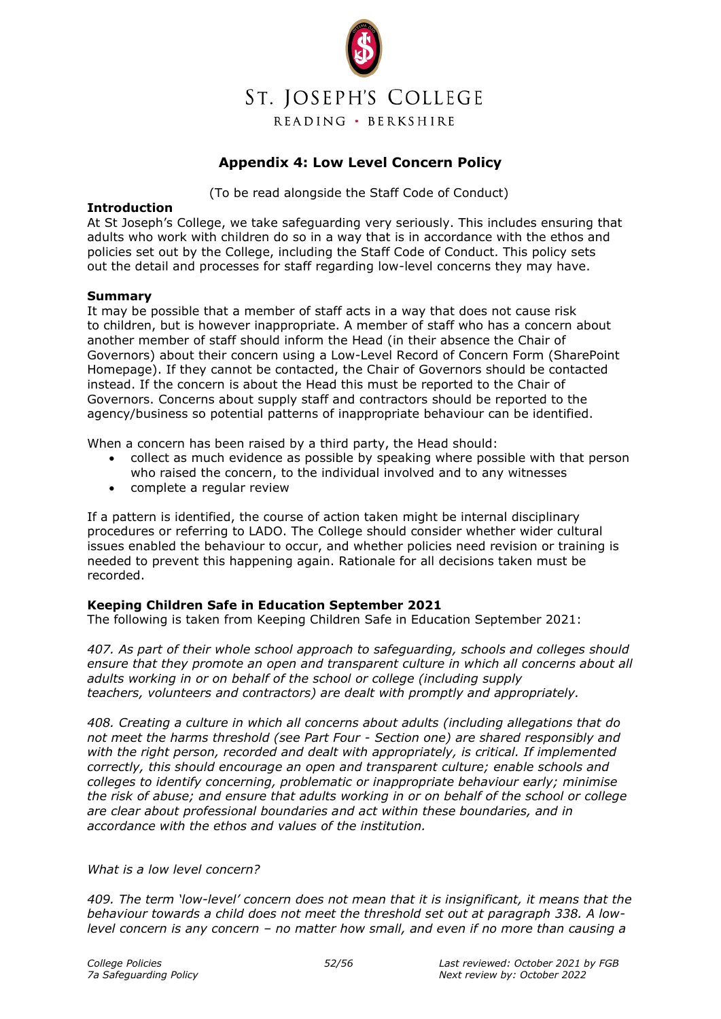

# **Appendix 4: Low Level Concern Policy**

(To be read alongside the Staff Code of Conduct)

#### **Introduction**

At St Joseph's College, we take safeguarding very seriously. This includes ensuring that adults who work with children do so in a way that is in accordance with the ethos and policies set out by the College, including the Staff Code of Conduct. This policy sets out the detail and processes for staff regarding low-level concerns they may have.

#### **Summary**

It may be possible that a member of staff acts in a way that does not cause risk to children, but is however inappropriate. A member of staff who has a concern about another member of staff should inform the Head (in their absence the Chair of Governors) about their concern using a Low-Level Record of Concern Form (SharePoint Homepage). If they cannot be contacted, the Chair of Governors should be contacted instead. If the concern is about the Head this must be reported to the Chair of Governors. Concerns about supply staff and contractors should be reported to the agency/business so potential patterns of inappropriate behaviour can be identified.

When a concern has been raised by a third party, the Head should:

- collect as much evidence as possible by speaking where possible with that person who raised the concern, to the individual involved and to any witnesses
- complete a regular review

If a pattern is identified, the course of action taken might be internal disciplinary procedures or referring to LADO. The College should consider whether wider cultural issues enabled the behaviour to occur, and whether policies need revision or training is needed to prevent this happening again. Rationale for all decisions taken must be recorded.

#### **Keeping Children Safe in Education September 2021**

The following is taken from Keeping Children Safe in Education September 2021:

*407. As part of their whole school approach to safeguarding, schools and colleges should ensure that they promote an open and transparent culture in which all concerns about all adults working in or on behalf of the school or college (including supply teachers, volunteers and contractors) are dealt with promptly and appropriately.*

*408. Creating a culture in which all concerns about adults (including allegations that do not meet the harms threshold (see Part Four - Section one) are shared responsibly and with the right person, recorded and dealt with appropriately, is critical. If implemented correctly, this should encourage an open and transparent culture; enable schools and colleges to identify concerning, problematic or inappropriate behaviour early; minimise the risk of abuse; and ensure that adults working in or on behalf of the school or college are clear about professional boundaries and act within these boundaries, and in accordance with the ethos and values of the institution.*

#### *What is a low level concern?*

*409. The term 'low-level' concern does not mean that it is insignificant, it means that the behaviour towards a child does not meet the threshold set out at paragraph 338. A lowlevel concern is any concern – no matter how small, and even if no more than causing a*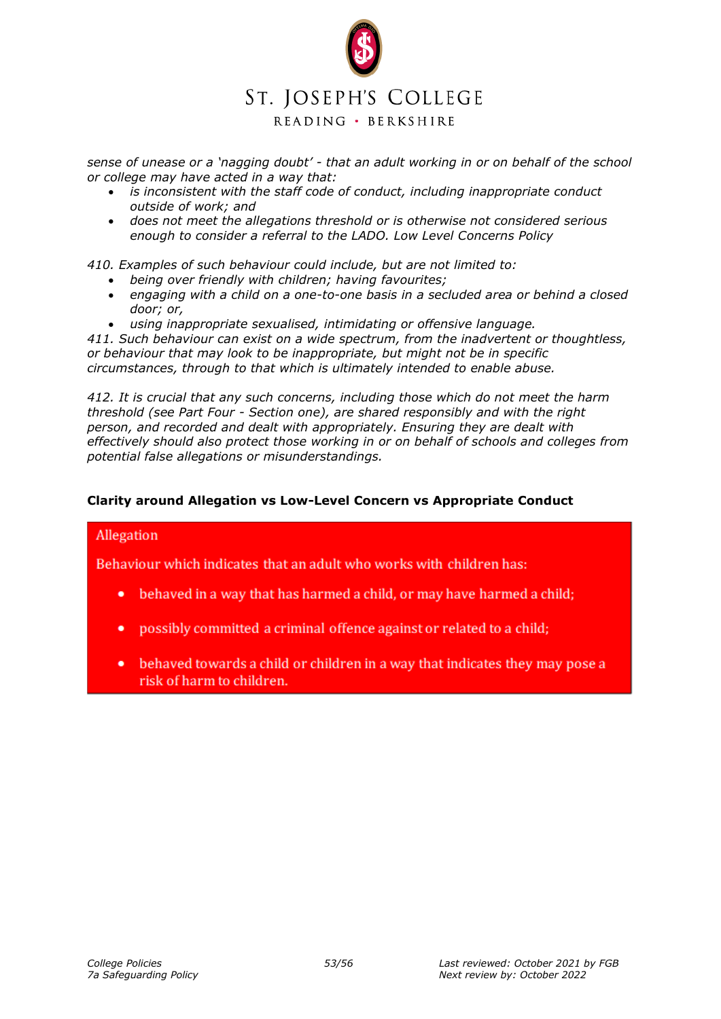# ST. JOSEPH'S COLLEGE

READING · BERKSHIRE

*sense of unease or a 'nagging doubt' - that an adult working in or on behalf of the school or college may have acted in a way that:*

- *is inconsistent with the staff code of conduct, including inappropriate conduct outside of work; and*
- *does not meet the allegations threshold or is otherwise not considered serious enough to consider a referral to the LADO. Low Level Concerns Policy*

*410. Examples of such behaviour could include, but are not limited to:*

- *being over friendly with children; having favourites;*
- *engaging with a child on a one-to-one basis in a secluded area or behind a closed door; or,*
- *using inappropriate sexualised, intimidating or offensive language.*

*411. Such behaviour can exist on a wide spectrum, from the inadvertent or thoughtless, or behaviour that may look to be inappropriate, but might not be in specific circumstances, through to that which is ultimately intended to enable abuse.*

*412. It is crucial that any such concerns, including those which do not meet the harm threshold (see Part Four - Section one), are shared responsibly and with the right person, and recorded and dealt with appropriately. Ensuring they are dealt with effectively should also protect those working in or on behalf of schools and colleges from potential false allegations or misunderstandings.*

# **Clarity around Allegation vs Low-Level Concern vs Appropriate Conduct**

# Allegation

Behaviour which indicates that an adult who works with children has:

- behaved in a way that has harmed a child, or may have harmed a child;
- possibly committed a criminal offence against or related to a child;
- behaved towards a child or children in a way that indicates they may pose a risk of harm to children.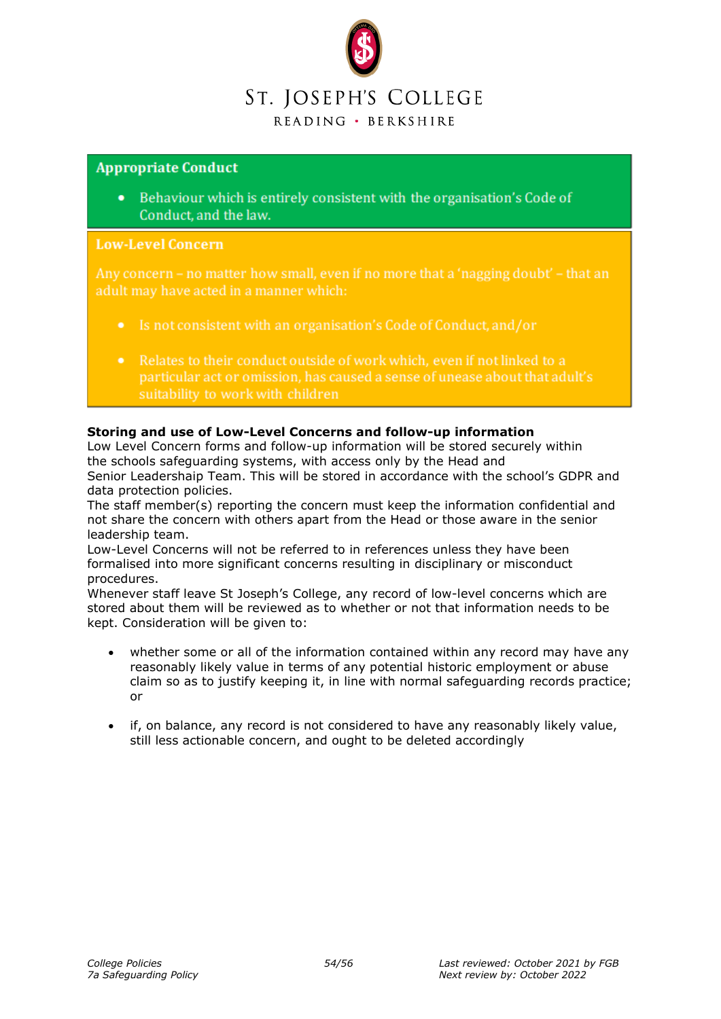

# **Appropriate Conduct**

Behaviour which is entirely consistent with the organisation's Code of  $\bullet$ Conduct, and the law.

#### **Low-Level Concern**

Any concern - no matter how small, even if no more that a 'nagging doubt' - that an adult may have acted in a manner which:

- Is not consistent with an organisation's Code of Conduct, and/or
- Relates to their conduct outside of work which, even if not linked to a particular act or omission, has caused a sense of unease about that adult's suitability to work with children

# **Storing and use of Low-Level Concerns and follow-up information**

Low Level Concern forms and follow-up information will be stored securely within the schools safeguarding systems, with access only by the Head and Senior Leadershaip Team. This will be stored in accordance with the school's GDPR and data protection policies.

The staff member(s) reporting the concern must keep the information confidential and not share the concern with others apart from the Head or those aware in the senior leadership team.

Low-Level Concerns will not be referred to in references unless they have been formalised into more significant concerns resulting in disciplinary or misconduct procedures.

Whenever staff leave St Joseph's College, any record of low-level concerns which are stored about them will be reviewed as to whether or not that information needs to be kept. Consideration will be given to:

- whether some or all of the information contained within any record may have any reasonably likely value in terms of any potential historic employment or abuse claim so as to justify keeping it, in line with normal safeguarding records practice; or
- if, on balance, any record is not considered to have any reasonably likely value, still less actionable concern, and ought to be deleted accordingly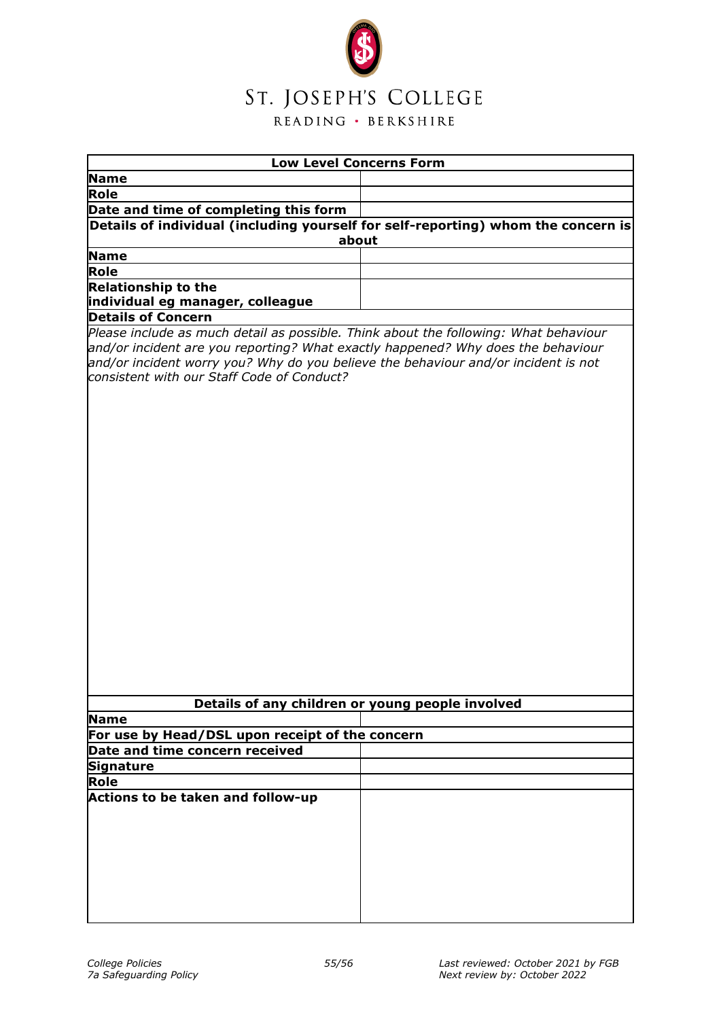

| <b>Low Level Concerns Form</b>                                                                                                                                                                                       |  |  |  |  |  |  |
|----------------------------------------------------------------------------------------------------------------------------------------------------------------------------------------------------------------------|--|--|--|--|--|--|
| <b>Name</b>                                                                                                                                                                                                          |  |  |  |  |  |  |
| Role                                                                                                                                                                                                                 |  |  |  |  |  |  |
| Date and time of completing this form                                                                                                                                                                                |  |  |  |  |  |  |
| Details of individual (including yourself for self-reporting) whom the concern is                                                                                                                                    |  |  |  |  |  |  |
| about                                                                                                                                                                                                                |  |  |  |  |  |  |
| <b>Name</b>                                                                                                                                                                                                          |  |  |  |  |  |  |
| Role                                                                                                                                                                                                                 |  |  |  |  |  |  |
| <b>Relationship to the</b>                                                                                                                                                                                           |  |  |  |  |  |  |
| individual eg manager, colleague                                                                                                                                                                                     |  |  |  |  |  |  |
| <b>Details of Concern</b><br>Please include as much detail as possible. Think about the following: What behaviour                                                                                                    |  |  |  |  |  |  |
| and/or incident are you reporting? What exactly happened? Why does the behaviour<br>and/or incident worry you? Why do you believe the behaviour and/or incident is not<br>consistent with our Staff Code of Conduct? |  |  |  |  |  |  |
|                                                                                                                                                                                                                      |  |  |  |  |  |  |
|                                                                                                                                                                                                                      |  |  |  |  |  |  |
| Details of any children or young people involved                                                                                                                                                                     |  |  |  |  |  |  |
| <b>Name</b>                                                                                                                                                                                                          |  |  |  |  |  |  |
| For use by Head/DSL upon receipt of the concern<br>Date and time concern received                                                                                                                                    |  |  |  |  |  |  |
|                                                                                                                                                                                                                      |  |  |  |  |  |  |
| Signature                                                                                                                                                                                                            |  |  |  |  |  |  |
| Role                                                                                                                                                                                                                 |  |  |  |  |  |  |
| Actions to be taken and follow-up                                                                                                                                                                                    |  |  |  |  |  |  |
|                                                                                                                                                                                                                      |  |  |  |  |  |  |
|                                                                                                                                                                                                                      |  |  |  |  |  |  |
|                                                                                                                                                                                                                      |  |  |  |  |  |  |
|                                                                                                                                                                                                                      |  |  |  |  |  |  |
|                                                                                                                                                                                                                      |  |  |  |  |  |  |
|                                                                                                                                                                                                                      |  |  |  |  |  |  |
|                                                                                                                                                                                                                      |  |  |  |  |  |  |